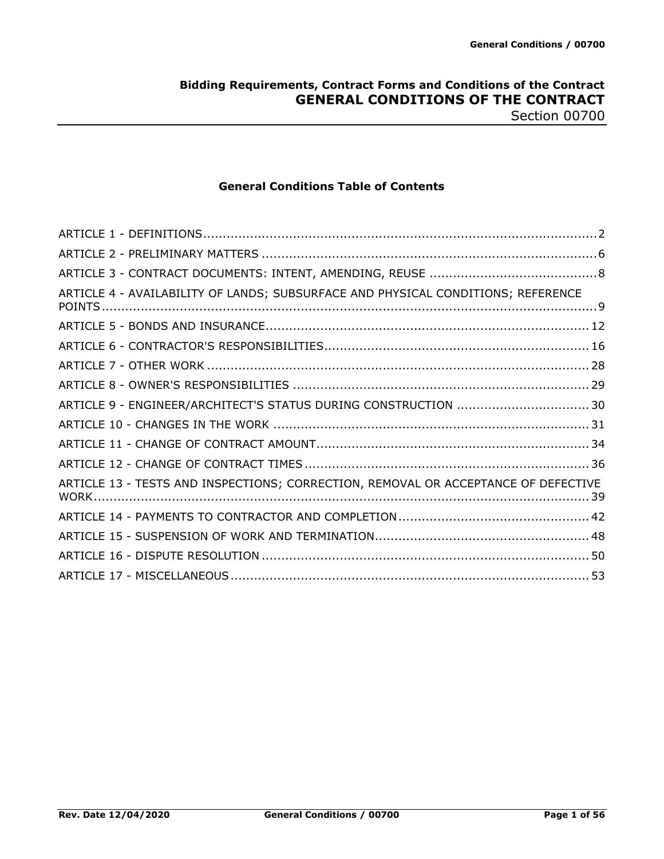## **Bidding Requirements, Contract Forms and Conditions of the Contract GENERAL CONDITIONS OF THE CONTRACT** Section 00700

**General Conditions Table of Contents**

| ARTICLE 4 - AVAILABILITY OF LANDS; SUBSURFACE AND PHYSICAL CONDITIONS; REFERENCE   |  |
|------------------------------------------------------------------------------------|--|
|                                                                                    |  |
|                                                                                    |  |
|                                                                                    |  |
|                                                                                    |  |
| ARTICLE 9 - ENGINEER/ARCHITECT'S STATUS DURING CONSTRUCTION  30                    |  |
|                                                                                    |  |
|                                                                                    |  |
|                                                                                    |  |
| ARTICLE 13 - TESTS AND INSPECTIONS; CORRECTION, REMOVAL OR ACCEPTANCE OF DEFECTIVE |  |
|                                                                                    |  |
|                                                                                    |  |
|                                                                                    |  |
|                                                                                    |  |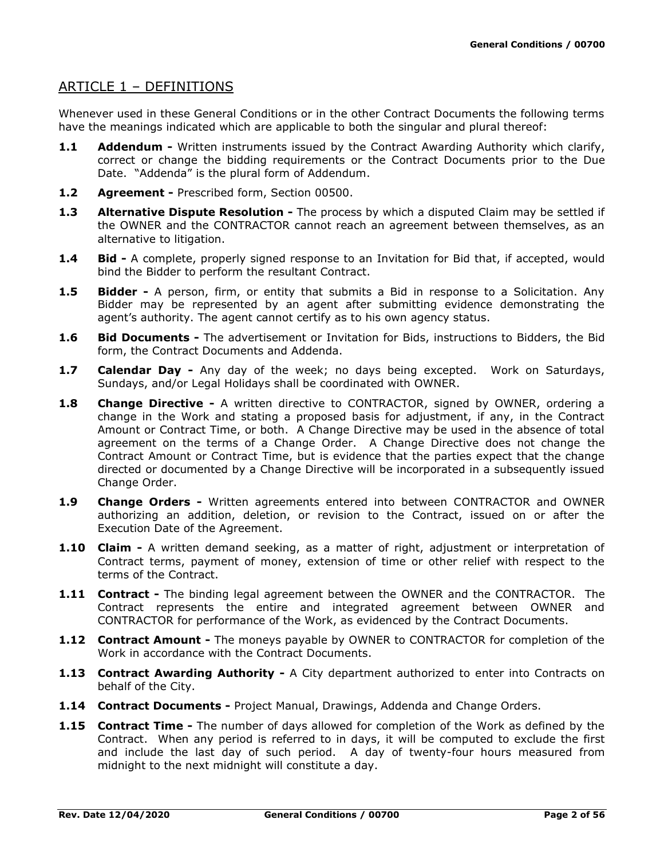# ARTICLE 1 – DEFINITIONS

Whenever used in these General Conditions or in the other Contract Documents the following terms have the meanings indicated which are applicable to both the singular and plural thereof:

- **1.1 Addendum -** Written instruments issued by the Contract Awarding Authority which clarify, correct or change the bidding requirements or the Contract Documents prior to the Due Date. "Addenda" is the plural form of Addendum.
- **1.2 Agreement -** Prescribed form, Section 00500.
- **1.3 Alternative Dispute Resolution -** The process by which a disputed Claim may be settled if the OWNER and the CONTRACTOR cannot reach an agreement between themselves, as an alternative to litigation.
- **1.4 Bid -** A complete, properly signed response to an Invitation for Bid that, if accepted, would bind the Bidder to perform the resultant Contract.
- **1.5 Bidder -** A person, firm, or entity that submits a Bid in response to a Solicitation. Any Bidder may be represented by an agent after submitting evidence demonstrating the agent's authority. The agent cannot certify as to his own agency status.
- **1.6 Bid Documents -** The advertisement or Invitation for Bids, instructions to Bidders, the Bid form, the Contract Documents and Addenda.
- **1.7 Calendar Day -** Any day of the week; no days being excepted. Work on Saturdays, Sundays, and/or Legal Holidays shall be coordinated with OWNER.
- **1.8 Change Directive -** A written directive to CONTRACTOR, signed by OWNER, ordering a change in the Work and stating a proposed basis for adjustment, if any, in the Contract Amount or Contract Time, or both. A Change Directive may be used in the absence of total agreement on the terms of a Change Order. A Change Directive does not change the Contract Amount or Contract Time, but is evidence that the parties expect that the change directed or documented by a Change Directive will be incorporated in a subsequently issued Change Order.
- **1.9 Change Orders -** Written agreements entered into between CONTRACTOR and OWNER authorizing an addition, deletion, or revision to the Contract, issued on or after the Execution Date of the Agreement.
- **1.10 Claim -** A written demand seeking, as a matter of right, adjustment or interpretation of Contract terms, payment of money, extension of time or other relief with respect to the terms of the Contract.
- **1.11 Contract -** The binding legal agreement between the OWNER and the CONTRACTOR. The Contract represents the entire and integrated agreement between OWNER and CONTRACTOR for performance of the Work, as evidenced by the Contract Documents.
- **1.12 Contract Amount -** The moneys payable by OWNER to CONTRACTOR for completion of the Work in accordance with the Contract Documents.
- **1.13 Contract Awarding Authority -** A City department authorized to enter into Contracts on behalf of the City.
- **1.14 Contract Documents -** Project Manual, Drawings, Addenda and Change Orders.
- **1.15 Contract Time -** The number of days allowed for completion of the Work as defined by the Contract. When any period is referred to in days, it will be computed to exclude the first and include the last day of such period. A day of twenty-four hours measured from midnight to the next midnight will constitute a day.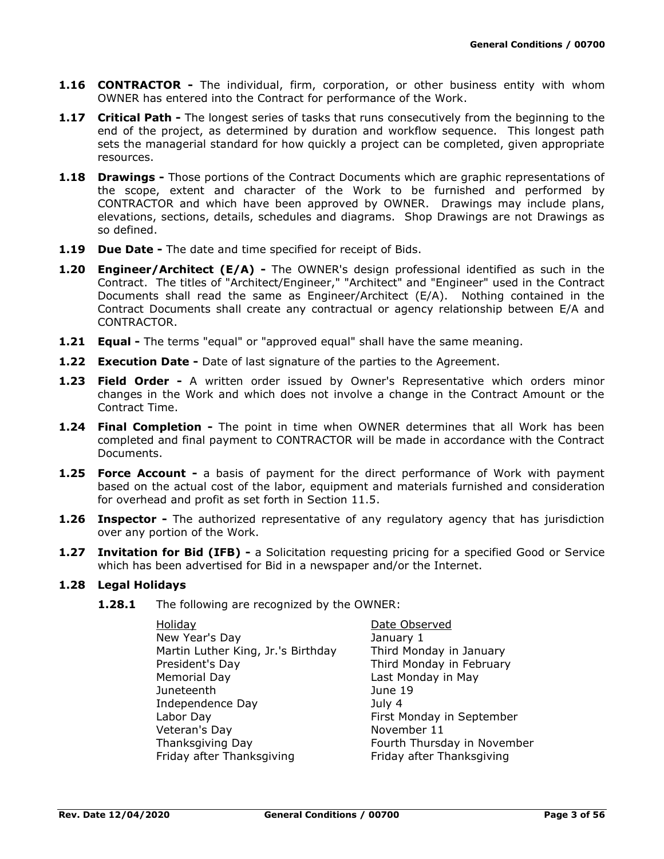- **1.16 CONTRACTOR -** The individual, firm, corporation, or other business entity with whom OWNER has entered into the Contract for performance of the Work.
- **1.17 Critical Path -** The longest series of tasks that runs consecutively from the beginning to the end of the project, as determined by duration and workflow sequence. This longest path sets the managerial standard for how quickly a project can be completed, given appropriate resources.
- **1.18 Drawings -** Those portions of the Contract Documents which are graphic representations of the scope, extent and character of the Work to be furnished and performed by CONTRACTOR and which have been approved by OWNER. Drawings may include plans, elevations, sections, details, schedules and diagrams. Shop Drawings are not Drawings as so defined.
- **1.19 Due Date -** The date and time specified for receipt of Bids.
- **1.20 Engineer/Architect (E/A) -** The OWNER's design professional identified as such in the Contract. The titles of "Architect/Engineer," "Architect" and "Engineer" used in the Contract Documents shall read the same as Engineer/Architect (E/A). Nothing contained in the Contract Documents shall create any contractual or agency relationship between E/A and CONTRACTOR.
- **1.21 Equal -** The terms "equal" or "approved equal" shall have the same meaning.
- **1.22 Execution Date -** Date of last signature of the parties to the Agreement.
- **1.23 Field Order -** A written order issued by Owner's Representative which orders minor changes in the Work and which does not involve a change in the Contract Amount or the Contract Time.
- **1.24 Final Completion -** The point in time when OWNER determines that all Work has been completed and final payment to CONTRACTOR will be made in accordance with the Contract Documents.
- **1.25 Force Account -** a basis of payment for the direct performance of Work with payment based on the actual cost of the labor, equipment and materials furnished and consideration for overhead and profit as set forth in Section 11.5.
- **1.26 Inspector -** The authorized representative of any regulatory agency that has jurisdiction over any portion of the Work.
- **1.27 Invitation for Bid (IFB) -** a Solicitation requesting pricing for a specified Good or Service which has been advertised for Bid in a newspaper and/or the Internet.

#### **1.28 Legal Holidays**

**1.28.1** The following are recognized by the OWNER:

| <b>Holiday</b>                     |
|------------------------------------|
| New Year's Day                     |
| Martin Luther King, Jr.'s Birthday |
| President's Day                    |
| Memorial Day                       |
| Juneteenth                         |
| Independence Day                   |
| Labor Day                          |
| Veteran's Day                      |
| Thanksgiving Day                   |
| Friday after Thanksgiving          |
|                                    |

Date Observed January 1 Third Monday in January Third Monday in February Last Monday in May June 19 July 4 First Monday in September November 11 Fourth Thursday in November Friday after Thanksgiving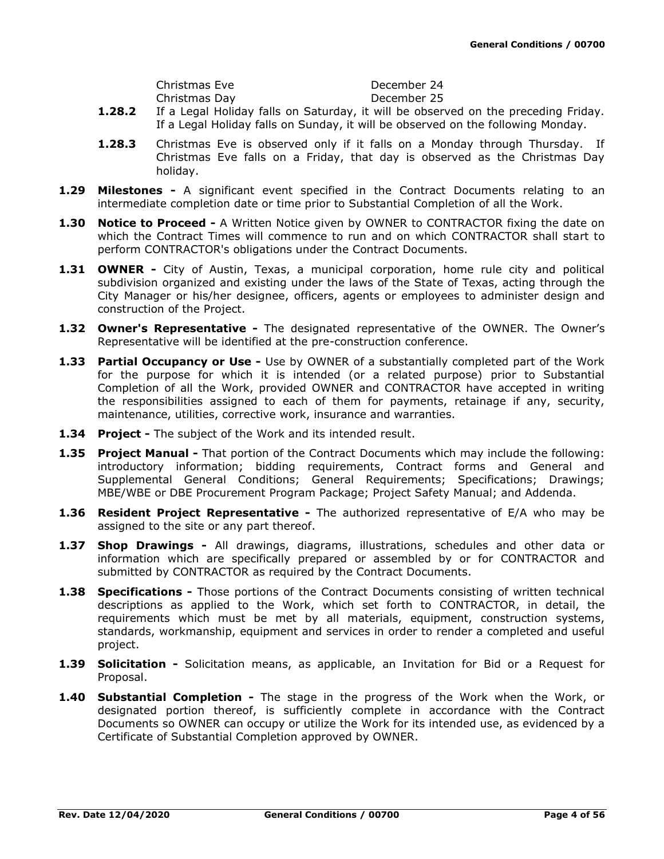| Christmas Eve |  |  | December 24 |  |
|---------------|--|--|-------------|--|
| Christmas Day |  |  | December 25 |  |
| -- -          |  |  |             |  |

- **1.28.2** If a Legal Holiday falls on Saturday, it will be observed on the preceding Friday. If a Legal Holiday falls on Sunday, it will be observed on the following Monday.
- **1.28.3** Christmas Eve is observed only if it falls on a Monday through Thursday. If Christmas Eve falls on a Friday, that day is observed as the Christmas Day holiday.
- **1.29 Milestones -** A significant event specified in the Contract Documents relating to an intermediate completion date or time prior to Substantial Completion of all the Work.
- **1.30 Notice to Proceed -** A Written Notice given by OWNER to CONTRACTOR fixing the date on which the Contract Times will commence to run and on which CONTRACTOR shall start to perform CONTRACTOR's obligations under the Contract Documents.
- **1.31 OWNER -** City of Austin, Texas, a municipal corporation, home rule city and political subdivision organized and existing under the laws of the State of Texas, acting through the City Manager or his/her designee, officers, agents or employees to administer design and construction of the Project.
- **1.32 Owner's Representative -** The designated representative of the OWNER. The Owner's Representative will be identified at the pre-construction conference.
- **1.33 Partial Occupancy or Use -** Use by OWNER of a substantially completed part of the Work for the purpose for which it is intended (or a related purpose) prior to Substantial Completion of all the Work, provided OWNER and CONTRACTOR have accepted in writing the responsibilities assigned to each of them for payments, retainage if any, security, maintenance, utilities, corrective work, insurance and warranties.
- **1.34 Project -** The subject of the Work and its intended result.
- **1.35 Project Manual -** That portion of the Contract Documents which may include the following: introductory information; bidding requirements, Contract forms and General and Supplemental General Conditions; General Requirements; Specifications; Drawings; MBE/WBE or DBE Procurement Program Package; Project Safety Manual; and Addenda.
- **1.36 Resident Project Representative -** The authorized representative of E/A who may be assigned to the site or any part thereof.
- **1.37 Shop Drawings -** All drawings, diagrams, illustrations, schedules and other data or information which are specifically prepared or assembled by or for CONTRACTOR and submitted by CONTRACTOR as required by the Contract Documents.
- **1.38 Specifications -** Those portions of the Contract Documents consisting of written technical descriptions as applied to the Work, which set forth to CONTRACTOR, in detail, the requirements which must be met by all materials, equipment, construction systems, standards, workmanship, equipment and services in order to render a completed and useful project.
- **1.39 Solicitation -** Solicitation means, as applicable, an Invitation for Bid or a Request for Proposal.
- **1.40 Substantial Completion -** The stage in the progress of the Work when the Work, or designated portion thereof, is sufficiently complete in accordance with the Contract Documents so OWNER can occupy or utilize the Work for its intended use, as evidenced by a Certificate of Substantial Completion approved by OWNER.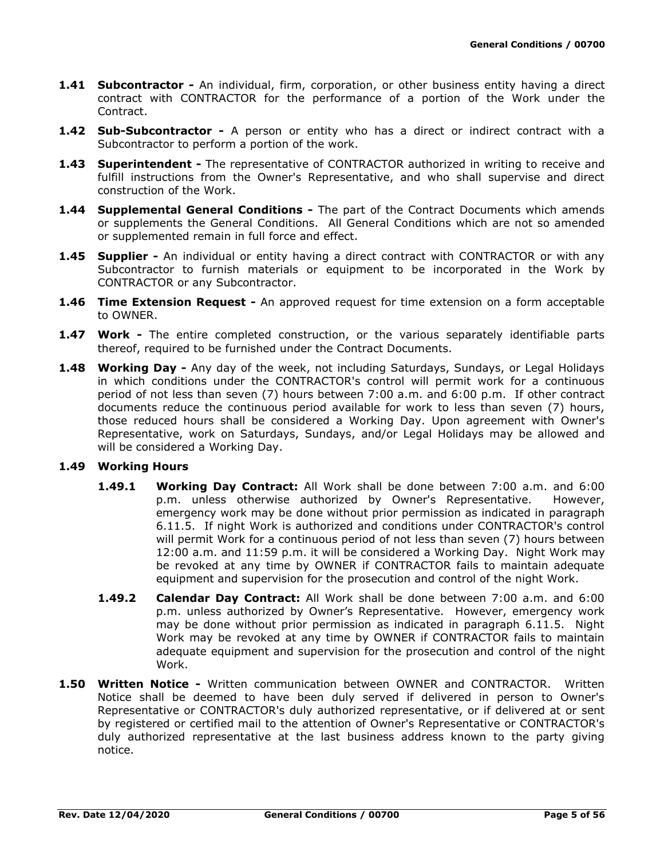- **1.41 Subcontractor -** An individual, firm, corporation, or other business entity having a direct contract with CONTRACTOR for the performance of a portion of the Work under the Contract.
- **1.42 Sub-Subcontractor -** A person or entity who has a direct or indirect contract with a Subcontractor to perform a portion of the work.
- **1.43 Superintendent -** The representative of CONTRACTOR authorized in writing to receive and fulfill instructions from the Owner's Representative, and who shall supervise and direct construction of the Work.
- **1.44 Supplemental General Conditions -** The part of the Contract Documents which amends or supplements the General Conditions. All General Conditions which are not so amended or supplemented remain in full force and effect.
- **1.45 Supplier** An individual or entity having a direct contract with CONTRACTOR or with any Subcontractor to furnish materials or equipment to be incorporated in the Work by CONTRACTOR or any Subcontractor.
- **1.46 Time Extension Request -** An approved request for time extension on a form acceptable to OWNER.
- 1.47 Work The entire completed construction, or the various separately identifiable parts thereof, required to be furnished under the Contract Documents.
- **1.48 Working Day -** Any day of the week, not including Saturdays, Sundays, or Legal Holidays in which conditions under the CONTRACTOR's control will permit work for a continuous period of not less than seven (7) hours between 7:00 a.m. and 6:00 p.m. If other contract documents reduce the continuous period available for work to less than seven (7) hours, those reduced hours shall be considered a Working Day. Upon agreement with Owner's Representative, work on Saturdays, Sundays, and/or Legal Holidays may be allowed and will be considered a Working Day.

### **1.49 Working Hours**

- **1.49.1 Working Day Contract:** All Work shall be done between 7:00 a.m. and 6:00 p.m. unless otherwise authorized by Owner's Representative. However, emergency work may be done without prior permission as indicated in paragraph 6.11.5. If night Work is authorized and conditions under CONTRACTOR's control will permit Work for a continuous period of not less than seven (7) hours between 12:00 a.m. and 11:59 p.m. it will be considered a Working Day. Night Work may be revoked at any time by OWNER if CONTRACTOR fails to maintain adequate equipment and supervision for the prosecution and control of the night Work.
- **1.49.2 Calendar Day Contract:** All Work shall be done between 7:00 a.m. and 6:00 p.m. unless authorized by Owner's Representative. However, emergency work may be done without prior permission as indicated in paragraph 6.11.5. Night Work may be revoked at any time by OWNER if CONTRACTOR fails to maintain adequate equipment and supervision for the prosecution and control of the night Work.
- **1.50 Written Notice -** Written communication between OWNER and CONTRACTOR. Written Notice shall be deemed to have been duly served if delivered in person to Owner's Representative or CONTRACTOR's duly authorized representative, or if delivered at or sent by registered or certified mail to the attention of Owner's Representative or CONTRACTOR's duly authorized representative at the last business address known to the party giving notice.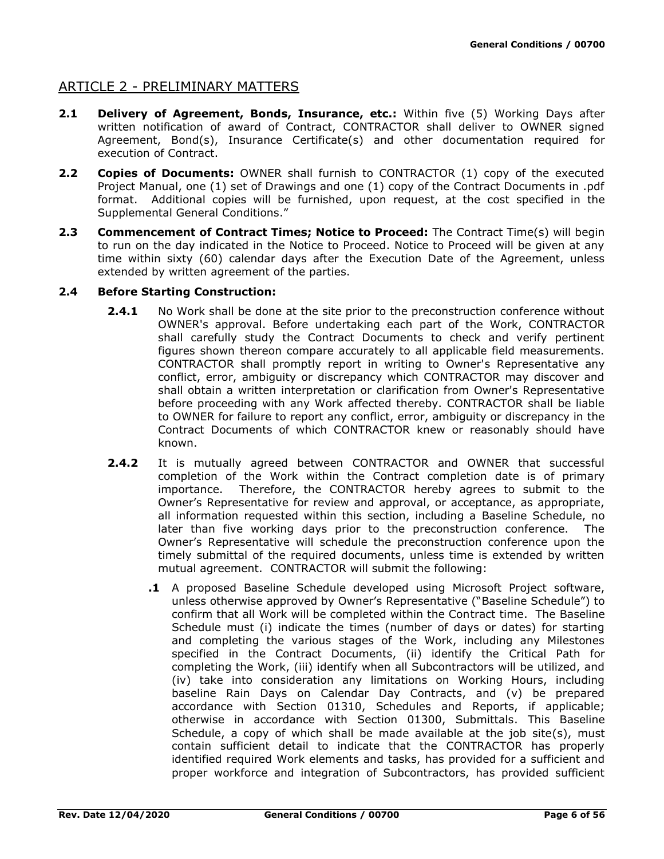# ARTICLE 2 - PRELIMINARY MATTERS

- **2.1 Delivery of Agreement, Bonds, Insurance, etc.:** Within five (5) Working Days after written notification of award of Contract, CONTRACTOR shall deliver to OWNER signed Agreement, Bond(s), Insurance Certificate(s) and other documentation required for execution of Contract.
- **2.2 Copies of Documents:** OWNER shall furnish to CONTRACTOR (1) copy of the executed Project Manual, one (1) set of Drawings and one (1) copy of the Contract Documents in .pdf format. Additional copies will be furnished, upon request, at the cost specified in the Supplemental General Conditions."
- 2.3 **Commencement of Contract Times; Notice to Proceed:** The Contract Time(s) will begin to run on the day indicated in the Notice to Proceed. Notice to Proceed will be given at any time within sixty (60) calendar days after the Execution Date of the Agreement, unless extended by written agreement of the parties.

### **2.4 Before Starting Construction:**

- **2.4.1** No Work shall be done at the site prior to the preconstruction conference without OWNER's approval. Before undertaking each part of the Work, CONTRACTOR shall carefully study the Contract Documents to check and verify pertinent figures shown thereon compare accurately to all applicable field measurements. CONTRACTOR shall promptly report in writing to Owner's Representative any conflict, error, ambiguity or discrepancy which CONTRACTOR may discover and shall obtain a written interpretation or clarification from Owner's Representative before proceeding with any Work affected thereby. CONTRACTOR shall be liable to OWNER for failure to report any conflict, error, ambiguity or discrepancy in the Contract Documents of which CONTRACTOR knew or reasonably should have known.
- **2.4.2** It is mutually agreed between CONTRACTOR and OWNER that successful completion of the Work within the Contract completion date is of primary importance. Therefore, the CONTRACTOR hereby agrees to submit to the Owner's Representative for review and approval, or acceptance, as appropriate, all information requested within this section, including a Baseline Schedule, no later than five working days prior to the preconstruction conference. The Owner's Representative will schedule the preconstruction conference upon the timely submittal of the required documents, unless time is extended by written mutual agreement. CONTRACTOR will submit the following:
	- **.1** A proposed Baseline Schedule developed using Microsoft Project software, unless otherwise approved by Owner's Representative ("Baseline Schedule") to confirm that all Work will be completed within the Contract time. The Baseline Schedule must (i) indicate the times (number of days or dates) for starting and completing the various stages of the Work, including any Milestones specified in the Contract Documents, (ii) identify the Critical Path for completing the Work, (iii) identify when all Subcontractors will be utilized, and (iv) take into consideration any limitations on Working Hours, including baseline Rain Days on Calendar Day Contracts, and (v) be prepared accordance with Section 01310, Schedules and Reports, if applicable; otherwise in accordance with Section 01300, Submittals. This Baseline Schedule, a copy of which shall be made available at the job site(s), must contain sufficient detail to indicate that the CONTRACTOR has properly identified required Work elements and tasks, has provided for a sufficient and proper workforce and integration of Subcontractors, has provided sufficient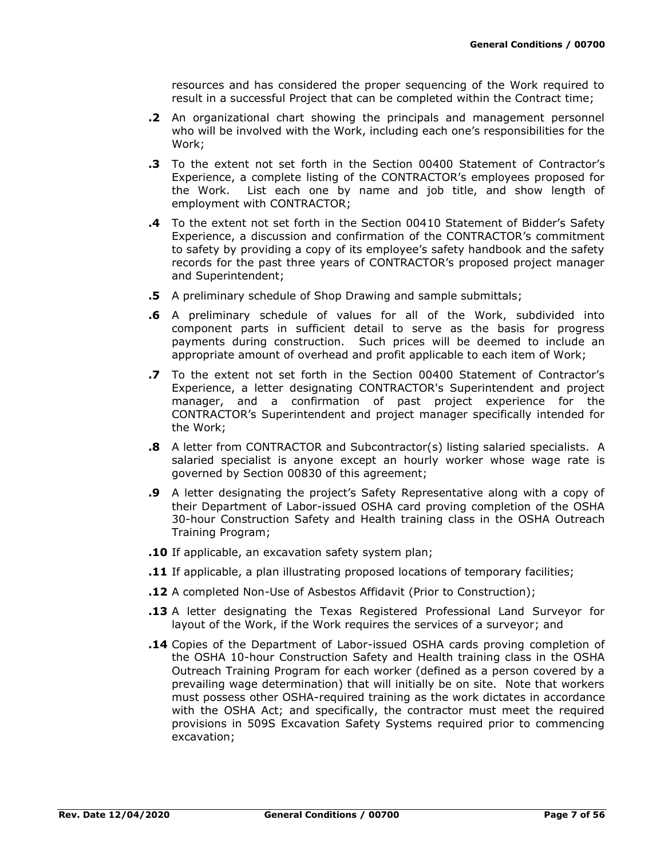resources and has considered the proper sequencing of the Work required to result in a successful Project that can be completed within the Contract time;

- **.2** An organizational chart showing the principals and management personnel who will be involved with the Work, including each one's responsibilities for the Work;
- **.3** To the extent not set forth in the Section 00400 Statement of Contractor's Experience, a complete listing of the CONTRACTOR's employees proposed for the Work. List each one by name and job title, and show length of employment with CONTRACTOR;
- **.4** To the extent not set forth in the Section 00410 Statement of Bidder's Safety Experience, a discussion and confirmation of the CONTRACTOR's commitment to safety by providing a copy of its employee's safety handbook and the safety records for the past three years of CONTRACTOR's proposed project manager and Superintendent;
- **.5** A preliminary schedule of Shop Drawing and sample submittals;
- **.6** A preliminary schedule of values for all of the Work, subdivided into component parts in sufficient detail to serve as the basis for progress payments during construction. Such prices will be deemed to include an appropriate amount of overhead and profit applicable to each item of Work;
- **.7** To the extent not set forth in the Section 00400 Statement of Contractor's Experience, a letter designating CONTRACTOR's Superintendent and project manager, and a confirmation of past project experience for the CONTRACTOR's Superintendent and project manager specifically intended for the Work;
- **.8** A letter from CONTRACTOR and Subcontractor(s) listing salaried specialists. A salaried specialist is anyone except an hourly worker whose wage rate is governed by Section 00830 of this agreement;
- **.9** A letter designating the project's Safety Representative along with a copy of their Department of Labor-issued OSHA card proving completion of the OSHA 30-hour Construction Safety and Health training class in the OSHA Outreach Training Program;
- **.10** If applicable, an excavation safety system plan;
- **.11** If applicable, a plan illustrating proposed locations of temporary facilities;
- **.12** A completed Non-Use of Asbestos Affidavit (Prior to Construction);
- **.13** A letter designating the Texas Registered Professional Land Surveyor for layout of the Work, if the Work requires the services of a surveyor; and
- **.14** Copies of the Department of Labor-issued OSHA cards proving completion of the OSHA 10-hour Construction Safety and Health training class in the OSHA Outreach Training Program for each worker (defined as a person covered by a prevailing wage determination) that will initially be on site. Note that workers must possess other OSHA-required training as the work dictates in accordance with the OSHA Act; and specifically, the contractor must meet the required provisions in 509S Excavation Safety Systems required prior to commencing excavation;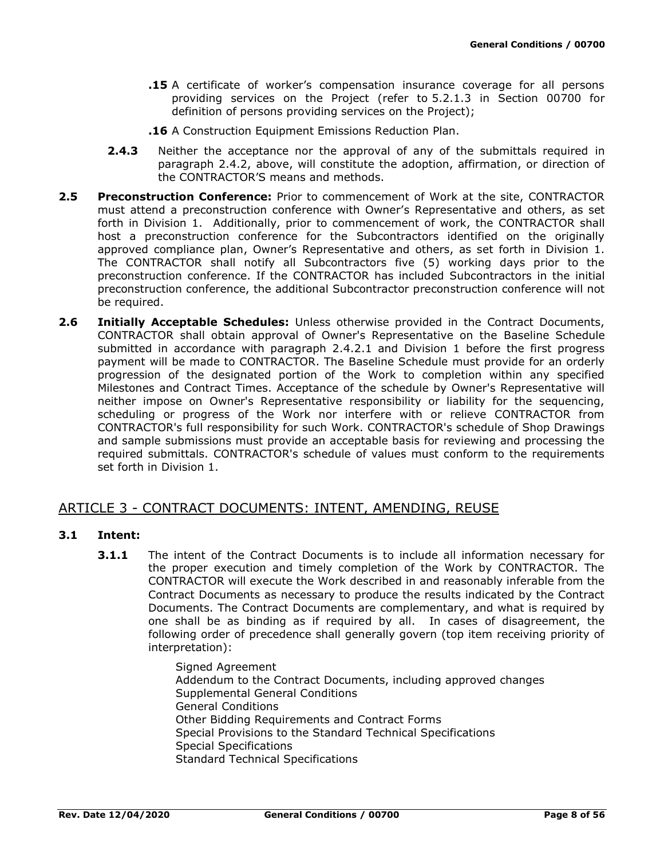- **.15** A certificate of worker's compensation insurance coverage for all persons providing services on the Project (refer to 5.2.1.3 in Section 00700 for definition of persons providing services on the Project);
- **.16** A Construction Equipment Emissions Reduction Plan.
- **2.4.3** Neither the acceptance nor the approval of any of the submittals required in paragraph 2.4.2, above, will constitute the adoption, affirmation, or direction of the CONTRACTOR'S means and methods.
- **2.5 Preconstruction Conference:** Prior to commencement of Work at the site, CONTRACTOR must attend a preconstruction conference with Owner's Representative and others, as set forth in Division 1. Additionally, prior to commencement of work, the CONTRACTOR shall host a preconstruction conference for the Subcontractors identified on the originally approved compliance plan, Owner's Representative and others, as set forth in Division 1. The CONTRACTOR shall notify all Subcontractors five (5) working days prior to the preconstruction conference. If the CONTRACTOR has included Subcontractors in the initial preconstruction conference, the additional Subcontractor preconstruction conference will not be required.
- **2.6 Initially Acceptable Schedules:** Unless otherwise provided in the Contract Documents, CONTRACTOR shall obtain approval of Owner's Representative on the Baseline Schedule submitted in accordance with paragraph 2.4.2.1 and Division 1 before the first progress payment will be made to CONTRACTOR. The Baseline Schedule must provide for an orderly progression of the designated portion of the Work to completion within any specified Milestones and Contract Times. Acceptance of the schedule by Owner's Representative will neither impose on Owner's Representative responsibility or liability for the sequencing, scheduling or progress of the Work nor interfere with or relieve CONTRACTOR from CONTRACTOR's full responsibility for such Work. CONTRACTOR's schedule of Shop Drawings and sample submissions must provide an acceptable basis for reviewing and processing the required submittals. CONTRACTOR's schedule of values must conform to the requirements set forth in Division 1.

## ARTICLE 3 - CONTRACT DOCUMENTS: INTENT, AMENDING, REUSE

### **3.1 Intent:**

**3.1.1** The intent of the Contract Documents is to include all information necessary for the proper execution and timely completion of the Work by CONTRACTOR. The CONTRACTOR will execute the Work described in and reasonably inferable from the Contract Documents as necessary to produce the results indicated by the Contract Documents. The Contract Documents are complementary, and what is required by one shall be as binding as if required by all. In cases of disagreement, the following order of precedence shall generally govern (top item receiving priority of interpretation):

> Signed Agreement Addendum to the Contract Documents, including approved changes Supplemental General Conditions General Conditions Other Bidding Requirements and Contract Forms Special Provisions to the Standard Technical Specifications Special Specifications Standard Technical Specifications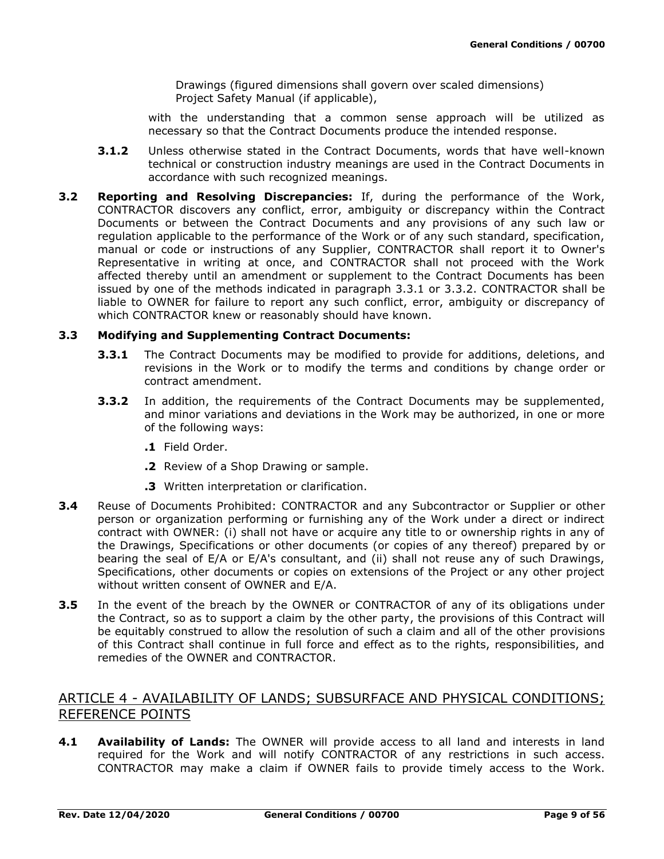Drawings (figured dimensions shall govern over scaled dimensions) Project Safety Manual (if applicable),

with the understanding that a common sense approach will be utilized as necessary so that the Contract Documents produce the intended response.

- **3.1.2** Unless otherwise stated in the Contract Documents, words that have well-known technical or construction industry meanings are used in the Contract Documents in accordance with such recognized meanings.
- **3.2 Reporting and Resolving Discrepancies:** If, during the performance of the Work, CONTRACTOR discovers any conflict, error, ambiguity or discrepancy within the Contract Documents or between the Contract Documents and any provisions of any such law or regulation applicable to the performance of the Work or of any such standard, specification, manual or code or instructions of any Supplier, CONTRACTOR shall report it to Owner's Representative in writing at once, and CONTRACTOR shall not proceed with the Work affected thereby until an amendment or supplement to the Contract Documents has been issued by one of the methods indicated in paragraph 3.3.1 or 3.3.2. CONTRACTOR shall be liable to OWNER for failure to report any such conflict, error, ambiguity or discrepancy of which CONTRACTOR knew or reasonably should have known.

### **3.3 Modifying and Supplementing Contract Documents:**

- **3.3.1** The Contract Documents may be modified to provide for additions, deletions, and revisions in the Work or to modify the terms and conditions by change order or contract amendment.
- **3.3.2** In addition, the requirements of the Contract Documents may be supplemented, and minor variations and deviations in the Work may be authorized, in one or more of the following ways:
	- **.1** Field Order.
	- **.2** Review of a Shop Drawing or sample.
	- **.3** Written interpretation or clarification.
- **3.4** Reuse of Documents Prohibited: CONTRACTOR and any Subcontractor or Supplier or other person or organization performing or furnishing any of the Work under a direct or indirect contract with OWNER: (i) shall not have or acquire any title to or ownership rights in any of the Drawings, Specifications or other documents (or copies of any thereof) prepared by or bearing the seal of E/A or E/A's consultant, and (ii) shall not reuse any of such Drawings, Specifications, other documents or copies on extensions of the Project or any other project without written consent of OWNER and E/A.
- **3.5** In the event of the breach by the OWNER or CONTRACTOR of any of its obligations under the Contract, so as to support a claim by the other party, the provisions of this Contract will be equitably construed to allow the resolution of such a claim and all of the other provisions of this Contract shall continue in full force and effect as to the rights, responsibilities, and remedies of the OWNER and CONTRACTOR.

# ARTICLE 4 - AVAILABILITY OF LANDS; SUBSURFACE AND PHYSICAL CONDITIONS; REFERENCE POINTS

**4.1 Availability of Lands:** The OWNER will provide access to all land and interests in land required for the Work and will notify CONTRACTOR of any restrictions in such access. CONTRACTOR may make a claim if OWNER fails to provide timely access to the Work.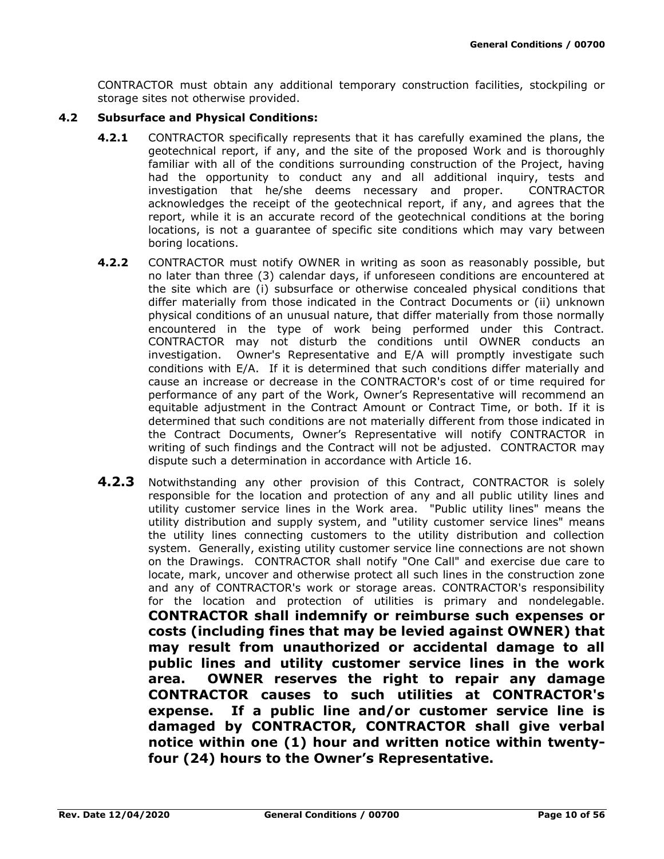CONTRACTOR must obtain any additional temporary construction facilities, stockpiling or storage sites not otherwise provided.

### **4.2 Subsurface and Physical Conditions:**

- **4.2.1** CONTRACTOR specifically represents that it has carefully examined the plans, the geotechnical report, if any, and the site of the proposed Work and is thoroughly familiar with all of the conditions surrounding construction of the Project, having had the opportunity to conduct any and all additional inquiry, tests and investigation that he/she deems necessary and proper. CONTRACTOR acknowledges the receipt of the geotechnical report, if any, and agrees that the report, while it is an accurate record of the geotechnical conditions at the boring locations, is not a guarantee of specific site conditions which may vary between boring locations.
- **4.2.2** CONTRACTOR must notify OWNER in writing as soon as reasonably possible, but no later than three (3) calendar days, if unforeseen conditions are encountered at the site which are (i) subsurface or otherwise concealed physical conditions that differ materially from those indicated in the Contract Documents or (ii) unknown physical conditions of an unusual nature, that differ materially from those normally encountered in the type of work being performed under this Contract. CONTRACTOR may not disturb the conditions until OWNER conducts an investigation. Owner's Representative and E/A will promptly investigate such conditions with E/A. If it is determined that such conditions differ materially and cause an increase or decrease in the CONTRACTOR's cost of or time required for performance of any part of the Work, Owner's Representative will recommend an equitable adjustment in the Contract Amount or Contract Time, or both. If it is determined that such conditions are not materially different from those indicated in the Contract Documents, Owner's Representative will notify CONTRACTOR in writing of such findings and the Contract will not be adjusted. CONTRACTOR may dispute such a determination in accordance with Article 16.
- **4.2.3** Notwithstanding any other provision of this Contract, CONTRACTOR is solely responsible for the location and protection of any and all public utility lines and utility customer service lines in the Work area. "Public utility lines" means the utility distribution and supply system, and "utility customer service lines" means the utility lines connecting customers to the utility distribution and collection system. Generally, existing utility customer service line connections are not shown on the Drawings. CONTRACTOR shall notify "One Call" and exercise due care to locate, mark, uncover and otherwise protect all such lines in the construction zone and any of CONTRACTOR's work or storage areas. CONTRACTOR's responsibility for the location and protection of utilities is primary and nondelegable. **CONTRACTOR shall indemnify or reimburse such expenses or costs (including fines that may be levied against OWNER) that may result from unauthorized or accidental damage to all public lines and utility customer service lines in the work area. OWNER reserves the right to repair any damage CONTRACTOR causes to such utilities at CONTRACTOR's expense. If a public line and/or customer service line is damaged by CONTRACTOR, CONTRACTOR shall give verbal notice within one (1) hour and written notice within twentyfour (24) hours to the Owner's Representative.**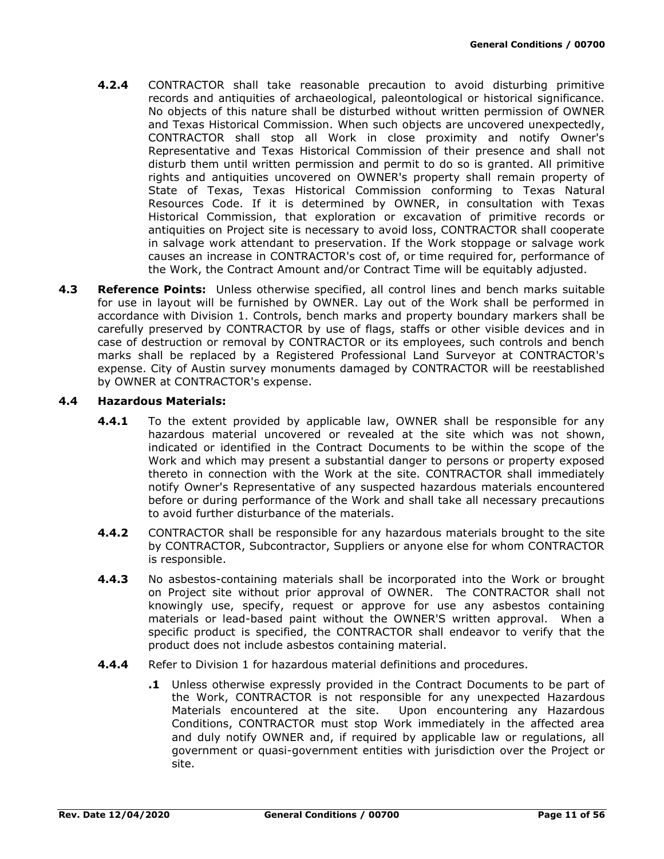- **4.2.4** CONTRACTOR shall take reasonable precaution to avoid disturbing primitive records and antiquities of archaeological, paleontological or historical significance. No objects of this nature shall be disturbed without written permission of OWNER and Texas Historical Commission. When such objects are uncovered unexpectedly, CONTRACTOR shall stop all Work in close proximity and notify Owner's Representative and Texas Historical Commission of their presence and shall not disturb them until written permission and permit to do so is granted. All primitive rights and antiquities uncovered on OWNER's property shall remain property of State of Texas, Texas Historical Commission conforming to Texas Natural Resources Code. If it is determined by OWNER, in consultation with Texas Historical Commission, that exploration or excavation of primitive records or antiquities on Project site is necessary to avoid loss, CONTRACTOR shall cooperate in salvage work attendant to preservation. If the Work stoppage or salvage work causes an increase in CONTRACTOR's cost of, or time required for, performance of the Work, the Contract Amount and/or Contract Time will be equitably adjusted.
- **4.3 Reference Points:** Unless otherwise specified, all control lines and bench marks suitable for use in layout will be furnished by OWNER. Lay out of the Work shall be performed in accordance with Division 1. Controls, bench marks and property boundary markers shall be carefully preserved by CONTRACTOR by use of flags, staffs or other visible devices and in case of destruction or removal by CONTRACTOR or its employees, such controls and bench marks shall be replaced by a Registered Professional Land Surveyor at CONTRACTOR's expense. City of Austin survey monuments damaged by CONTRACTOR will be reestablished by OWNER at CONTRACTOR's expense.

### **4.4 Hazardous Materials:**

- **4.4.1** To the extent provided by applicable law, OWNER shall be responsible for any hazardous material uncovered or revealed at the site which was not shown, indicated or identified in the Contract Documents to be within the scope of the Work and which may present a substantial danger to persons or property exposed thereto in connection with the Work at the site. CONTRACTOR shall immediately notify Owner's Representative of any suspected hazardous materials encountered before or during performance of the Work and shall take all necessary precautions to avoid further disturbance of the materials.
- **4.4.2** CONTRACTOR shall be responsible for any hazardous materials brought to the site by CONTRACTOR, Subcontractor, Suppliers or anyone else for whom CONTRACTOR is responsible.
- **4.4.3** No asbestos-containing materials shall be incorporated into the Work or brought on Project site without prior approval of OWNER. The CONTRACTOR shall not knowingly use, specify, request or approve for use any asbestos containing materials or lead-based paint without the OWNER'S written approval. When a specific product is specified, the CONTRACTOR shall endeavor to verify that the product does not include asbestos containing material.
- **4.4.4** Refer to Division 1 for hazardous material definitions and procedures.
	- **.1** Unless otherwise expressly provided in the Contract Documents to be part of the Work, CONTRACTOR is not responsible for any unexpected Hazardous Materials encountered at the site. Upon encountering any Hazardous Conditions, CONTRACTOR must stop Work immediately in the affected area and duly notify OWNER and, if required by applicable law or regulations, all government or quasi-government entities with jurisdiction over the Project or site.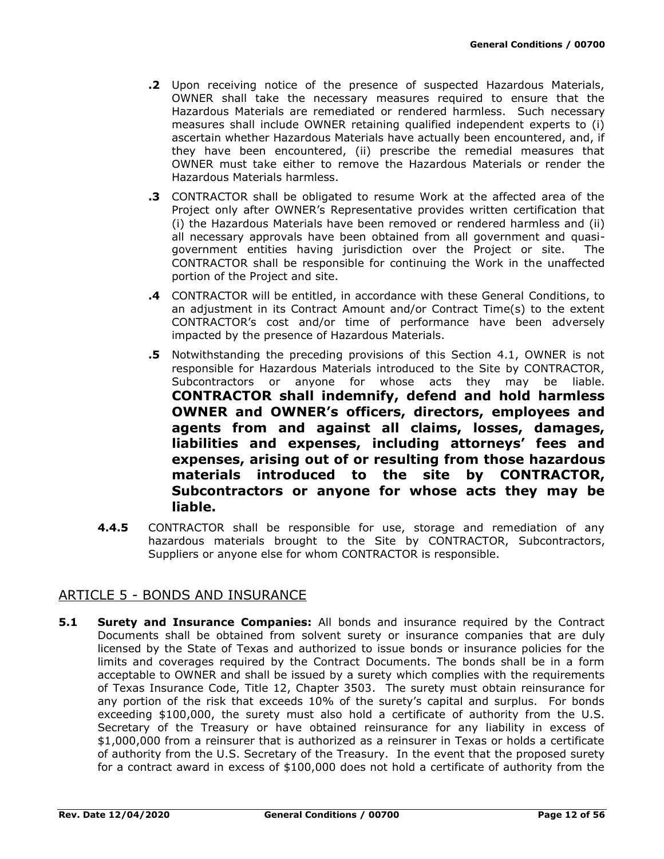- **.2** Upon receiving notice of the presence of suspected Hazardous Materials, OWNER shall take the necessary measures required to ensure that the Hazardous Materials are remediated or rendered harmless. Such necessary measures shall include OWNER retaining qualified independent experts to (i) ascertain whether Hazardous Materials have actually been encountered, and, if they have been encountered, (ii) prescribe the remedial measures that OWNER must take either to remove the Hazardous Materials or render the Hazardous Materials harmless.
- **.3** CONTRACTOR shall be obligated to resume Work at the affected area of the Project only after OWNER's Representative provides written certification that (i) the Hazardous Materials have been removed or rendered harmless and (ii) all necessary approvals have been obtained from all government and quasigovernment entities having jurisdiction over the Project or site. The CONTRACTOR shall be responsible for continuing the Work in the unaffected portion of the Project and site.
- **.4** CONTRACTOR will be entitled, in accordance with these General Conditions, to an adjustment in its Contract Amount and/or Contract Time(s) to the extent CONTRACTOR's cost and/or time of performance have been adversely impacted by the presence of Hazardous Materials.
- **.5** Notwithstanding the preceding provisions of this Section 4.1, OWNER is not responsible for Hazardous Materials introduced to the Site by CONTRACTOR, Subcontractors or anyone for whose acts they may be liable. **CONTRACTOR shall indemnify, defend and hold harmless OWNER and OWNER's officers, directors, employees and agents from and against all claims, losses, damages, liabilities and expenses, including attorneys' fees and expenses, arising out of or resulting from those hazardous materials introduced to the site by CONTRACTOR, Subcontractors or anyone for whose acts they may be liable.**
- **4.4.5** CONTRACTOR shall be responsible for use, storage and remediation of any hazardous materials brought to the Site by CONTRACTOR, Subcontractors, Suppliers or anyone else for whom CONTRACTOR is responsible.

# ARTICLE 5 - BONDS AND INSURANCE

**5.1 Surety and Insurance Companies:** All bonds and insurance required by the Contract Documents shall be obtained from solvent surety or insurance companies that are duly licensed by the State of Texas and authorized to issue bonds or insurance policies for the limits and coverages required by the Contract Documents. The bonds shall be in a form acceptable to OWNER and shall be issued by a surety which complies with the requirements of Texas Insurance Code, Title 12, Chapter 3503. The surety must obtain reinsurance for any portion of the risk that exceeds 10% of the surety's capital and surplus. For bonds exceeding \$100,000, the surety must also hold a certificate of authority from the U.S. Secretary of the Treasury or have obtained reinsurance for any liability in excess of \$1,000,000 from a reinsurer that is authorized as a reinsurer in Texas or holds a certificate of authority from the U.S. Secretary of the Treasury. In the event that the proposed surety for a contract award in excess of \$100,000 does not hold a certificate of authority from the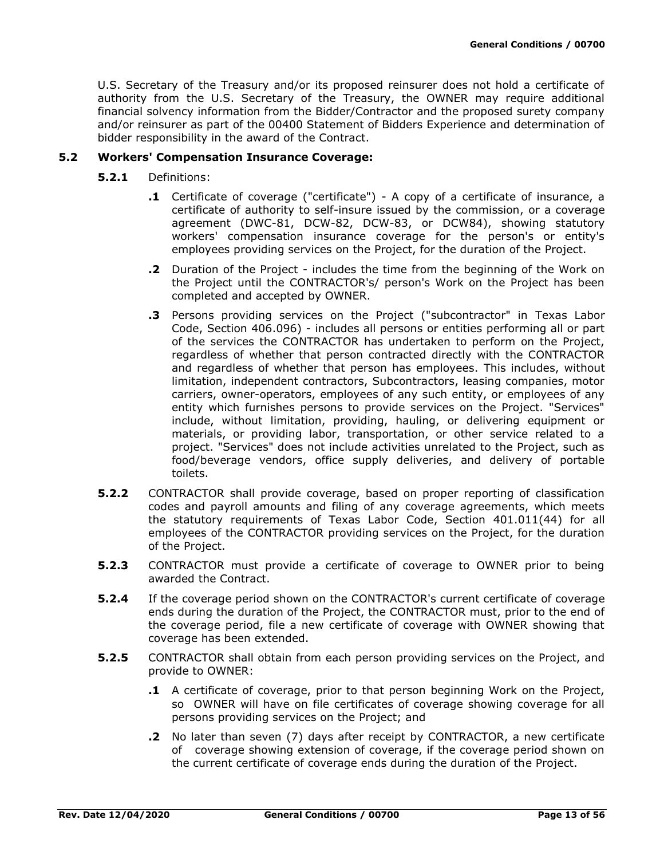U.S. Secretary of the Treasury and/or its proposed reinsurer does not hold a certificate of authority from the U.S. Secretary of the Treasury, the OWNER may require additional financial solvency information from the Bidder/Contractor and the proposed surety company and/or reinsurer as part of the 00400 Statement of Bidders Experience and determination of bidder responsibility in the award of the Contract.

### **5.2 Workers' Compensation Insurance Coverage:**

- **5.2.1** Definitions:
	- **.1** Certificate of coverage ("certificate") A copy of a certificate of insurance, a certificate of authority to self-insure issued by the commission, or a coverage agreement (DWC-81, DCW-82, DCW-83, or DCW84), showing statutory workers' compensation insurance coverage for the person's or entity's employees providing services on the Project, for the duration of the Project.
	- **.2** Duration of the Project includes the time from the beginning of the Work on the Project until the CONTRACTOR's/ person's Work on the Project has been completed and accepted by OWNER.
	- **.3** Persons providing services on the Project ("subcontractor" in Texas Labor Code, Section 406.096) - includes all persons or entities performing all or part of the services the CONTRACTOR has undertaken to perform on the Project, regardless of whether that person contracted directly with the CONTRACTOR and regardless of whether that person has employees. This includes, without limitation, independent contractors, Subcontractors, leasing companies, motor carriers, owner-operators, employees of any such entity, or employees of any entity which furnishes persons to provide services on the Project. "Services" include, without limitation, providing, hauling, or delivering equipment or materials, or providing labor, transportation, or other service related to a project. "Services" does not include activities unrelated to the Project, such as food/beverage vendors, office supply deliveries, and delivery of portable toilets.
- **5.2.2** CONTRACTOR shall provide coverage, based on proper reporting of classification codes and payroll amounts and filing of any coverage agreements, which meets the statutory requirements of Texas Labor Code, Section 401.011(44) for all employees of the CONTRACTOR providing services on the Project, for the duration of the Project.
- **5.2.3** CONTRACTOR must provide a certificate of coverage to OWNER prior to being awarded the Contract.
- **5.2.4** If the coverage period shown on the CONTRACTOR's current certificate of coverage ends during the duration of the Project, the CONTRACTOR must, prior to the end of the coverage period, file a new certificate of coverage with OWNER showing that coverage has been extended.
- **5.2.5** CONTRACTOR shall obtain from each person providing services on the Project, and provide to OWNER:
	- **.1** A certificate of coverage, prior to that person beginning Work on the Project, so OWNER will have on file certificates of coverage showing coverage for all persons providing services on the Project; and
	- **.2** No later than seven (7) days after receipt by CONTRACTOR, a new certificate of coverage showing extension of coverage, if the coverage period shown on the current certificate of coverage ends during the duration of the Project.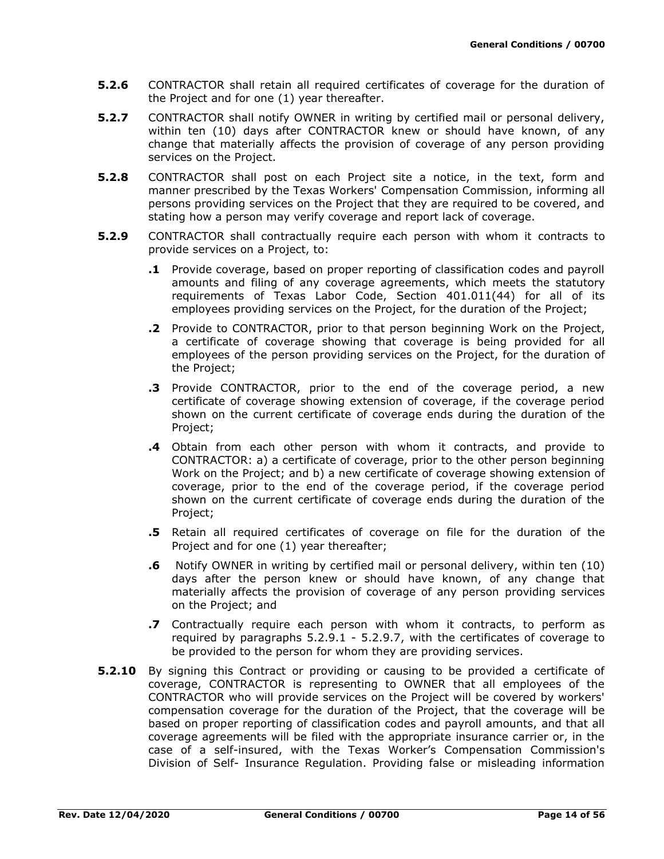- **5.2.6** CONTRACTOR shall retain all required certificates of coverage for the duration of the Project and for one (1) year thereafter.
- **5.2.7** CONTRACTOR shall notify OWNER in writing by certified mail or personal delivery, within ten (10) days after CONTRACTOR knew or should have known, of any change that materially affects the provision of coverage of any person providing services on the Project.
- **5.2.8** CONTRACTOR shall post on each Project site a notice, in the text, form and manner prescribed by the Texas Workers' Compensation Commission, informing all persons providing services on the Project that they are required to be covered, and stating how a person may verify coverage and report lack of coverage.
- **5.2.9** CONTRACTOR shall contractually require each person with whom it contracts to provide services on a Project, to:
	- **.1** Provide coverage, based on proper reporting of classification codes and payroll amounts and filing of any coverage agreements, which meets the statutory requirements of Texas Labor Code, Section 401.011(44) for all of its employees providing services on the Project, for the duration of the Project;
	- **.2** Provide to CONTRACTOR, prior to that person beginning Work on the Project, a certificate of coverage showing that coverage is being provided for all employees of the person providing services on the Project, for the duration of the Project;
	- **.3** Provide CONTRACTOR, prior to the end of the coverage period, a new certificate of coverage showing extension of coverage, if the coverage period shown on the current certificate of coverage ends during the duration of the Project;
	- **.4** Obtain from each other person with whom it contracts, and provide to CONTRACTOR: a) a certificate of coverage, prior to the other person beginning Work on the Project; and b) a new certificate of coverage showing extension of coverage, prior to the end of the coverage period, if the coverage period shown on the current certificate of coverage ends during the duration of the Project;
	- **.5** Retain all required certificates of coverage on file for the duration of the Project and for one (1) year thereafter;
	- **.6** Notify OWNER in writing by certified mail or personal delivery, within ten (10) days after the person knew or should have known, of any change that materially affects the provision of coverage of any person providing services on the Project; and
	- **.7** Contractually require each person with whom it contracts, to perform as required by paragraphs 5.2.9.1 - 5.2.9.7, with the certificates of coverage to be provided to the person for whom they are providing services.
- **5.2.10** By signing this Contract or providing or causing to be provided a certificate of coverage, CONTRACTOR is representing to OWNER that all employees of the CONTRACTOR who will provide services on the Project will be covered by workers' compensation coverage for the duration of the Project, that the coverage will be based on proper reporting of classification codes and payroll amounts, and that all coverage agreements will be filed with the appropriate insurance carrier or, in the case of a self-insured, with the Texas Worker's Compensation Commission's Division of Self- Insurance Regulation. Providing false or misleading information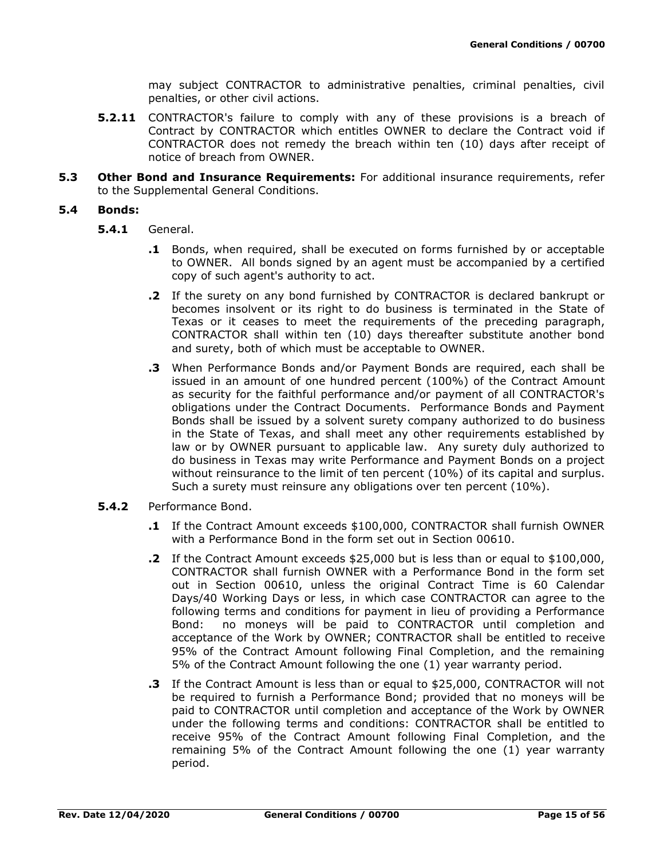may subject CONTRACTOR to administrative penalties, criminal penalties, civil penalties, or other civil actions.

- **5.2.11** CONTRACTOR's failure to comply with any of these provisions is a breach of Contract by CONTRACTOR which entitles OWNER to declare the Contract void if CONTRACTOR does not remedy the breach within ten (10) days after receipt of notice of breach from OWNER.
- **5.3 Other Bond and Insurance Requirements:** For additional insurance requirements, refer to the Supplemental General Conditions.

#### **5.4 Bonds:**

- **5.4.1** General.
	- **.1** Bonds, when required, shall be executed on forms furnished by or acceptable to OWNER. All bonds signed by an agent must be accompanied by a certified copy of such agent's authority to act.
	- **.2** If the surety on any bond furnished by CONTRACTOR is declared bankrupt or becomes insolvent or its right to do business is terminated in the State of Texas or it ceases to meet the requirements of the preceding paragraph, CONTRACTOR shall within ten (10) days thereafter substitute another bond and surety, both of which must be acceptable to OWNER.
	- **.3** When Performance Bonds and/or Payment Bonds are required, each shall be issued in an amount of one hundred percent (100%) of the Contract Amount as security for the faithful performance and/or payment of all CONTRACTOR's obligations under the Contract Documents. Performance Bonds and Payment Bonds shall be issued by a solvent surety company authorized to do business in the State of Texas, and shall meet any other requirements established by law or by OWNER pursuant to applicable law. Any surety duly authorized to do business in Texas may write Performance and Payment Bonds on a project without reinsurance to the limit of ten percent (10%) of its capital and surplus. Such a surety must reinsure any obligations over ten percent (10%).
- **5.4.2** Performance Bond.
	- **.1** If the Contract Amount exceeds \$100,000, CONTRACTOR shall furnish OWNER with a Performance Bond in the form set out in Section 00610.
	- **.2** If the Contract Amount exceeds \$25,000 but is less than or equal to \$100,000, CONTRACTOR shall furnish OWNER with a Performance Bond in the form set out in Section 00610, unless the original Contract Time is 60 Calendar Days/40 Working Days or less, in which case CONTRACTOR can agree to the following terms and conditions for payment in lieu of providing a Performance Bond: no moneys will be paid to CONTRACTOR until completion and acceptance of the Work by OWNER; CONTRACTOR shall be entitled to receive 95% of the Contract Amount following Final Completion, and the remaining 5% of the Contract Amount following the one (1) year warranty period.
	- **.3** If the Contract Amount is less than or equal to \$25,000, CONTRACTOR will not be required to furnish a Performance Bond; provided that no moneys will be paid to CONTRACTOR until completion and acceptance of the Work by OWNER under the following terms and conditions: CONTRACTOR shall be entitled to receive 95% of the Contract Amount following Final Completion, and the remaining 5% of the Contract Amount following the one (1) year warranty period.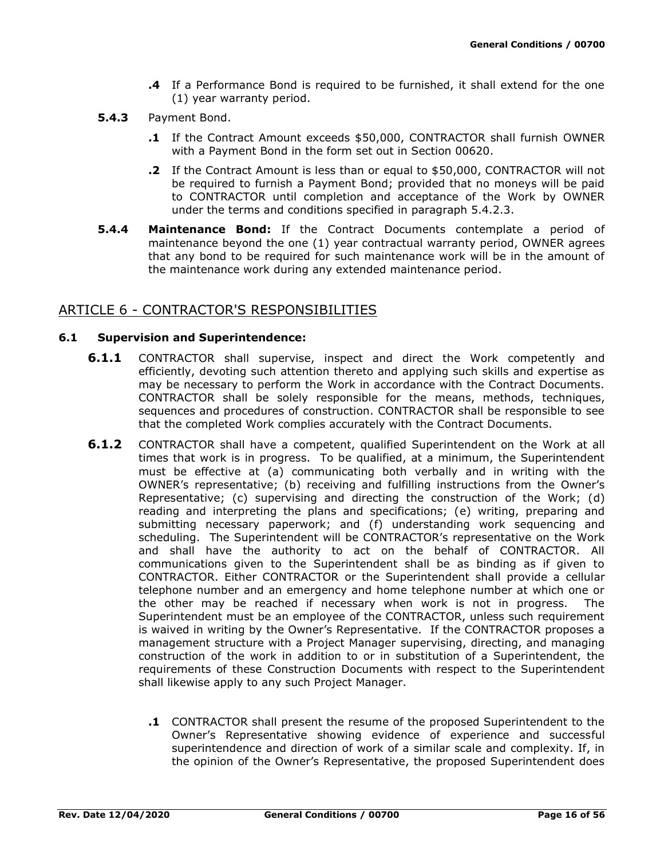- **.4** If a Performance Bond is required to be furnished, it shall extend for the one (1) year warranty period.
- **5.4.3** Payment Bond.
	- **.1** If the Contract Amount exceeds \$50,000, CONTRACTOR shall furnish OWNER with a Payment Bond in the form set out in Section 00620.
	- **.2** If the Contract Amount is less than or equal to \$50,000, CONTRACTOR will not be required to furnish a Payment Bond; provided that no moneys will be paid to CONTRACTOR until completion and acceptance of the Work by OWNER under the terms and conditions specified in paragraph 5.4.2.3.
- **5.4.4 Maintenance Bond:** If the Contract Documents contemplate a period of maintenance beyond the one (1) year contractual warranty period, OWNER agrees that any bond to be required for such maintenance work will be in the amount of the maintenance work during any extended maintenance period.

# ARTICLE 6 - CONTRACTOR'S RESPONSIBILITIES

### **6.1 Supervision and Superintendence:**

- **6.1.1** CONTRACTOR shall supervise, inspect and direct the Work competently and efficiently, devoting such attention thereto and applying such skills and expertise as may be necessary to perform the Work in accordance with the Contract Documents. CONTRACTOR shall be solely responsible for the means, methods, techniques, sequences and procedures of construction. CONTRACTOR shall be responsible to see that the completed Work complies accurately with the Contract Documents.
- **6.1.2** CONTRACTOR shall have a competent, qualified Superintendent on the Work at all times that work is in progress. To be qualified, at a minimum, the Superintendent must be effective at (a) communicating both verbally and in writing with the OWNER's representative; (b) receiving and fulfilling instructions from the Owner's Representative; (c) supervising and directing the construction of the Work; (d) reading and interpreting the plans and specifications; (e) writing, preparing and submitting necessary paperwork; and (f) understanding work sequencing and scheduling. The Superintendent will be CONTRACTOR's representative on the Work and shall have the authority to act on the behalf of CONTRACTOR. All communications given to the Superintendent shall be as binding as if given to CONTRACTOR. Either CONTRACTOR or the Superintendent shall provide a cellular telephone number and an emergency and home telephone number at which one or the other may be reached if necessary when work is not in progress. The Superintendent must be an employee of the CONTRACTOR, unless such requirement is waived in writing by the Owner's Representative. If the CONTRACTOR proposes a management structure with a Project Manager supervising, directing, and managing construction of the work in addition to or in substitution of a Superintendent, the requirements of these Construction Documents with respect to the Superintendent shall likewise apply to any such Project Manager.
	- **.1** CONTRACTOR shall present the resume of the proposed Superintendent to the Owner's Representative showing evidence of experience and successful superintendence and direction of work of a similar scale and complexity. If, in the opinion of the Owner's Representative, the proposed Superintendent does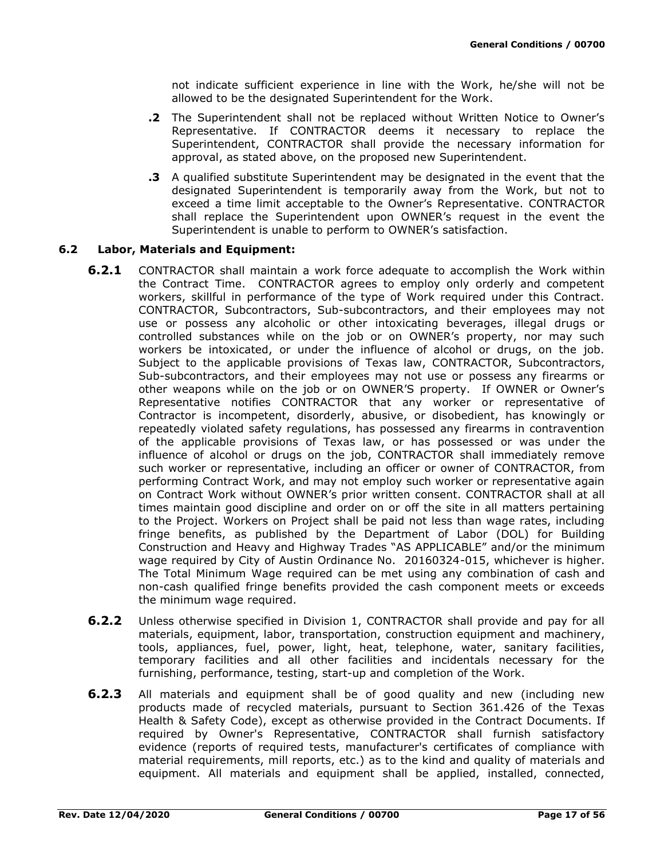not indicate sufficient experience in line with the Work, he/she will not be allowed to be the designated Superintendent for the Work.

- **.2** The Superintendent shall not be replaced without Written Notice to Owner's Representative. If CONTRACTOR deems it necessary to replace the Superintendent, CONTRACTOR shall provide the necessary information for approval, as stated above, on the proposed new Superintendent.
- **.3** A qualified substitute Superintendent may be designated in the event that the designated Superintendent is temporarily away from the Work, but not to exceed a time limit acceptable to the Owner's Representative. CONTRACTOR shall replace the Superintendent upon OWNER's request in the event the Superintendent is unable to perform to OWNER's satisfaction.

### **6.2 Labor, Materials and Equipment:**

- **6.2.1** CONTRACTOR shall maintain a work force adequate to accomplish the Work within the Contract Time. CONTRACTOR agrees to employ only orderly and competent workers, skillful in performance of the type of Work required under this Contract. CONTRACTOR, Subcontractors, Sub-subcontractors, and their employees may not use or possess any alcoholic or other intoxicating beverages, illegal drugs or controlled substances while on the job or on OWNER's property, nor may such workers be intoxicated, or under the influence of alcohol or drugs, on the job. Subject to the applicable provisions of Texas law, CONTRACTOR, Subcontractors, Sub-subcontractors, and their employees may not use or possess any firearms or other weapons while on the job or on OWNER'S property. If OWNER or Owner's Representative notifies CONTRACTOR that any worker or representative of Contractor is incompetent, disorderly, abusive, or disobedient, has knowingly or repeatedly violated safety regulations, has possessed any firearms in contravention of the applicable provisions of Texas law, or has possessed or was under the influence of alcohol or drugs on the job, CONTRACTOR shall immediately remove such worker or representative, including an officer or owner of CONTRACTOR, from performing Contract Work, and may not employ such worker or representative again on Contract Work without OWNER's prior written consent. CONTRACTOR shall at all times maintain good discipline and order on or off the site in all matters pertaining to the Project. Workers on Project shall be paid not less than wage rates, including fringe benefits, as published by the Department of Labor (DOL) for Building Construction and Heavy and Highway Trades "AS APPLICABLE" and/or the minimum wage required by City of Austin Ordinance No. 20160324-015, whichever is higher. The Total Minimum Wage required can be met using any combination of cash and non-cash qualified fringe benefits provided the cash component meets or exceeds the minimum wage required.
- **6.2.2** Unless otherwise specified in Division 1, CONTRACTOR shall provide and pay for all materials, equipment, labor, transportation, construction equipment and machinery, tools, appliances, fuel, power, light, heat, telephone, water, sanitary facilities, temporary facilities and all other facilities and incidentals necessary for the furnishing, performance, testing, start-up and completion of the Work.
- **6.2.3** All materials and equipment shall be of good quality and new (including new products made of recycled materials, pursuant to Section 361.426 of the Texas Health & Safety Code), except as otherwise provided in the Contract Documents. If required by Owner's Representative, CONTRACTOR shall furnish satisfactory evidence (reports of required tests, manufacturer's certificates of compliance with material requirements, mill reports, etc.) as to the kind and quality of materials and equipment. All materials and equipment shall be applied, installed, connected,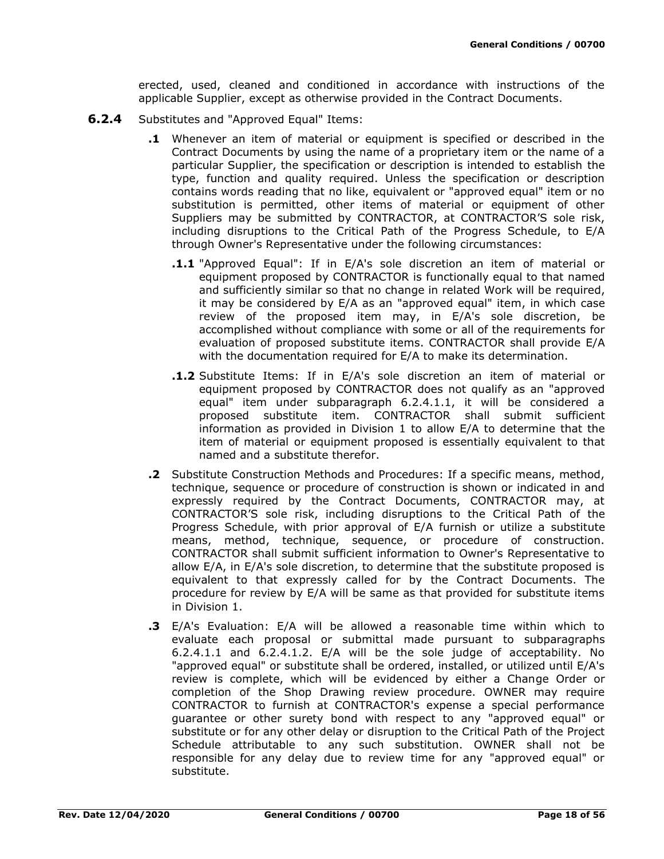erected, used, cleaned and conditioned in accordance with instructions of the applicable Supplier, except as otherwise provided in the Contract Documents.

- **6.2.4** Substitutes and "Approved Equal" Items:
	- **.1** Whenever an item of material or equipment is specified or described in the Contract Documents by using the name of a proprietary item or the name of a particular Supplier, the specification or description is intended to establish the type, function and quality required. Unless the specification or description contains words reading that no like, equivalent or "approved equal" item or no substitution is permitted, other items of material or equipment of other Suppliers may be submitted by CONTRACTOR, at CONTRACTOR'S sole risk, including disruptions to the Critical Path of the Progress Schedule, to E/A through Owner's Representative under the following circumstances:
		- **.1.1** "Approved Equal": If in E/A's sole discretion an item of material or equipment proposed by CONTRACTOR is functionally equal to that named and sufficiently similar so that no change in related Work will be required, it may be considered by E/A as an "approved equal" item, in which case review of the proposed item may, in E/A's sole discretion, be accomplished without compliance with some or all of the requirements for evaluation of proposed substitute items. CONTRACTOR shall provide E/A with the documentation required for E/A to make its determination.
		- **.1.2** Substitute Items: If in E/A's sole discretion an item of material or equipment proposed by CONTRACTOR does not qualify as an "approved equal" item under subparagraph 6.2.4.1.1, it will be considered a proposed substitute item. CONTRACTOR shall submit sufficient information as provided in Division 1 to allow E/A to determine that the item of material or equipment proposed is essentially equivalent to that named and a substitute therefor.
	- **.2** Substitute Construction Methods and Procedures: If a specific means, method, technique, sequence or procedure of construction is shown or indicated in and expressly required by the Contract Documents, CONTRACTOR may, at CONTRACTOR'S sole risk, including disruptions to the Critical Path of the Progress Schedule, with prior approval of E/A furnish or utilize a substitute means, method, technique, sequence, or procedure of construction. CONTRACTOR shall submit sufficient information to Owner's Representative to allow E/A, in E/A's sole discretion, to determine that the substitute proposed is equivalent to that expressly called for by the Contract Documents. The procedure for review by E/A will be same as that provided for substitute items in Division 1.
	- **.3** E/A's Evaluation: E/A will be allowed a reasonable time within which to evaluate each proposal or submittal made pursuant to subparagraphs 6.2.4.1.1 and 6.2.4.1.2. E/A will be the sole judge of acceptability. No "approved equal" or substitute shall be ordered, installed, or utilized until E/A's review is complete, which will be evidenced by either a Change Order or completion of the Shop Drawing review procedure. OWNER may require CONTRACTOR to furnish at CONTRACTOR's expense a special performance guarantee or other surety bond with respect to any "approved equal" or substitute or for any other delay or disruption to the Critical Path of the Project Schedule attributable to any such substitution. OWNER shall not be responsible for any delay due to review time for any "approved equal" or substitute.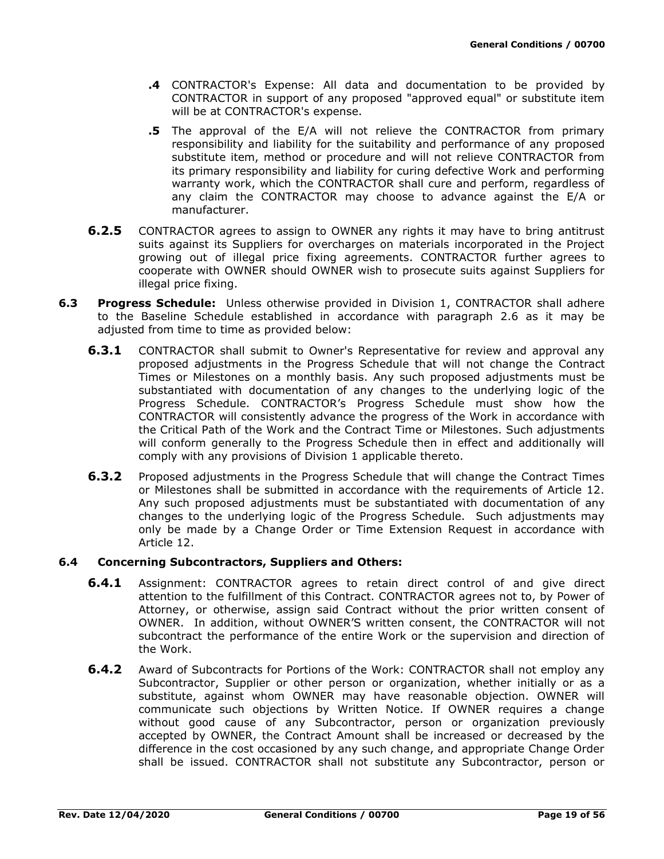- **.4** CONTRACTOR's Expense: All data and documentation to be provided by CONTRACTOR in support of any proposed "approved equal" or substitute item will be at CONTRACTOR's expense.
- **.5** The approval of the E/A will not relieve the CONTRACTOR from primary responsibility and liability for the suitability and performance of any proposed substitute item, method or procedure and will not relieve CONTRACTOR from its primary responsibility and liability for curing defective Work and performing warranty work, which the CONTRACTOR shall cure and perform, regardless of any claim the CONTRACTOR may choose to advance against the E/A or manufacturer.
- **6.2.5** CONTRACTOR agrees to assign to OWNER any rights it may have to bring antitrust suits against its Suppliers for overcharges on materials incorporated in the Project growing out of illegal price fixing agreements. CONTRACTOR further agrees to cooperate with OWNER should OWNER wish to prosecute suits against Suppliers for illegal price fixing.
- **6.3 Progress Schedule:** Unless otherwise provided in Division 1, CONTRACTOR shall adhere to the Baseline Schedule established in accordance with paragraph 2.6 as it may be adjusted from time to time as provided below:
	- **6.3.1** CONTRACTOR shall submit to Owner's Representative for review and approval any proposed adjustments in the Progress Schedule that will not change the Contract Times or Milestones on a monthly basis. Any such proposed adjustments must be substantiated with documentation of any changes to the underlying logic of the Progress Schedule. CONTRACTOR's Progress Schedule must show how the CONTRACTOR will consistently advance the progress of the Work in accordance with the Critical Path of the Work and the Contract Time or Milestones. Such adjustments will conform generally to the Progress Schedule then in effect and additionally will comply with any provisions of Division 1 applicable thereto.
	- **6.3.2** Proposed adjustments in the Progress Schedule that will change the Contract Times or Milestones shall be submitted in accordance with the requirements of Article 12. Any such proposed adjustments must be substantiated with documentation of any changes to the underlying logic of the Progress Schedule. Such adjustments may only be made by a Change Order or Time Extension Request in accordance with Article 12.

### **6.4 Concerning Subcontractors, Suppliers and Others:**

- **6.4.1** Assignment: CONTRACTOR agrees to retain direct control of and give direct attention to the fulfillment of this Contract. CONTRACTOR agrees not to, by Power of Attorney, or otherwise, assign said Contract without the prior written consent of OWNER. In addition, without OWNER'S written consent, the CONTRACTOR will not subcontract the performance of the entire Work or the supervision and direction of the Work.
- **6.4.2** Award of Subcontracts for Portions of the Work: CONTRACTOR shall not employ any Subcontractor, Supplier or other person or organization, whether initially or as a substitute, against whom OWNER may have reasonable objection. OWNER will communicate such objections by Written Notice. If OWNER requires a change without good cause of any Subcontractor, person or organization previously accepted by OWNER, the Contract Amount shall be increased or decreased by the difference in the cost occasioned by any such change, and appropriate Change Order shall be issued. CONTRACTOR shall not substitute any Subcontractor, person or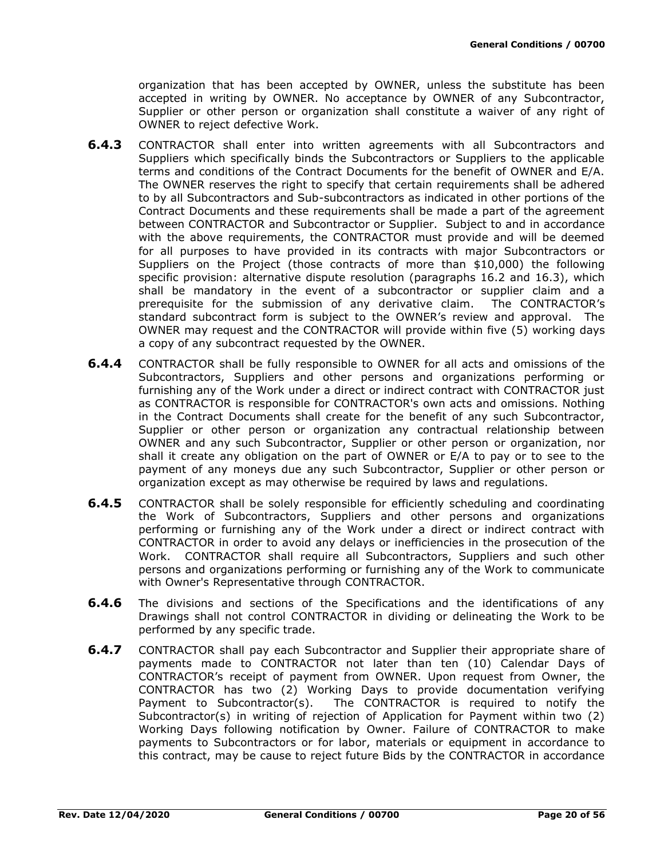organization that has been accepted by OWNER, unless the substitute has been accepted in writing by OWNER. No acceptance by OWNER of any Subcontractor, Supplier or other person or organization shall constitute a waiver of any right of OWNER to reject defective Work.

- **6.4.3** CONTRACTOR shall enter into written agreements with all Subcontractors and Suppliers which specifically binds the Subcontractors or Suppliers to the applicable terms and conditions of the Contract Documents for the benefit of OWNER and E/A. The OWNER reserves the right to specify that certain requirements shall be adhered to by all Subcontractors and Sub-subcontractors as indicated in other portions of the Contract Documents and these requirements shall be made a part of the agreement between CONTRACTOR and Subcontractor or Supplier. Subject to and in accordance with the above requirements, the CONTRACTOR must provide and will be deemed for all purposes to have provided in its contracts with major Subcontractors or Suppliers on the Project (those contracts of more than \$10,000) the following specific provision: alternative dispute resolution (paragraphs 16.2 and 16.3), which shall be mandatory in the event of a subcontractor or supplier claim and a prerequisite for the submission of any derivative claim. The CONTRACTOR's standard subcontract form is subject to the OWNER's review and approval. The OWNER may request and the CONTRACTOR will provide within five (5) working days a copy of any subcontract requested by the OWNER.
- **6.4.4** CONTRACTOR shall be fully responsible to OWNER for all acts and omissions of the Subcontractors, Suppliers and other persons and organizations performing or furnishing any of the Work under a direct or indirect contract with CONTRACTOR just as CONTRACTOR is responsible for CONTRACTOR's own acts and omissions. Nothing in the Contract Documents shall create for the benefit of any such Subcontractor, Supplier or other person or organization any contractual relationship between OWNER and any such Subcontractor, Supplier or other person or organization, nor shall it create any obligation on the part of OWNER or E/A to pay or to see to the payment of any moneys due any such Subcontractor, Supplier or other person or organization except as may otherwise be required by laws and regulations.
- **6.4.5** CONTRACTOR shall be solely responsible for efficiently scheduling and coordinating the Work of Subcontractors, Suppliers and other persons and organizations performing or furnishing any of the Work under a direct or indirect contract with CONTRACTOR in order to avoid any delays or inefficiencies in the prosecution of the Work. CONTRACTOR shall require all Subcontractors, Suppliers and such other persons and organizations performing or furnishing any of the Work to communicate with Owner's Representative through CONTRACTOR.
- **6.4.6** The divisions and sections of the Specifications and the identifications of any Drawings shall not control CONTRACTOR in dividing or delineating the Work to be performed by any specific trade.
- **6.4.7** CONTRACTOR shall pay each Subcontractor and Supplier their appropriate share of payments made to CONTRACTOR not later than ten (10) Calendar Days of CONTRACTOR's receipt of payment from OWNER. Upon request from Owner, the CONTRACTOR has two (2) Working Days to provide documentation verifying Payment to Subcontractor(s). The CONTRACTOR is required to notify the Subcontractor(s) in writing of rejection of Application for Payment within two (2) Working Days following notification by Owner. Failure of CONTRACTOR to make payments to Subcontractors or for labor, materials or equipment in accordance to this contract, may be cause to reject future Bids by the CONTRACTOR in accordance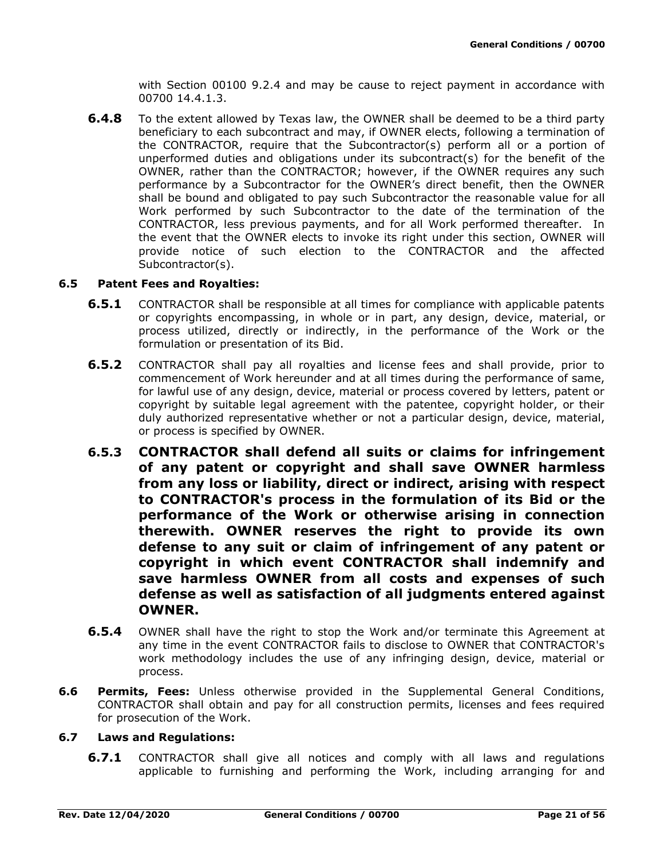with Section 00100 9.2.4 and may be cause to reject payment in accordance with 00700 14.4.1.3.

**6.4.8** To the extent allowed by Texas law, the OWNER shall be deemed to be a third party beneficiary to each subcontract and may, if OWNER elects, following a termination of the CONTRACTOR, require that the Subcontractor(s) perform all or a portion of unperformed duties and obligations under its subcontract(s) for the benefit of the OWNER, rather than the CONTRACTOR; however, if the OWNER requires any such performance by a Subcontractor for the OWNER's direct benefit, then the OWNER shall be bound and obligated to pay such Subcontractor the reasonable value for all Work performed by such Subcontractor to the date of the termination of the CONTRACTOR, less previous payments, and for all Work performed thereafter. In the event that the OWNER elects to invoke its right under this section, OWNER will provide notice of such election to the CONTRACTOR and the affected Subcontractor(s).

#### **6.5 Patent Fees and Royalties:**

- **6.5.1** CONTRACTOR shall be responsible at all times for compliance with applicable patents or copyrights encompassing, in whole or in part, any design, device, material, or process utilized, directly or indirectly, in the performance of the Work or the formulation or presentation of its Bid.
- **6.5.2** CONTRACTOR shall pay all royalties and license fees and shall provide, prior to commencement of Work hereunder and at all times during the performance of same, for lawful use of any design, device, material or process covered by letters, patent or copyright by suitable legal agreement with the patentee, copyright holder, or their duly authorized representative whether or not a particular design, device, material, or process is specified by OWNER.
- **6.5.3 CONTRACTOR shall defend all suits or claims for infringement of any patent or copyright and shall save OWNER harmless from any loss or liability, direct or indirect, arising with respect to CONTRACTOR's process in the formulation of its Bid or the performance of the Work or otherwise arising in connection therewith. OWNER reserves the right to provide its own defense to any suit or claim of infringement of any patent or copyright in which event CONTRACTOR shall indemnify and save harmless OWNER from all costs and expenses of such defense as well as satisfaction of all judgments entered against OWNER.**
- **6.5.4** OWNER shall have the right to stop the Work and/or terminate this Agreement at any time in the event CONTRACTOR fails to disclose to OWNER that CONTRACTOR's work methodology includes the use of any infringing design, device, material or process.
- **6.6 Permits, Fees:** Unless otherwise provided in the Supplemental General Conditions, CONTRACTOR shall obtain and pay for all construction permits, licenses and fees required for prosecution of the Work.

#### **6.7 Laws and Regulations:**

**6.7.1** CONTRACTOR shall give all notices and comply with all laws and regulations applicable to furnishing and performing the Work, including arranging for and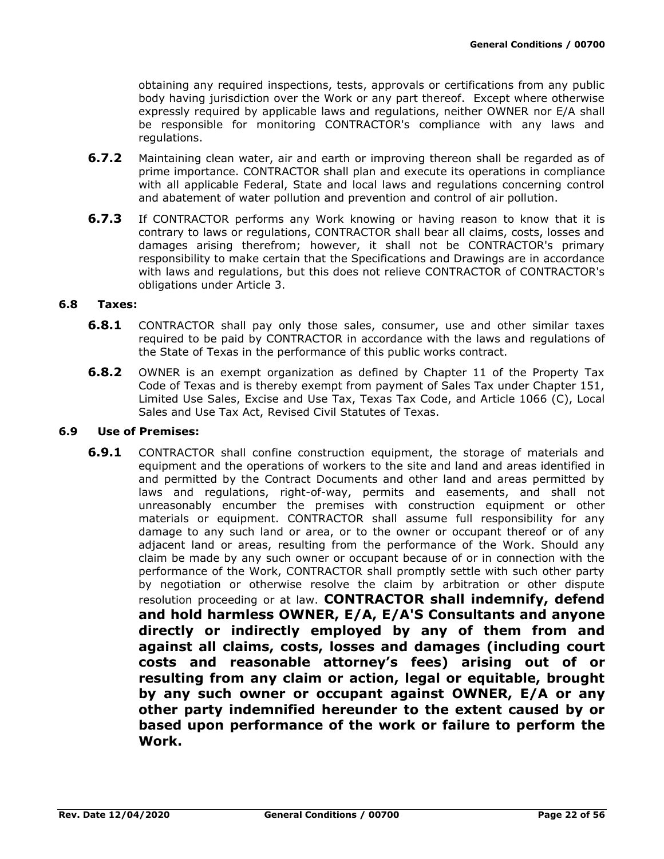obtaining any required inspections, tests, approvals or certifications from any public body having jurisdiction over the Work or any part thereof. Except where otherwise expressly required by applicable laws and regulations, neither OWNER nor E/A shall be responsible for monitoring CONTRACTOR's compliance with any laws and regulations.

- **6.7.2** Maintaining clean water, air and earth or improving thereon shall be regarded as of prime importance. CONTRACTOR shall plan and execute its operations in compliance with all applicable Federal, State and local laws and regulations concerning control and abatement of water pollution and prevention and control of air pollution.
- **6.7.3** If CONTRACTOR performs any Work knowing or having reason to know that it is contrary to laws or regulations, CONTRACTOR shall bear all claims, costs, losses and damages arising therefrom; however, it shall not be CONTRACTOR's primary responsibility to make certain that the Specifications and Drawings are in accordance with laws and regulations, but this does not relieve CONTRACTOR of CONTRACTOR's obligations under Article 3.

### **6.8 Taxes:**

- **6.8.1** CONTRACTOR shall pay only those sales, consumer, use and other similar taxes required to be paid by CONTRACTOR in accordance with the laws and regulations of the State of Texas in the performance of this public works contract.
- **6.8.2** OWNER is an exempt organization as defined by Chapter 11 of the Property Tax Code of Texas and is thereby exempt from payment of Sales Tax under Chapter 151, Limited Use Sales, Excise and Use Tax, Texas Tax Code, and Article 1066 (C), Local Sales and Use Tax Act, Revised Civil Statutes of Texas.

#### **6.9 Use of Premises:**

**6.9.1** CONTRACTOR shall confine construction equipment, the storage of materials and equipment and the operations of workers to the site and land and areas identified in and permitted by the Contract Documents and other land and areas permitted by laws and regulations, right-of-way, permits and easements, and shall not unreasonably encumber the premises with construction equipment or other materials or equipment. CONTRACTOR shall assume full responsibility for any damage to any such land or area, or to the owner or occupant thereof or of any adjacent land or areas, resulting from the performance of the Work. Should any claim be made by any such owner or occupant because of or in connection with the performance of the Work, CONTRACTOR shall promptly settle with such other party by negotiation or otherwise resolve the claim by arbitration or other dispute resolution proceeding or at law. **CONTRACTOR shall indemnify, defend and hold harmless OWNER, E/A, E/A'S Consultants and anyone directly or indirectly employed by any of them from and against all claims, costs, losses and damages (including court costs and reasonable attorney's fees) arising out of or resulting from any claim or action, legal or equitable, brought by any such owner or occupant against OWNER, E/A or any other party indemnified hereunder to the extent caused by or based upon performance of the work or failure to perform the Work.**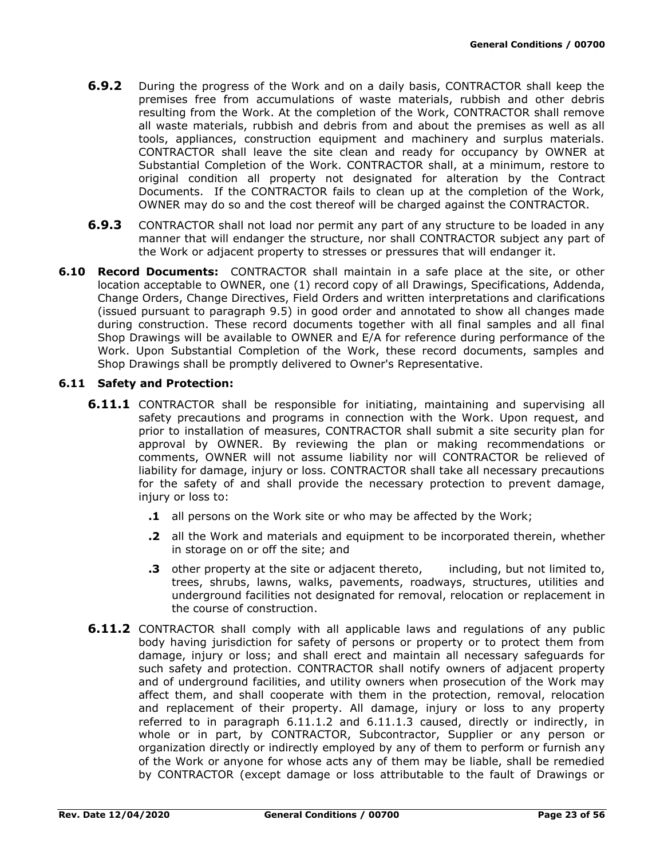- **6.9.2** During the progress of the Work and on a daily basis, CONTRACTOR shall keep the premises free from accumulations of waste materials, rubbish and other debris resulting from the Work. At the completion of the Work, CONTRACTOR shall remove all waste materials, rubbish and debris from and about the premises as well as all tools, appliances, construction equipment and machinery and surplus materials. CONTRACTOR shall leave the site clean and ready for occupancy by OWNER at Substantial Completion of the Work. CONTRACTOR shall, at a minimum, restore to original condition all property not designated for alteration by the Contract Documents. If the CONTRACTOR fails to clean up at the completion of the Work, OWNER may do so and the cost thereof will be charged against the CONTRACTOR.
- **6.9.3** CONTRACTOR shall not load nor permit any part of any structure to be loaded in any manner that will endanger the structure, nor shall CONTRACTOR subject any part of the Work or adjacent property to stresses or pressures that will endanger it.
- **6.10 Record Documents:** CONTRACTOR shall maintain in a safe place at the site, or other location acceptable to OWNER, one (1) record copy of all Drawings, Specifications, Addenda, Change Orders, Change Directives, Field Orders and written interpretations and clarifications (issued pursuant to paragraph 9.5) in good order and annotated to show all changes made during construction. These record documents together with all final samples and all final Shop Drawings will be available to OWNER and E/A for reference during performance of the Work. Upon Substantial Completion of the Work, these record documents, samples and Shop Drawings shall be promptly delivered to Owner's Representative.

### **6.11 Safety and Protection:**

- **6.11.1** CONTRACTOR shall be responsible for initiating, maintaining and supervising all safety precautions and programs in connection with the Work. Upon request, and prior to installation of measures, CONTRACTOR shall submit a site security plan for approval by OWNER. By reviewing the plan or making recommendations or comments, OWNER will not assume liability nor will CONTRACTOR be relieved of liability for damage, injury or loss. CONTRACTOR shall take all necessary precautions for the safety of and shall provide the necessary protection to prevent damage, injury or loss to:
	- **.1** all persons on the Work site or who may be affected by the Work;
	- **.2** all the Work and materials and equipment to be incorporated therein, whether in storage on or off the site; and
	- **.3** other property at the site or adjacent thereto, including, but not limited to, trees, shrubs, lawns, walks, pavements, roadways, structures, utilities and underground facilities not designated for removal, relocation or replacement in the course of construction.
- **6.11.2** CONTRACTOR shall comply with all applicable laws and regulations of any public body having jurisdiction for safety of persons or property or to protect them from damage, injury or loss; and shall erect and maintain all necessary safeguards for such safety and protection. CONTRACTOR shall notify owners of adjacent property and of underground facilities, and utility owners when prosecution of the Work may affect them, and shall cooperate with them in the protection, removal, relocation and replacement of their property. All damage, injury or loss to any property referred to in paragraph 6.11.1.2 and 6.11.1.3 caused, directly or indirectly, in whole or in part, by CONTRACTOR, Subcontractor, Supplier or any person or organization directly or indirectly employed by any of them to perform or furnish any of the Work or anyone for whose acts any of them may be liable, shall be remedied by CONTRACTOR (except damage or loss attributable to the fault of Drawings or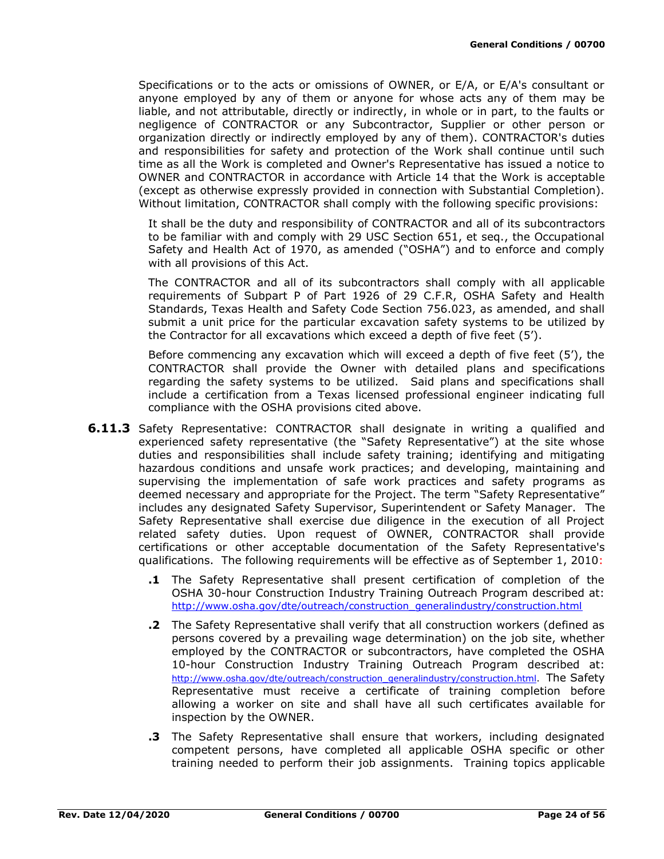Specifications or to the acts or omissions of OWNER, or E/A, or E/A's consultant or anyone employed by any of them or anyone for whose acts any of them may be liable, and not attributable, directly or indirectly, in whole or in part, to the faults or negligence of CONTRACTOR or any Subcontractor, Supplier or other person or organization directly or indirectly employed by any of them). CONTRACTOR's duties and responsibilities for safety and protection of the Work shall continue until such time as all the Work is completed and Owner's Representative has issued a notice to OWNER and CONTRACTOR in accordance with Article 14 that the Work is acceptable (except as otherwise expressly provided in connection with Substantial Completion). Without limitation, CONTRACTOR shall comply with the following specific provisions:

It shall be the duty and responsibility of CONTRACTOR and all of its subcontractors to be familiar with and comply with 29 USC Section 651, et seq., the Occupational Safety and Health Act of 1970, as amended ("OSHA") and to enforce and comply with all provisions of this Act.

The CONTRACTOR and all of its subcontractors shall comply with all applicable requirements of Subpart P of Part 1926 of 29 C.F.R, OSHA Safety and Health Standards, Texas Health and Safety Code Section 756.023, as amended, and shall submit a unit price for the particular excavation safety systems to be utilized by the Contractor for all excavations which exceed a depth of five feet (5').

Before commencing any excavation which will exceed a depth of five feet (5'), the CONTRACTOR shall provide the Owner with detailed plans and specifications regarding the safety systems to be utilized. Said plans and specifications shall include a certification from a Texas licensed professional engineer indicating full compliance with the OSHA provisions cited above.

- **6.11.3** Safety Representative: CONTRACTOR shall designate in writing a qualified and experienced safety representative (the "Safety Representative") at the site whose duties and responsibilities shall include safety training; identifying and mitigating hazardous conditions and unsafe work practices; and developing, maintaining and supervising the implementation of safe work practices and safety programs as deemed necessary and appropriate for the Project. The term "Safety Representative" includes any designated Safety Supervisor, Superintendent or Safety Manager. The Safety Representative shall exercise due diligence in the execution of all Project related safety duties. Upon request of OWNER, CONTRACTOR shall provide certifications or other acceptable documentation of the Safety Representative's qualifications. The following requirements will be effective as of September 1, 2010:
	- **.1** The Safety Representative shall present certification of completion of the OSHA 30-hour Construction Industry Training Outreach Program described at: [http://www.osha.gov/dte/outreach/construction\\_generalindustry/construction.html](http://www.osha.gov/dte/outreach/construction_generalindustry/construction.html)
	- **.2** The Safety Representative shall verify that all construction workers (defined as persons covered by a prevailing wage determination) on the job site, whether employed by the CONTRACTOR or subcontractors, have completed the OSHA 10-hour Construction Industry Training Outreach Program described at: [http://www.osha.gov/dte/outreach/construction\\_generalindustry/construction.html.](http://www.osha.gov/dte/outreach/construction_generalindustry/construction.html) The Safety Representative must receive a certificate of training completion before allowing a worker on site and shall have all such certificates available for inspection by the OWNER.
	- **.3** The Safety Representative shall ensure that workers, including designated competent persons, have completed all applicable OSHA specific or other training needed to perform their job assignments. Training topics applicable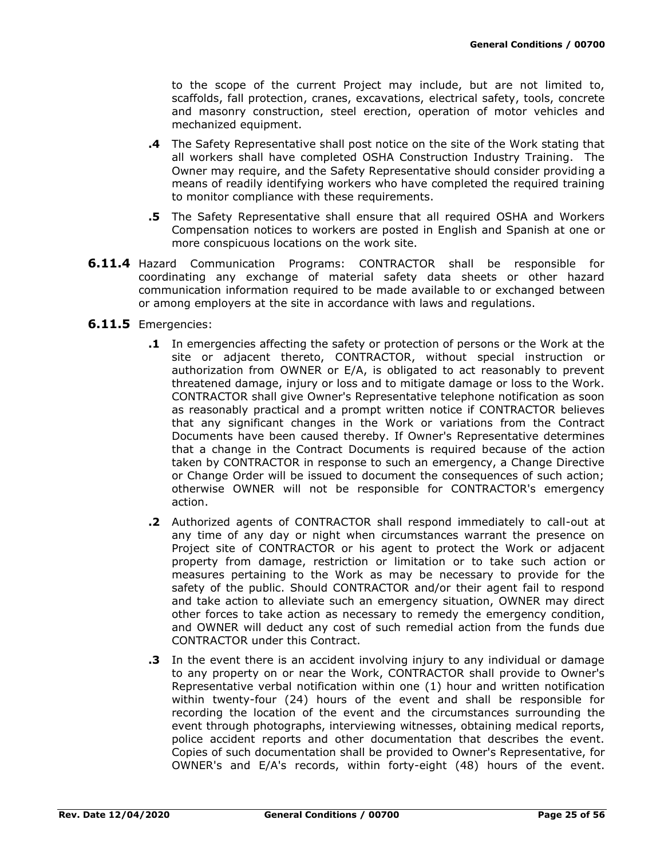to the scope of the current Project may include, but are not limited to, scaffolds, fall protection, cranes, excavations, electrical safety, tools, concrete and masonry construction, steel erection, operation of motor vehicles and mechanized equipment.

- **.4** The Safety Representative shall post notice on the site of the Work stating that all workers shall have completed OSHA Construction Industry Training. The Owner may require, and the Safety Representative should consider providing a means of readily identifying workers who have completed the required training to monitor compliance with these requirements.
- **.5** The Safety Representative shall ensure that all required OSHA and Workers Compensation notices to workers are posted in English and Spanish at one or more conspicuous locations on the work site.
- **6.11.4** Hazard Communication Programs: CONTRACTOR shall be responsible for coordinating any exchange of material safety data sheets or other hazard communication information required to be made available to or exchanged between or among employers at the site in accordance with laws and regulations.
- **6.11.5** Emergencies:
	- **.1** In emergencies affecting the safety or protection of persons or the Work at the site or adjacent thereto, CONTRACTOR, without special instruction or authorization from OWNER or E/A, is obligated to act reasonably to prevent threatened damage, injury or loss and to mitigate damage or loss to the Work. CONTRACTOR shall give Owner's Representative telephone notification as soon as reasonably practical and a prompt written notice if CONTRACTOR believes that any significant changes in the Work or variations from the Contract Documents have been caused thereby. If Owner's Representative determines that a change in the Contract Documents is required because of the action taken by CONTRACTOR in response to such an emergency, a Change Directive or Change Order will be issued to document the consequences of such action; otherwise OWNER will not be responsible for CONTRACTOR's emergency action.
	- **.2** Authorized agents of CONTRACTOR shall respond immediately to call-out at any time of any day or night when circumstances warrant the presence on Project site of CONTRACTOR or his agent to protect the Work or adjacent property from damage, restriction or limitation or to take such action or measures pertaining to the Work as may be necessary to provide for the safety of the public. Should CONTRACTOR and/or their agent fail to respond and take action to alleviate such an emergency situation, OWNER may direct other forces to take action as necessary to remedy the emergency condition, and OWNER will deduct any cost of such remedial action from the funds due CONTRACTOR under this Contract.
	- **.3** In the event there is an accident involving injury to any individual or damage to any property on or near the Work, CONTRACTOR shall provide to Owner's Representative verbal notification within one (1) hour and written notification within twenty-four (24) hours of the event and shall be responsible for recording the location of the event and the circumstances surrounding the event through photographs, interviewing witnesses, obtaining medical reports, police accident reports and other documentation that describes the event. Copies of such documentation shall be provided to Owner's Representative, for OWNER's and E/A's records, within forty-eight (48) hours of the event.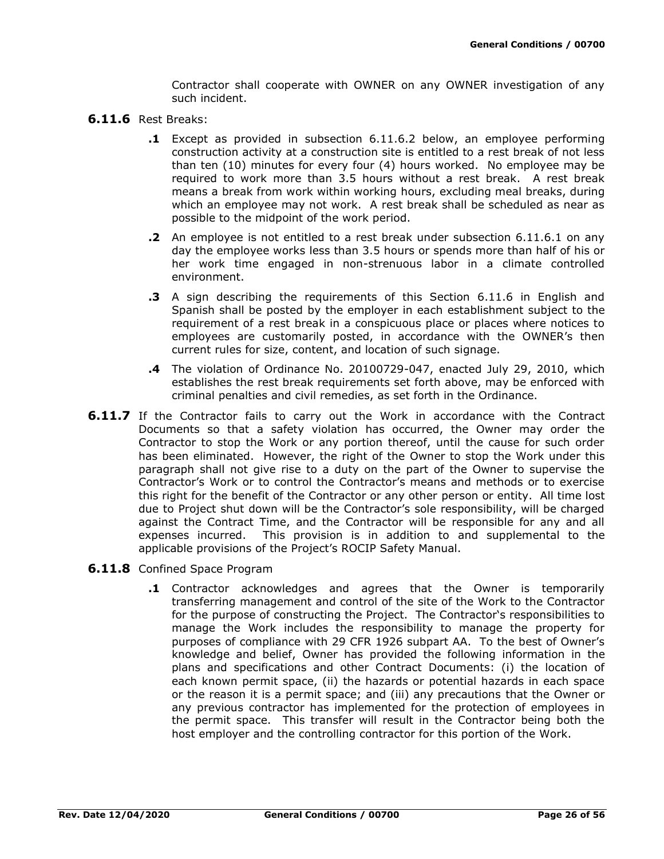Contractor shall cooperate with OWNER on any OWNER investigation of any such incident.

- **6.11.6** Rest Breaks:
	- **.1** Except as provided in subsection 6.11.6.2 below, an employee performing construction activity at a construction site is entitled to a rest break of not less than ten (10) minutes for every four (4) hours worked. No employee may be required to work more than 3.5 hours without a rest break. A rest break means a break from work within working hours, excluding meal breaks, during which an employee may not work. A rest break shall be scheduled as near as possible to the midpoint of the work period.
	- **.2** An employee is not entitled to a rest break under subsection 6.11.6.1 on any day the employee works less than 3.5 hours or spends more than half of his or her work time engaged in non-strenuous labor in a climate controlled environment.
	- **.3** A sign describing the requirements of this Section 6.11.6 in English and Spanish shall be posted by the employer in each establishment subject to the requirement of a rest break in a conspicuous place or places where notices to employees are customarily posted, in accordance with the OWNER's then current rules for size, content, and location of such signage.
	- **.4** The violation of Ordinance No. 20100729-047, enacted July 29, 2010, which establishes the rest break requirements set forth above, may be enforced with criminal penalties and civil remedies, as set forth in the Ordinance.
- **6.11.7** If the Contractor fails to carry out the Work in accordance with the Contract Documents so that a safety violation has occurred, the Owner may order the Contractor to stop the Work or any portion thereof, until the cause for such order has been eliminated. However, the right of the Owner to stop the Work under this paragraph shall not give rise to a duty on the part of the Owner to supervise the Contractor's Work or to control the Contractor's means and methods or to exercise this right for the benefit of the Contractor or any other person or entity. All time lost due to Project shut down will be the Contractor's sole responsibility, will be charged against the Contract Time, and the Contractor will be responsible for any and all expenses incurred. This provision is in addition to and supplemental to the applicable provisions of the Project's ROCIP Safety Manual.
- **6.11.8** Confined Space Program
	- **.1** Contractor acknowledges and agrees that the Owner is temporarily transferring management and control of the site of the Work to the Contractor for the purpose of constructing the Project. The Contractor's responsibilities to manage the Work includes the responsibility to manage the property for purposes of compliance with 29 CFR 1926 subpart AA. To the best of Owner's knowledge and belief, Owner has provided the following information in the plans and specifications and other Contract Documents: (i) the location of each known permit space, (ii) the hazards or potential hazards in each space or the reason it is a permit space; and (iii) any precautions that the Owner or any previous contractor has implemented for the protection of employees in the permit space. This transfer will result in the Contractor being both the host employer and the controlling contractor for this portion of the Work.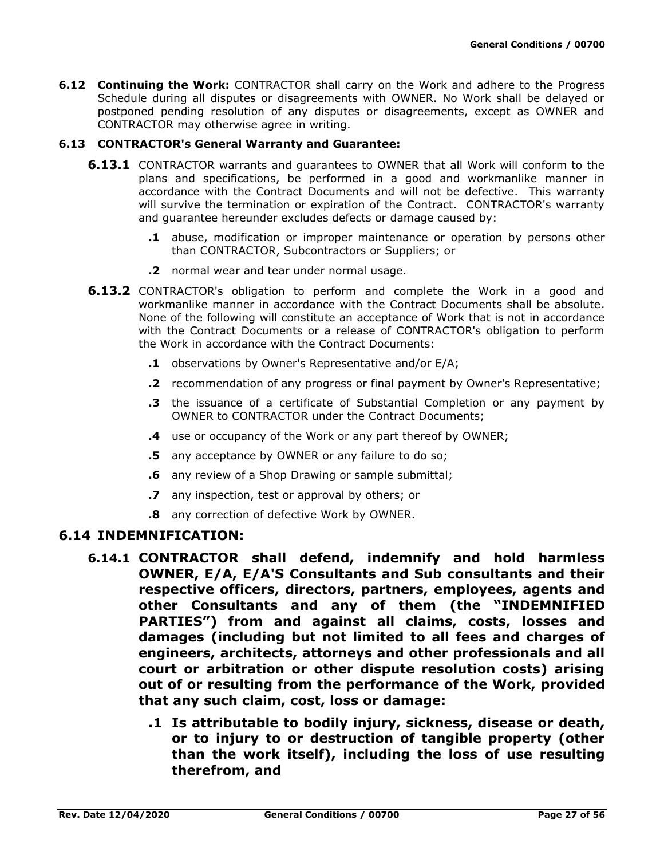**6.12 Continuing the Work:** CONTRACTOR shall carry on the Work and adhere to the Progress Schedule during all disputes or disagreements with OWNER. No Work shall be delayed or postponed pending resolution of any disputes or disagreements, except as OWNER and CONTRACTOR may otherwise agree in writing.

### **6.13 CONTRACTOR's General Warranty and Guarantee:**

- **6.13.1** CONTRACTOR warrants and guarantees to OWNER that all Work will conform to the plans and specifications, be performed in a good and workmanlike manner in accordance with the Contract Documents and will not be defective. This warranty will survive the termination or expiration of the Contract. CONTRACTOR's warranty and guarantee hereunder excludes defects or damage caused by:
	- **.1** abuse, modification or improper maintenance or operation by persons other than CONTRACTOR, Subcontractors or Suppliers; or
	- **.2** normal wear and tear under normal usage.
- **6.13.2** CONTRACTOR's obligation to perform and complete the Work in a good and workmanlike manner in accordance with the Contract Documents shall be absolute. None of the following will constitute an acceptance of Work that is not in accordance with the Contract Documents or a release of CONTRACTOR's obligation to perform the Work in accordance with the Contract Documents:
	- **.1** observations by Owner's Representative and/or E/A;
	- **.2** recommendation of any progress or final payment by Owner's Representative;
	- **.3** the issuance of a certificate of Substantial Completion or any payment by OWNER to CONTRACTOR under the Contract Documents;
	- **.4** use or occupancy of the Work or any part thereof by OWNER;
	- **.5** any acceptance by OWNER or any failure to do so;
	- **.6** any review of a Shop Drawing or sample submittal;
	- **.7** any inspection, test or approval by others; or
	- **.8** any correction of defective Work by OWNER.

### **6.14 INDEMNIFICATION:**

- **6.14.1 CONTRACTOR shall defend, indemnify and hold harmless OWNER, E/A, E/A'S Consultants and Sub consultants and their respective officers, directors, partners, employees, agents and other Consultants and any of them (the "INDEMNIFIED PARTIES") from and against all claims, costs, losses and damages (including but not limited to all fees and charges of engineers, architects, attorneys and other professionals and all court or arbitration or other dispute resolution costs) arising out of or resulting from the performance of the Work, provided that any such claim, cost, loss or damage:**
	- **.1 Is attributable to bodily injury, sickness, disease or death, or to injury to or destruction of tangible property (other than the work itself), including the loss of use resulting therefrom, and**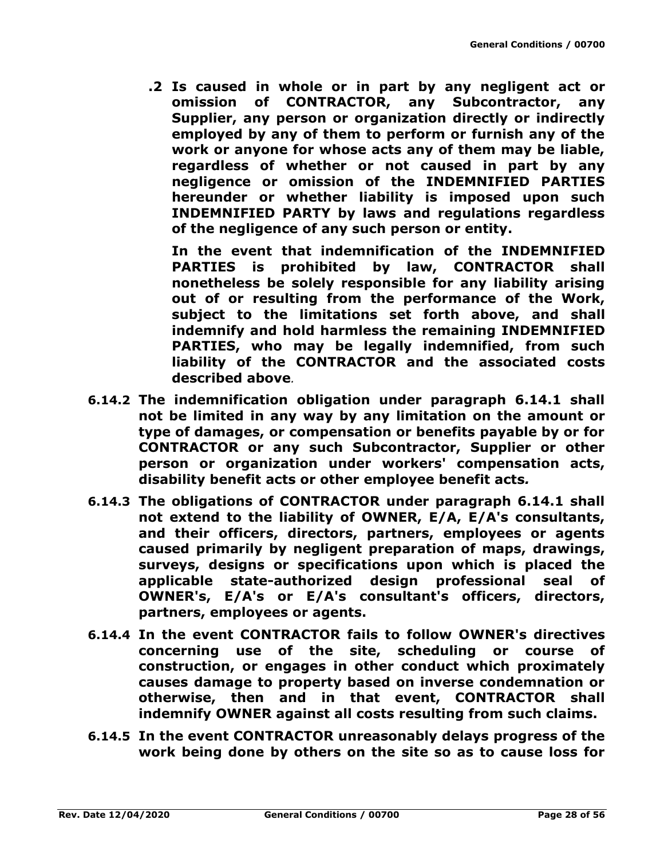**.2 Is caused in whole or in part by any negligent act or omission of CONTRACTOR, any Subcontractor, any Supplier, any person or organization directly or indirectly employed by any of them to perform or furnish any of the work or anyone for whose acts any of them may be liable, regardless of whether or not caused in part by any negligence or omission of the INDEMNIFIED PARTIES hereunder or whether liability is imposed upon such INDEMNIFIED PARTY by laws and regulations regardless of the negligence of any such person or entity.**

**In the event that indemnification of the INDEMNIFIED PARTIES is prohibited by law, CONTRACTOR shall nonetheless be solely responsible for any liability arising out of or resulting from the performance of the Work, subject to the limitations set forth above, and shall indemnify and hold harmless the remaining INDEMNIFIED PARTIES, who may be legally indemnified, from such liability of the CONTRACTOR and the associated costs described above***.*

- **6.14.2 The indemnification obligation under paragraph 6.14.1 shall not be limited in any way by any limitation on the amount or type of damages, or compensation or benefits payable by or for CONTRACTOR or any such Subcontractor, Supplier or other person or organization under workers' compensation acts, disability benefit acts or other employee benefit acts***.*
- **6.14.3 The obligations of CONTRACTOR under paragraph 6.14.1 shall not extend to the liability of OWNER, E/A, E/A's consultants, and their officers, directors, partners, employees or agents caused primarily by negligent preparation of maps, drawings, surveys, designs or specifications upon which is placed the applicable state-authorized design professional seal of OWNER's, E/A's or E/A's consultant's officers, directors, partners, employees or agents.**
- **6.14.4 In the event CONTRACTOR fails to follow OWNER's directives concerning use of the site, scheduling or course of construction, or engages in other conduct which proximately causes damage to property based on inverse condemnation or otherwise, then and in that event, CONTRACTOR shall indemnify OWNER against all costs resulting from such claims.**
- **6.14.5 In the event CONTRACTOR unreasonably delays progress of the work being done by others on the site so as to cause loss for**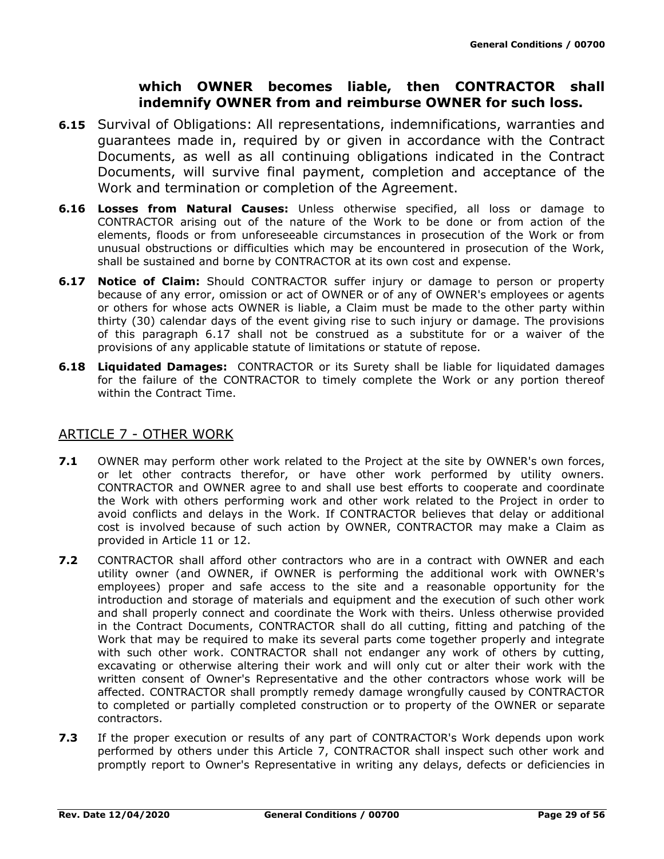# **which OWNER becomes liable, then CONTRACTOR shall indemnify OWNER from and reimburse OWNER for such loss.**

- **6.15** Survival of Obligations: All representations, indemnifications, warranties and guarantees made in, required by or given in accordance with the Contract Documents, as well as all continuing obligations indicated in the Contract Documents, will survive final payment, completion and acceptance of the Work and termination or completion of the Agreement.
- **6.16 Losses from Natural Causes:** Unless otherwise specified, all loss or damage to CONTRACTOR arising out of the nature of the Work to be done or from action of the elements, floods or from unforeseeable circumstances in prosecution of the Work or from unusual obstructions or difficulties which may be encountered in prosecution of the Work, shall be sustained and borne by CONTRACTOR at its own cost and expense.
- **6.17 Notice of Claim:** Should CONTRACTOR suffer injury or damage to person or property because of any error, omission or act of OWNER or of any of OWNER's employees or agents or others for whose acts OWNER is liable, a Claim must be made to the other party within thirty (30) calendar days of the event giving rise to such injury or damage. The provisions of this paragraph 6.17 shall not be construed as a substitute for or a waiver of the provisions of any applicable statute of limitations or statute of repose.
- **6.18 Liquidated Damages:** CONTRACTOR or its Surety shall be liable for liquidated damages for the failure of the CONTRACTOR to timely complete the Work or any portion thereof within the Contract Time.

# ARTICLE 7 - OTHER WORK

- **7.1** OWNER may perform other work related to the Project at the site by OWNER's own forces, or let other contracts therefor, or have other work performed by utility owners. CONTRACTOR and OWNER agree to and shall use best efforts to cooperate and coordinate the Work with others performing work and other work related to the Project in order to avoid conflicts and delays in the Work. If CONTRACTOR believes that delay or additional cost is involved because of such action by OWNER, CONTRACTOR may make a Claim as provided in Article 11 or 12.
- **7.2** CONTRACTOR shall afford other contractors who are in a contract with OWNER and each utility owner (and OWNER, if OWNER is performing the additional work with OWNER's employees) proper and safe access to the site and a reasonable opportunity for the introduction and storage of materials and equipment and the execution of such other work and shall properly connect and coordinate the Work with theirs. Unless otherwise provided in the Contract Documents, CONTRACTOR shall do all cutting, fitting and patching of the Work that may be required to make its several parts come together properly and integrate with such other work. CONTRACTOR shall not endanger any work of others by cutting, excavating or otherwise altering their work and will only cut or alter their work with the written consent of Owner's Representative and the other contractors whose work will be affected. CONTRACTOR shall promptly remedy damage wrongfully caused by CONTRACTOR to completed or partially completed construction or to property of the OWNER or separate contractors.
- **7.3** If the proper execution or results of any part of CONTRACTOR's Work depends upon work performed by others under this Article 7, CONTRACTOR shall inspect such other work and promptly report to Owner's Representative in writing any delays, defects or deficiencies in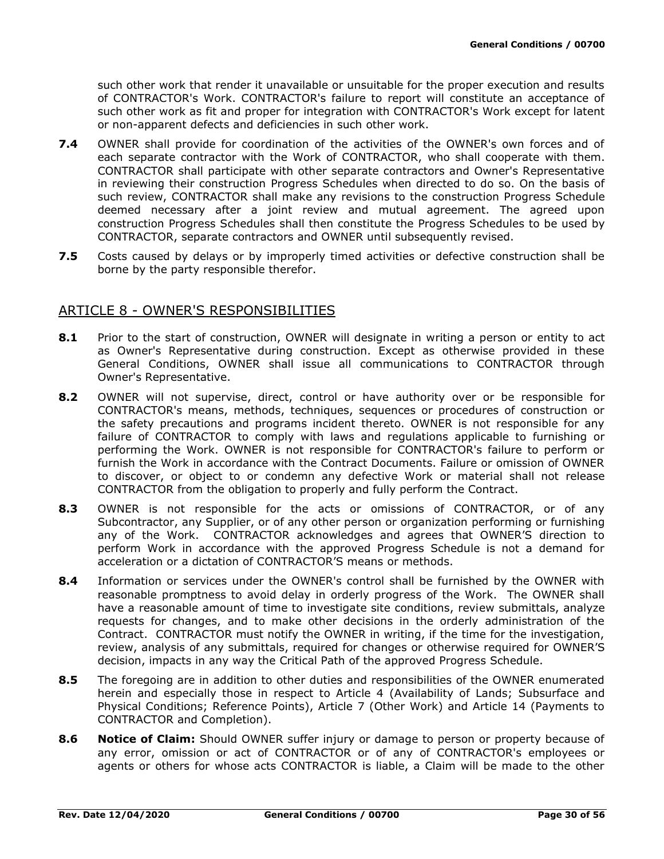such other work that render it unavailable or unsuitable for the proper execution and results of CONTRACTOR's Work. CONTRACTOR's failure to report will constitute an acceptance of such other work as fit and proper for integration with CONTRACTOR's Work except for latent or non-apparent defects and deficiencies in such other work.

- **7.4** OWNER shall provide for coordination of the activities of the OWNER's own forces and of each separate contractor with the Work of CONTRACTOR, who shall cooperate with them. CONTRACTOR shall participate with other separate contractors and Owner's Representative in reviewing their construction Progress Schedules when directed to do so. On the basis of such review, CONTRACTOR shall make any revisions to the construction Progress Schedule deemed necessary after a joint review and mutual agreement. The agreed upon construction Progress Schedules shall then constitute the Progress Schedules to be used by CONTRACTOR, separate contractors and OWNER until subsequently revised.
- **7.5** Costs caused by delays or by improperly timed activities or defective construction shall be borne by the party responsible therefor.

# ARTICLE 8 - OWNER'S RESPONSIBILITIES

- **8.1** Prior to the start of construction, OWNER will designate in writing a person or entity to act as Owner's Representative during construction. Except as otherwise provided in these General Conditions, OWNER shall issue all communications to CONTRACTOR through Owner's Representative.
- **8.2** OWNER will not supervise, direct, control or have authority over or be responsible for CONTRACTOR's means, methods, techniques, sequences or procedures of construction or the safety precautions and programs incident thereto. OWNER is not responsible for any failure of CONTRACTOR to comply with laws and regulations applicable to furnishing or performing the Work. OWNER is not responsible for CONTRACTOR's failure to perform or furnish the Work in accordance with the Contract Documents. Failure or omission of OWNER to discover, or object to or condemn any defective Work or material shall not release CONTRACTOR from the obligation to properly and fully perform the Contract.
- **8.3** OWNER is not responsible for the acts or omissions of CONTRACTOR, or of any Subcontractor, any Supplier, or of any other person or organization performing or furnishing any of the Work. CONTRACTOR acknowledges and agrees that OWNER'S direction to perform Work in accordance with the approved Progress Schedule is not a demand for acceleration or a dictation of CONTRACTOR'S means or methods.
- **8.4** Information or services under the OWNER's control shall be furnished by the OWNER with reasonable promptness to avoid delay in orderly progress of the Work. The OWNER shall have a reasonable amount of time to investigate site conditions, review submittals, analyze requests for changes, and to make other decisions in the orderly administration of the Contract. CONTRACTOR must notify the OWNER in writing, if the time for the investigation, review, analysis of any submittals, required for changes or otherwise required for OWNER'S decision, impacts in any way the Critical Path of the approved Progress Schedule.
- **8.5** The foregoing are in addition to other duties and responsibilities of the OWNER enumerated herein and especially those in respect to Article 4 (Availability of Lands; Subsurface and Physical Conditions; Reference Points), Article 7 (Other Work) and Article 14 (Payments to CONTRACTOR and Completion).
- **8.6 Notice of Claim:** Should OWNER suffer injury or damage to person or property because of any error, omission or act of CONTRACTOR or of any of CONTRACTOR's employees or agents or others for whose acts CONTRACTOR is liable, a Claim will be made to the other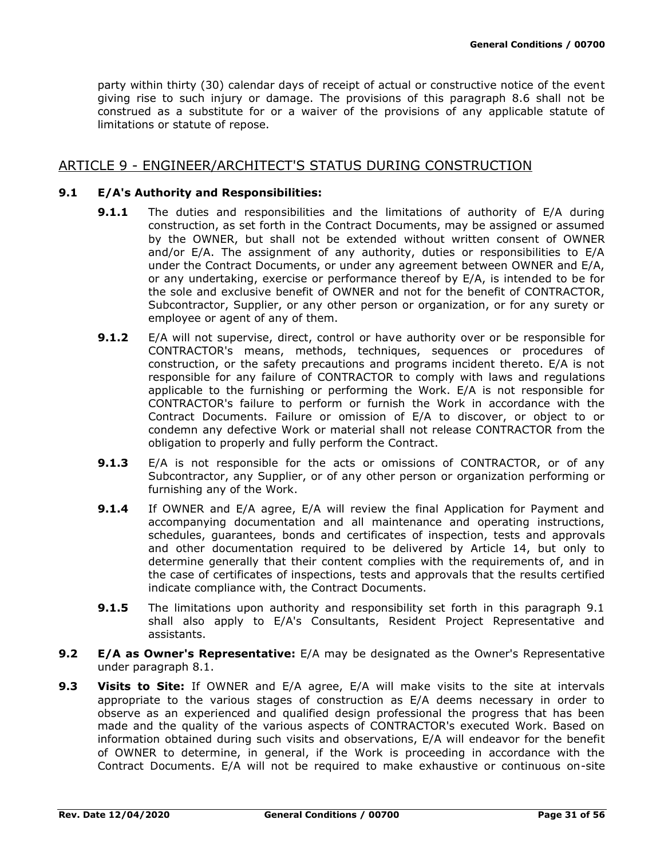party within thirty (30) calendar days of receipt of actual or constructive notice of the event giving rise to such injury or damage. The provisions of this paragraph 8.6 shall not be construed as a substitute for or a waiver of the provisions of any applicable statute of limitations or statute of repose.

## ARTICLE 9 - ENGINEER/ARCHITECT'S STATUS DURING CONSTRUCTION

### **9.1 E/A's Authority and Responsibilities:**

- **9.1.1** The duties and responsibilities and the limitations of authority of E/A during construction, as set forth in the Contract Documents, may be assigned or assumed by the OWNER, but shall not be extended without written consent of OWNER and/or E/A. The assignment of any authority, duties or responsibilities to E/A under the Contract Documents, or under any agreement between OWNER and E/A, or any undertaking, exercise or performance thereof by E/A, is intended to be for the sole and exclusive benefit of OWNER and not for the benefit of CONTRACTOR, Subcontractor, Supplier, or any other person or organization, or for any surety or employee or agent of any of them.
- **9.1.2** E/A will not supervise, direct, control or have authority over or be responsible for CONTRACTOR's means, methods, techniques, sequences or procedures of construction, or the safety precautions and programs incident thereto. E/A is not responsible for any failure of CONTRACTOR to comply with laws and regulations applicable to the furnishing or performing the Work. E/A is not responsible for CONTRACTOR's failure to perform or furnish the Work in accordance with the Contract Documents. Failure or omission of E/A to discover, or object to or condemn any defective Work or material shall not release CONTRACTOR from the obligation to properly and fully perform the Contract.
- **9.1.3** E/A is not responsible for the acts or omissions of CONTRACTOR, or of any Subcontractor, any Supplier, or of any other person or organization performing or furnishing any of the Work.
- **9.1.4** If OWNER and E/A agree, E/A will review the final Application for Payment and accompanying documentation and all maintenance and operating instructions, schedules, guarantees, bonds and certificates of inspection, tests and approvals and other documentation required to be delivered by Article 14, but only to determine generally that their content complies with the requirements of, and in the case of certificates of inspections, tests and approvals that the results certified indicate compliance with, the Contract Documents.
- **9.1.5** The limitations upon authority and responsibility set forth in this paragraph 9.1 shall also apply to E/A's Consultants, Resident Project Representative and assistants.
- **9.2 E/A as Owner's Representative:** E/A may be designated as the Owner's Representative under paragraph 8.1.
- **9.3 Visits to Site:** If OWNER and E/A agree, E/A will make visits to the site at intervals appropriate to the various stages of construction as E/A deems necessary in order to observe as an experienced and qualified design professional the progress that has been made and the quality of the various aspects of CONTRACTOR's executed Work. Based on information obtained during such visits and observations, E/A will endeavor for the benefit of OWNER to determine, in general, if the Work is proceeding in accordance with the Contract Documents. E/A will not be required to make exhaustive or continuous on-site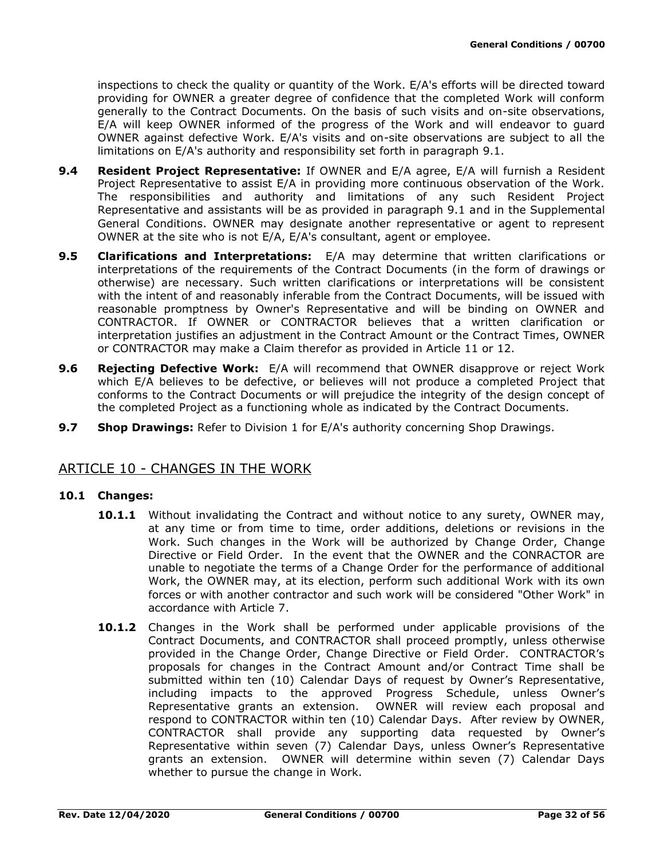inspections to check the quality or quantity of the Work. E/A's efforts will be directed toward providing for OWNER a greater degree of confidence that the completed Work will conform generally to the Contract Documents. On the basis of such visits and on-site observations, E/A will keep OWNER informed of the progress of the Work and will endeavor to guard OWNER against defective Work. E/A's visits and on-site observations are subject to all the limitations on E/A's authority and responsibility set forth in paragraph 9.1.

- **9.4 Resident Project Representative:** If OWNER and E/A agree, E/A will furnish a Resident Project Representative to assist E/A in providing more continuous observation of the Work. The responsibilities and authority and limitations of any such Resident Project Representative and assistants will be as provided in paragraph 9.1 and in the Supplemental General Conditions. OWNER may designate another representative or agent to represent OWNER at the site who is not E/A, E/A's consultant, agent or employee.
- **9.5 Clarifications and Interpretations:** E/A may determine that written clarifications or interpretations of the requirements of the Contract Documents (in the form of drawings or otherwise) are necessary. Such written clarifications or interpretations will be consistent with the intent of and reasonably inferable from the Contract Documents, will be issued with reasonable promptness by Owner's Representative and will be binding on OWNER and CONTRACTOR. If OWNER or CONTRACTOR believes that a written clarification or interpretation justifies an adjustment in the Contract Amount or the Contract Times, OWNER or CONTRACTOR may make a Claim therefor as provided in Article 11 or 12.
- **9.6 Rejecting Defective Work:** E/A will recommend that OWNER disapprove or reject Work which E/A believes to be defective, or believes will not produce a completed Project that conforms to the Contract Documents or will prejudice the integrity of the design concept of the completed Project as a functioning whole as indicated by the Contract Documents.
- **9.7 Shop Drawings:** Refer to Division 1 for E/A's authority concerning Shop Drawings.

## ARTICLE 10 - CHANGES IN THE WORK

### **10.1 Changes:**

- **10.1.1** Without invalidating the Contract and without notice to any surety, OWNER may, at any time or from time to time, order additions, deletions or revisions in the Work. Such changes in the Work will be authorized by Change Order, Change Directive or Field Order. In the event that the OWNER and the CONRACTOR are unable to negotiate the terms of a Change Order for the performance of additional Work, the OWNER may, at its election, perform such additional Work with its own forces or with another contractor and such work will be considered "Other Work" in accordance with Article 7.
- **10.1.2** Changes in the Work shall be performed under applicable provisions of the Contract Documents, and CONTRACTOR shall proceed promptly, unless otherwise provided in the Change Order, Change Directive or Field Order. CONTRACTOR's proposals for changes in the Contract Amount and/or Contract Time shall be submitted within ten (10) Calendar Days of request by Owner's Representative, including impacts to the approved Progress Schedule, unless Owner's Representative grants an extension. OWNER will review each proposal and respond to CONTRACTOR within ten (10) Calendar Days. After review by OWNER, CONTRACTOR shall provide any supporting data requested by Owner's Representative within seven (7) Calendar Days, unless Owner's Representative grants an extension. OWNER will determine within seven (7) Calendar Days whether to pursue the change in Work.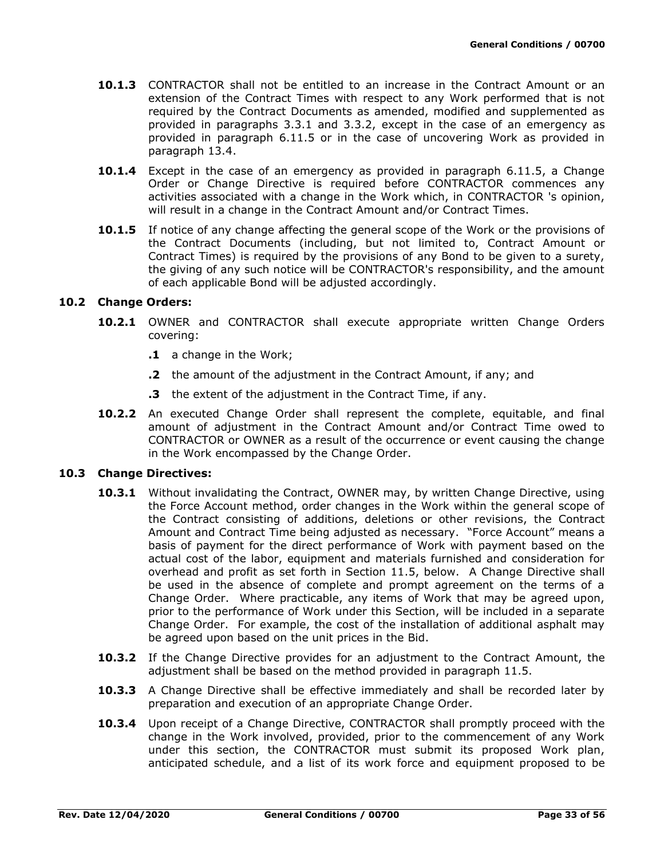- **10.1.3** CONTRACTOR shall not be entitled to an increase in the Contract Amount or an extension of the Contract Times with respect to any Work performed that is not required by the Contract Documents as amended, modified and supplemented as provided in paragraphs 3.3.1 and 3.3.2, except in the case of an emergency as provided in paragraph 6.11.5 or in the case of uncovering Work as provided in paragraph 13.4.
- **10.1.4** Except in the case of an emergency as provided in paragraph 6.11.5, a Change Order or Change Directive is required before CONTRACTOR commences any activities associated with a change in the Work which, in CONTRACTOR 's opinion, will result in a change in the Contract Amount and/or Contract Times.
- **10.1.5** If notice of any change affecting the general scope of the Work or the provisions of the Contract Documents (including, but not limited to, Contract Amount or Contract Times) is required by the provisions of any Bond to be given to a surety, the giving of any such notice will be CONTRACTOR's responsibility, and the amount of each applicable Bond will be adjusted accordingly.

### **10.2 Change Orders:**

- **10.2.1** OWNER and CONTRACTOR shall execute appropriate written Change Orders covering:
	- **.1** a change in the Work;
	- **.2** the amount of the adjustment in the Contract Amount, if any; and
	- **.3** the extent of the adjustment in the Contract Time, if any.
- **10.2.2** An executed Change Order shall represent the complete, equitable, and final amount of adjustment in the Contract Amount and/or Contract Time owed to CONTRACTOR or OWNER as a result of the occurrence or event causing the change in the Work encompassed by the Change Order.

#### **10.3 Change Directives:**

- 10.3.1 Without invalidating the Contract, OWNER may, by written Change Directive, using the Force Account method, order changes in the Work within the general scope of the Contract consisting of additions, deletions or other revisions, the Contract Amount and Contract Time being adjusted as necessary. "Force Account" means a basis of payment for the direct performance of Work with payment based on the actual cost of the labor, equipment and materials furnished and consideration for overhead and profit as set forth in Section 11.5, below. A Change Directive shall be used in the absence of complete and prompt agreement on the terms of a Change Order. Where practicable, any items of Work that may be agreed upon, prior to the performance of Work under this Section, will be included in a separate Change Order. For example, the cost of the installation of additional asphalt may be agreed upon based on the unit prices in the Bid.
- **10.3.2** If the Change Directive provides for an adjustment to the Contract Amount, the adjustment shall be based on the method provided in paragraph 11.5.
- **10.3.3** A Change Directive shall be effective immediately and shall be recorded later by preparation and execution of an appropriate Change Order.
- **10.3.4** Upon receipt of a Change Directive, CONTRACTOR shall promptly proceed with the change in the Work involved, provided, prior to the commencement of any Work under this section, the CONTRACTOR must submit its proposed Work plan, anticipated schedule, and a list of its work force and equipment proposed to be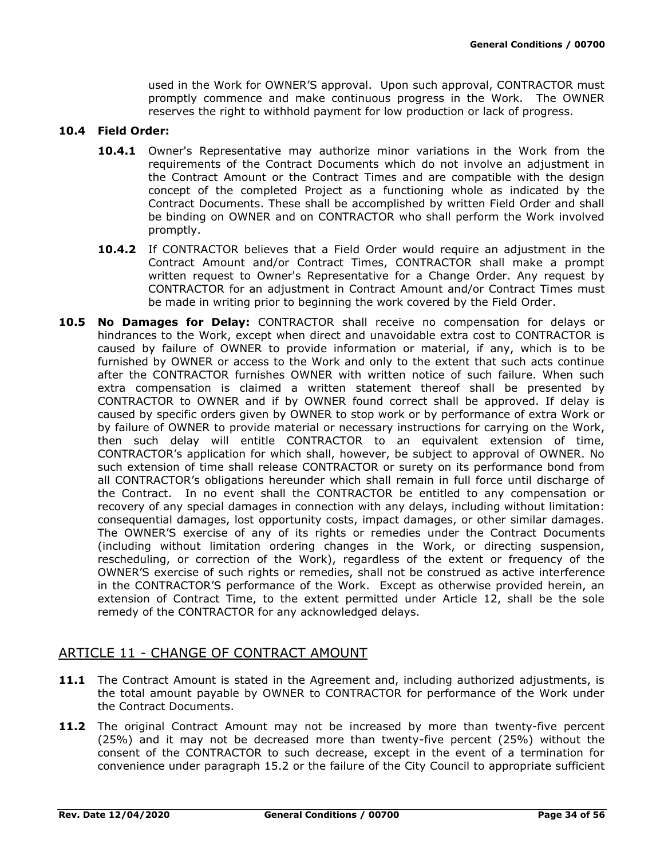used in the Work for OWNER'S approval. Upon such approval, CONTRACTOR must promptly commence and make continuous progress in the Work. The OWNER reserves the right to withhold payment for low production or lack of progress.

### **10.4 Field Order:**

- **10.4.1** Owner's Representative may authorize minor variations in the Work from the requirements of the Contract Documents which do not involve an adjustment in the Contract Amount or the Contract Times and are compatible with the design concept of the completed Project as a functioning whole as indicated by the Contract Documents. These shall be accomplished by written Field Order and shall be binding on OWNER and on CONTRACTOR who shall perform the Work involved promptly.
- **10.4.2** If CONTRACTOR believes that a Field Order would require an adjustment in the Contract Amount and/or Contract Times, CONTRACTOR shall make a prompt written request to Owner's Representative for a Change Order. Any request by CONTRACTOR for an adjustment in Contract Amount and/or Contract Times must be made in writing prior to beginning the work covered by the Field Order.
- **10.5 No Damages for Delay:** CONTRACTOR shall receive no compensation for delays or hindrances to the Work, except when direct and unavoidable extra cost to CONTRACTOR is caused by failure of OWNER to provide information or material, if any, which is to be furnished by OWNER or access to the Work and only to the extent that such acts continue after the CONTRACTOR furnishes OWNER with written notice of such failure. When such extra compensation is claimed a written statement thereof shall be presented by CONTRACTOR to OWNER and if by OWNER found correct shall be approved. If delay is caused by specific orders given by OWNER to stop work or by performance of extra Work or by failure of OWNER to provide material or necessary instructions for carrying on the Work, then such delay will entitle CONTRACTOR to an equivalent extension of time, CONTRACTOR's application for which shall, however, be subject to approval of OWNER. No such extension of time shall release CONTRACTOR or surety on its performance bond from all CONTRACTOR's obligations hereunder which shall remain in full force until discharge of the Contract. In no event shall the CONTRACTOR be entitled to any compensation or recovery of any special damages in connection with any delays, including without limitation: consequential damages, lost opportunity costs, impact damages, or other similar damages. The OWNER'S exercise of any of its rights or remedies under the Contract Documents (including without limitation ordering changes in the Work, or directing suspension, rescheduling, or correction of the Work), regardless of the extent or frequency of the OWNER'S exercise of such rights or remedies, shall not be construed as active interference in the CONTRACTOR'S performance of the Work. Except as otherwise provided herein, an extension of Contract Time, to the extent permitted under Article 12, shall be the sole remedy of the CONTRACTOR for any acknowledged delays.

## ARTICLE 11 - CHANGE OF CONTRACT AMOUNT

- 11.1 The Contract Amount is stated in the Agreement and, including authorized adjustments, is the total amount payable by OWNER to CONTRACTOR for performance of the Work under the Contract Documents.
- **11.2** The original Contract Amount may not be increased by more than twenty-five percent (25%) and it may not be decreased more than twenty-five percent (25%) without the consent of the CONTRACTOR to such decrease, except in the event of a termination for convenience under paragraph 15.2 or the failure of the City Council to appropriate sufficient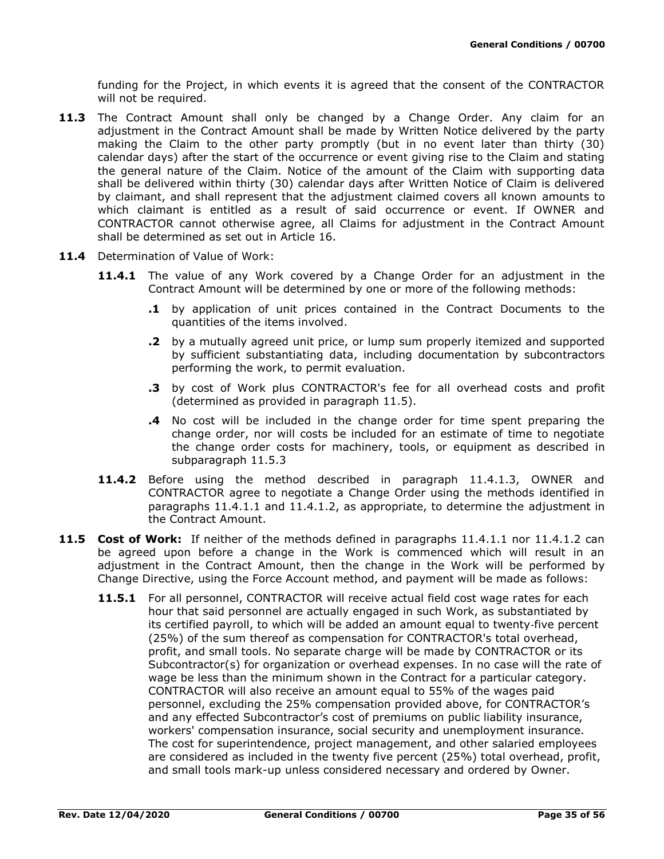funding for the Project, in which events it is agreed that the consent of the CONTRACTOR will not be required.

- **11.3** The Contract Amount shall only be changed by a Change Order. Any claim for an adjustment in the Contract Amount shall be made by Written Notice delivered by the party making the Claim to the other party promptly (but in no event later than thirty (30) calendar days) after the start of the occurrence or event giving rise to the Claim and stating the general nature of the Claim. Notice of the amount of the Claim with supporting data shall be delivered within thirty (30) calendar days after Written Notice of Claim is delivered by claimant, and shall represent that the adjustment claimed covers all known amounts to which claimant is entitled as a result of said occurrence or event. If OWNER and CONTRACTOR cannot otherwise agree, all Claims for adjustment in the Contract Amount shall be determined as set out in Article 16.
- **11.4** Determination of Value of Work:
	- **11.4.1** The value of any Work covered by a Change Order for an adjustment in the Contract Amount will be determined by one or more of the following methods:
		- **.1** by application of unit prices contained in the Contract Documents to the quantities of the items involved.
		- **.2** by a mutually agreed unit price, or lump sum properly itemized and supported by sufficient substantiating data, including documentation by subcontractors performing the work, to permit evaluation.
		- **.3** by cost of Work plus CONTRACTOR's fee for all overhead costs and profit (determined as provided in paragraph 11.5).
		- **.4** No cost will be included in the change order for time spent preparing the change order, nor will costs be included for an estimate of time to negotiate the change order costs for machinery, tools, or equipment as described in subparagraph 11.5.3
	- **11.4.2** Before using the method described in paragraph 11.4.1.3, OWNER and CONTRACTOR agree to negotiate a Change Order using the methods identified in paragraphs 11.4.1.1 and 11.4.1.2, as appropriate, to determine the adjustment in the Contract Amount.
- **11.5 Cost of Work:** If neither of the methods defined in paragraphs 11.4.1.1 nor 11.4.1.2 can be agreed upon before a change in the Work is commenced which will result in an adjustment in the Contract Amount, then the change in the Work will be performed by Change Directive, using the Force Account method, and payment will be made as follows:
	- **11.5.1** For all personnel, CONTRACTOR will receive actual field cost wage rates for each hour that said personnel are actually engaged in such Work, as substantiated by its certified payroll, to which will be added an amount equal to twenty‐five percent (25%) of the sum thereof as compensation for CONTRACTOR's total overhead, profit, and small tools. No separate charge will be made by CONTRACTOR or its Subcontractor(s) for organization or overhead expenses. In no case will the rate of wage be less than the minimum shown in the Contract for a particular category. CONTRACTOR will also receive an amount equal to 55% of the wages paid personnel, excluding the 25% compensation provided above, for CONTRACTOR's and any effected Subcontractor's cost of premiums on public liability insurance, workers' compensation insurance, social security and unemployment insurance. The cost for superintendence, project management, and other salaried employees are considered as included in the twenty five percent (25%) total overhead, profit, and small tools mark-up unless considered necessary and ordered by Owner.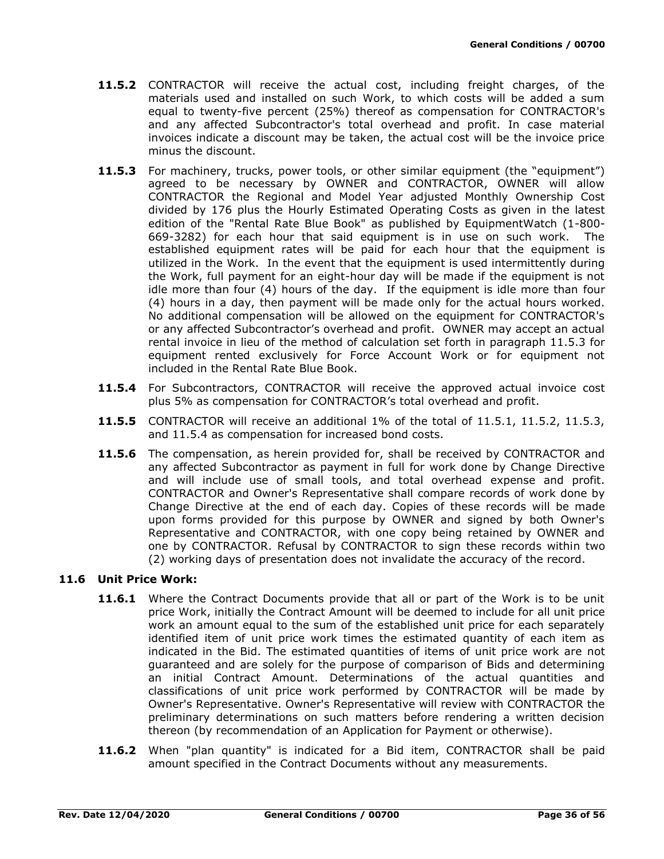- **11.5.2** CONTRACTOR will receive the actual cost, including freight charges, of the materials used and installed on such Work, to which costs will be added a sum equal to twenty-five percent (25%) thereof as compensation for CONTRACTOR's and any affected Subcontractor's total overhead and profit. In case material invoices indicate a discount may be taken, the actual cost will be the invoice price minus the discount.
- **11.5.3** For machinery, trucks, power tools, or other similar equipment (the "equipment") agreed to be necessary by OWNER and CONTRACTOR, OWNER will allow CONTRACTOR the Regional and Model Year adjusted Monthly Ownership Cost divided by 176 plus the Hourly Estimated Operating Costs as given in the latest edition of the "Rental Rate Blue Book" as published by EquipmentWatch (1-800- 669-3282) for each hour that said equipment is in use on such work. The established equipment rates will be paid for each hour that the equipment is utilized in the Work. In the event that the equipment is used intermittently during the Work, full payment for an eight-hour day will be made if the equipment is not idle more than four (4) hours of the day. If the equipment is idle more than four (4) hours in a day, then payment will be made only for the actual hours worked. No additional compensation will be allowed on the equipment for CONTRACTOR's or any affected Subcontractor's overhead and profit. OWNER may accept an actual rental invoice in lieu of the method of calculation set forth in paragraph 11.5.3 for equipment rented exclusively for Force Account Work or for equipment not included in the Rental Rate Blue Book.
- **11.5.4** For Subcontractors, CONTRACTOR will receive the approved actual invoice cost plus 5% as compensation for CONTRACTOR's total overhead and profit.
- **11.5.5** CONTRACTOR will receive an additional 1% of the total of 11.5.1, 11.5.2, 11.5.3, and 11.5.4 as compensation for increased bond costs.
- **11.5.6** The compensation, as herein provided for, shall be received by CONTRACTOR and any affected Subcontractor as payment in full for work done by Change Directive and will include use of small tools, and total overhead expense and profit. CONTRACTOR and Owner's Representative shall compare records of work done by Change Directive at the end of each day. Copies of these records will be made upon forms provided for this purpose by OWNER and signed by both Owner's Representative and CONTRACTOR, with one copy being retained by OWNER and one by CONTRACTOR. Refusal by CONTRACTOR to sign these records within two (2) working days of presentation does not invalidate the accuracy of the record.

### **11.6 Unit Price Work:**

- **11.6.1** Where the Contract Documents provide that all or part of the Work is to be unit price Work, initially the Contract Amount will be deemed to include for all unit price work an amount equal to the sum of the established unit price for each separately identified item of unit price work times the estimated quantity of each item as indicated in the Bid. The estimated quantities of items of unit price work are not guaranteed and are solely for the purpose of comparison of Bids and determining an initial Contract Amount. Determinations of the actual quantities and classifications of unit price work performed by CONTRACTOR will be made by Owner's Representative. Owner's Representative will review with CONTRACTOR the preliminary determinations on such matters before rendering a written decision thereon (by recommendation of an Application for Payment or otherwise).
- **11.6.2** When "plan quantity" is indicated for a Bid item, CONTRACTOR shall be paid amount specified in the Contract Documents without any measurements.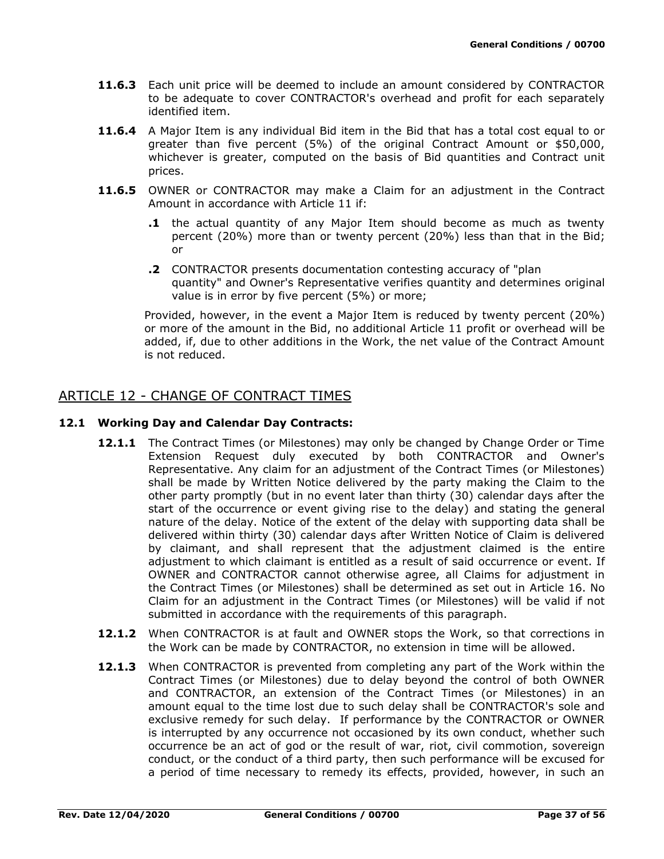- **11.6.3** Each unit price will be deemed to include an amount considered by CONTRACTOR to be adequate to cover CONTRACTOR's overhead and profit for each separately identified item.
- **11.6.4** A Major Item is any individual Bid item in the Bid that has a total cost equal to or greater than five percent (5%) of the original Contract Amount or \$50,000, whichever is greater, computed on the basis of Bid quantities and Contract unit prices.
- **11.6.5** OWNER or CONTRACTOR may make a Claim for an adjustment in the Contract Amount in accordance with Article 11 if:
	- **.1** the actual quantity of any Major Item should become as much as twenty percent (20%) more than or twenty percent (20%) less than that in the Bid; or
	- **.2** CONTRACTOR presents documentation contesting accuracy of "plan quantity" and Owner's Representative verifies quantity and determines original value is in error by five percent (5%) or more;

Provided, however, in the event a Major Item is reduced by twenty percent (20%) or more of the amount in the Bid, no additional Article 11 profit or overhead will be added, if, due to other additions in the Work, the net value of the Contract Amount is not reduced.

# ARTICLE 12 - CHANGE OF CONTRACT TIMES

### **12.1 Working Day and Calendar Day Contracts:**

- **12.1.1** The Contract Times (or Milestones) may only be changed by Change Order or Time Extension Request duly executed by both CONTRACTOR and Owner's Representative. Any claim for an adjustment of the Contract Times (or Milestones) shall be made by Written Notice delivered by the party making the Claim to the other party promptly (but in no event later than thirty (30) calendar days after the start of the occurrence or event giving rise to the delay) and stating the general nature of the delay. Notice of the extent of the delay with supporting data shall be delivered within thirty (30) calendar days after Written Notice of Claim is delivered by claimant, and shall represent that the adjustment claimed is the entire adjustment to which claimant is entitled as a result of said occurrence or event. If OWNER and CONTRACTOR cannot otherwise agree, all Claims for adjustment in the Contract Times (or Milestones) shall be determined as set out in Article 16. No Claim for an adjustment in the Contract Times (or Milestones) will be valid if not submitted in accordance with the requirements of this paragraph.
- **12.1.2** When CONTRACTOR is at fault and OWNER stops the Work, so that corrections in the Work can be made by CONTRACTOR, no extension in time will be allowed.
- **12.1.3** When CONTRACTOR is prevented from completing any part of the Work within the Contract Times (or Milestones) due to delay beyond the control of both OWNER and CONTRACTOR, an extension of the Contract Times (or Milestones) in an amount equal to the time lost due to such delay shall be CONTRACTOR's sole and exclusive remedy for such delay. If performance by the CONTRACTOR or OWNER is interrupted by any occurrence not occasioned by its own conduct, whether such occurrence be an act of god or the result of war, riot, civil commotion, sovereign conduct, or the conduct of a third party, then such performance will be excused for a period of time necessary to remedy its effects, provided, however, in such an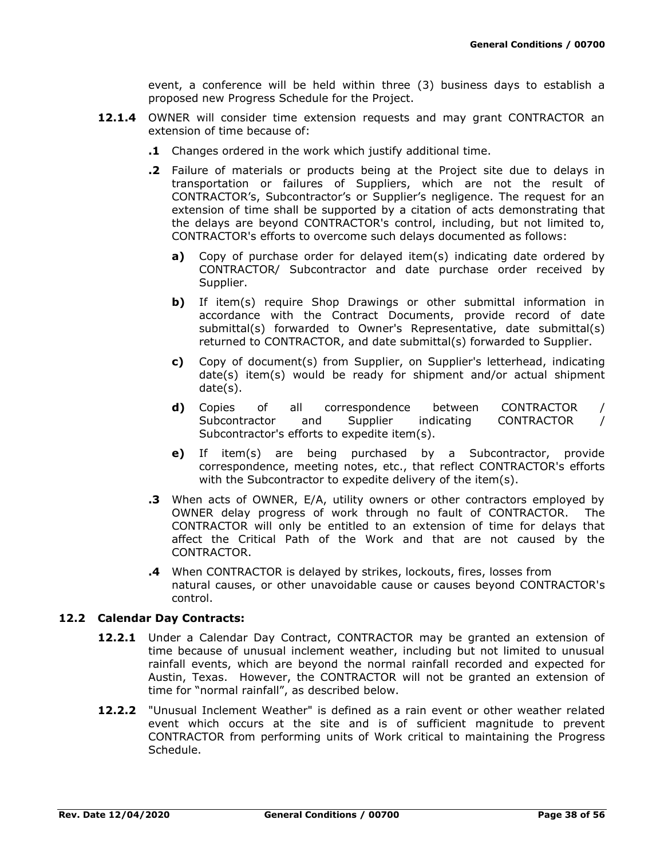event, a conference will be held within three (3) business days to establish a proposed new Progress Schedule for the Project.

- **12.1.4** OWNER will consider time extension requests and may grant CONTRACTOR an extension of time because of:
	- **.1** Changes ordered in the work which justify additional time.
	- **.2** Failure of materials or products being at the Project site due to delays in transportation or failures of Suppliers, which are not the result of CONTRACTOR's, Subcontractor's or Supplier's negligence. The request for an extension of time shall be supported by a citation of acts demonstrating that the delays are beyond CONTRACTOR's control, including, but not limited to, CONTRACTOR's efforts to overcome such delays documented as follows:
		- **a)** Copy of purchase order for delayed item(s) indicating date ordered by CONTRACTOR/ Subcontractor and date purchase order received by Supplier.
		- **b)** If item(s) require Shop Drawings or other submittal information in accordance with the Contract Documents, provide record of date submittal(s) forwarded to Owner's Representative, date submittal(s) returned to CONTRACTOR, and date submittal(s) forwarded to Supplier.
		- **c)** Copy of document(s) from Supplier, on Supplier's letterhead, indicating date(s) item(s) would be ready for shipment and/or actual shipment date(s).
		- **d)** Copies of all correspondence between CONTRACTOR / Subcontractor and Supplier indicating CONTRACTOR / Subcontractor's efforts to expedite item(s).
		- **e)** If item(s) are being purchased by a Subcontractor, provide correspondence, meeting notes, etc., that reflect CONTRACTOR's efforts with the Subcontractor to expedite delivery of the item(s).
	- **.3** When acts of OWNER, E/A, utility owners or other contractors employed by OWNER delay progress of work through no fault of CONTRACTOR. The CONTRACTOR will only be entitled to an extension of time for delays that affect the Critical Path of the Work and that are not caused by the CONTRACTOR.
	- **.4** When CONTRACTOR is delayed by strikes, lockouts, fires, losses from natural causes, or other unavoidable cause or causes beyond CONTRACTOR's control.

### **12.2 Calendar Day Contracts:**

- **12.2.1** Under a Calendar Day Contract, CONTRACTOR may be granted an extension of time because of unusual inclement weather, including but not limited to unusual rainfall events, which are beyond the normal rainfall recorded and expected for Austin, Texas. However, the CONTRACTOR will not be granted an extension of time for "normal rainfall", as described below.
- **12.2.2** "Unusual Inclement Weather" is defined as a rain event or other weather related event which occurs at the site and is of sufficient magnitude to prevent CONTRACTOR from performing units of Work critical to maintaining the Progress Schedule.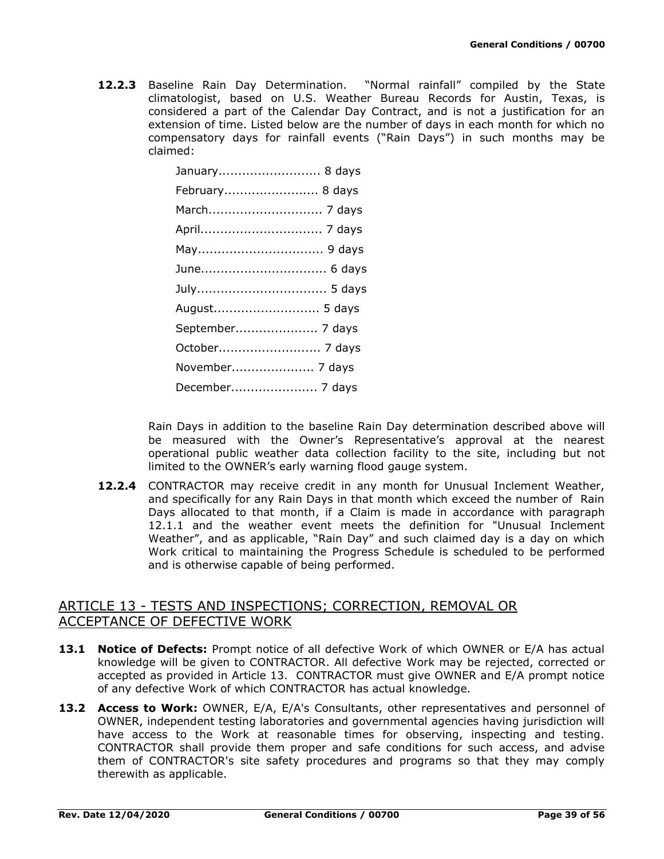**12.2.3** Baseline Rain Day Determination. "Normal rainfall" compiled by the State climatologist, based on U.S. Weather Bureau Records for Austin, Texas, is considered a part of the Calendar Day Contract, and is not a justification for an extension of time. Listed below are the number of days in each month for which no compensatory days for rainfall events ("Rain Days") in such months may be claimed:

> January.......................... 8 days February........................ 8 days March............................. 7 days April............................... 7 days May................................ 9 days June................................ 6 days July................................. 5 days August........................... 5 days September..................... 7 days October.......................... 7 days November..................... 7 days December...................... 7 days

Rain Days in addition to the baseline Rain Day determination described above will be measured with the Owner's Representative's approval at the nearest operational public weather data collection facility to the site, including but not limited to the OWNER's early warning flood gauge system.

**12.2.4** CONTRACTOR may receive credit in any month for Unusual Inclement Weather, and specifically for any Rain Days in that month which exceed the number of Rain Days allocated to that month, if a Claim is made in accordance with paragraph 12.1.1 and the weather event meets the definition for "Unusual Inclement Weather", and as applicable, "Rain Day" and such claimed day is a day on which Work critical to maintaining the Progress Schedule is scheduled to be performed and is otherwise capable of being performed.

## ARTICLE 13 - TESTS AND INSPECTIONS; CORRECTION, REMOVAL OR ACCEPTANCE OF DEFECTIVE WORK

- **13.1 Notice of Defects:** Prompt notice of all defective Work of which OWNER or E/A has actual knowledge will be given to CONTRACTOR. All defective Work may be rejected, corrected or accepted as provided in Article 13. CONTRACTOR must give OWNER and E/A prompt notice of any defective Work of which CONTRACTOR has actual knowledge.
- **13.2 Access to Work:** OWNER, E/A, E/A's Consultants, other representatives and personnel of OWNER, independent testing laboratories and governmental agencies having jurisdiction will have access to the Work at reasonable times for observing, inspecting and testing. CONTRACTOR shall provide them proper and safe conditions for such access, and advise them of CONTRACTOR's site safety procedures and programs so that they may comply therewith as applicable.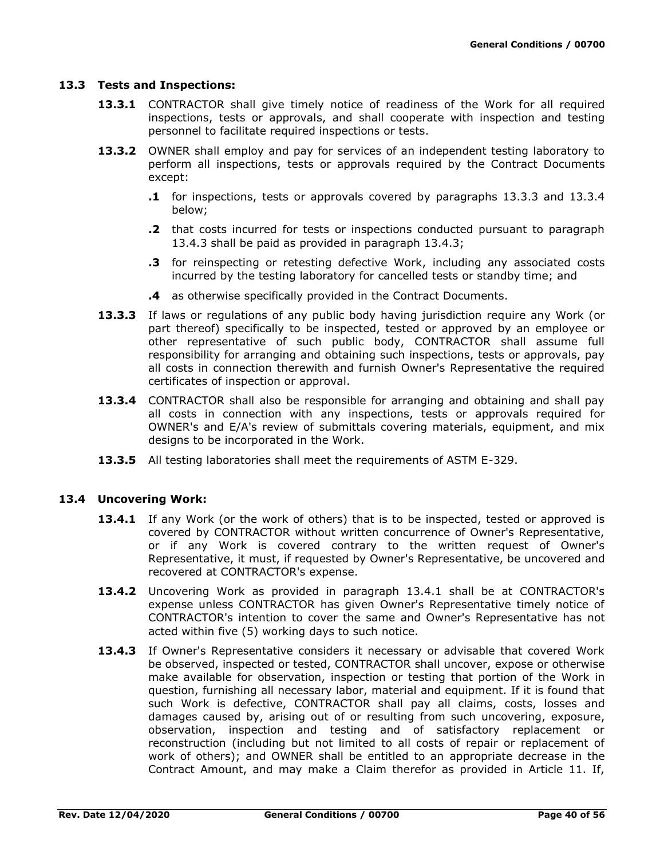#### **13.3 Tests and Inspections:**

- **13.3.1** CONTRACTOR shall give timely notice of readiness of the Work for all required inspections, tests or approvals, and shall cooperate with inspection and testing personnel to facilitate required inspections or tests.
- **13.3.2** OWNER shall employ and pay for services of an independent testing laboratory to perform all inspections, tests or approvals required by the Contract Documents except:
	- **.1** for inspections, tests or approvals covered by paragraphs 13.3.3 and 13.3.4 below;
	- **.2** that costs incurred for tests or inspections conducted pursuant to paragraph 13.4.3 shall be paid as provided in paragraph 13.4.3;
	- **.3** for reinspecting or retesting defective Work, including any associated costs incurred by the testing laboratory for cancelled tests or standby time; and
	- **.4** as otherwise specifically provided in the Contract Documents.
- **13.3.3** If laws or regulations of any public body having jurisdiction require any Work (or part thereof) specifically to be inspected, tested or approved by an employee or other representative of such public body, CONTRACTOR shall assume full responsibility for arranging and obtaining such inspections, tests or approvals, pay all costs in connection therewith and furnish Owner's Representative the required certificates of inspection or approval.
- **13.3.4** CONTRACTOR shall also be responsible for arranging and obtaining and shall pay all costs in connection with any inspections, tests or approvals required for OWNER's and E/A's review of submittals covering materials, equipment, and mix designs to be incorporated in the Work.
- **13.3.5** All testing laboratories shall meet the requirements of ASTM E-329.

### **13.4 Uncovering Work:**

- 13.4.1 If any Work (or the work of others) that is to be inspected, tested or approved is covered by CONTRACTOR without written concurrence of Owner's Representative, or if any Work is covered contrary to the written request of Owner's Representative, it must, if requested by Owner's Representative, be uncovered and recovered at CONTRACTOR's expense.
- **13.4.2** Uncovering Work as provided in paragraph 13.4.1 shall be at CONTRACTOR's expense unless CONTRACTOR has given Owner's Representative timely notice of CONTRACTOR's intention to cover the same and Owner's Representative has not acted within five (5) working days to such notice.
- 13.4.3 If Owner's Representative considers it necessary or advisable that covered Work be observed, inspected or tested, CONTRACTOR shall uncover, expose or otherwise make available for observation, inspection or testing that portion of the Work in question, furnishing all necessary labor, material and equipment. If it is found that such Work is defective, CONTRACTOR shall pay all claims, costs, losses and damages caused by, arising out of or resulting from such uncovering, exposure, observation, inspection and testing and of satisfactory replacement or reconstruction (including but not limited to all costs of repair or replacement of work of others); and OWNER shall be entitled to an appropriate decrease in the Contract Amount, and may make a Claim therefor as provided in Article 11. If,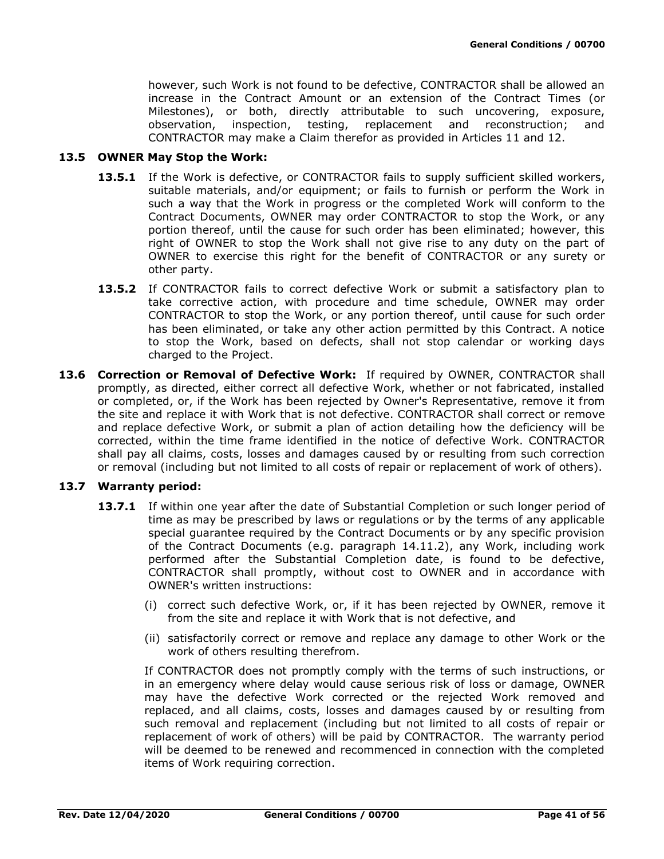however, such Work is not found to be defective, CONTRACTOR shall be allowed an increase in the Contract Amount or an extension of the Contract Times (or Milestones), or both, directly attributable to such uncovering, exposure, observation, inspection, testing, replacement and reconstruction; and CONTRACTOR may make a Claim therefor as provided in Articles 11 and 12.

#### **13.5 OWNER May Stop the Work:**

- **13.5.1** If the Work is defective, or CONTRACTOR fails to supply sufficient skilled workers, suitable materials, and/or equipment; or fails to furnish or perform the Work in such a way that the Work in progress or the completed Work will conform to the Contract Documents, OWNER may order CONTRACTOR to stop the Work, or any portion thereof, until the cause for such order has been eliminated; however, this right of OWNER to stop the Work shall not give rise to any duty on the part of OWNER to exercise this right for the benefit of CONTRACTOR or any surety or other party.
- **13.5.2** If CONTRACTOR fails to correct defective Work or submit a satisfactory plan to take corrective action, with procedure and time schedule, OWNER may order CONTRACTOR to stop the Work, or any portion thereof, until cause for such order has been eliminated, or take any other action permitted by this Contract. A notice to stop the Work, based on defects, shall not stop calendar or working days charged to the Project.
- **13.6 Correction or Removal of Defective Work:** If required by OWNER, CONTRACTOR shall promptly, as directed, either correct all defective Work, whether or not fabricated, installed or completed, or, if the Work has been rejected by Owner's Representative, remove it from the site and replace it with Work that is not defective. CONTRACTOR shall correct or remove and replace defective Work, or submit a plan of action detailing how the deficiency will be corrected, within the time frame identified in the notice of defective Work. CONTRACTOR shall pay all claims, costs, losses and damages caused by or resulting from such correction or removal (including but not limited to all costs of repair or replacement of work of others).

### **13.7 Warranty period:**

- 13.7.1 If within one year after the date of Substantial Completion or such longer period of time as may be prescribed by laws or regulations or by the terms of any applicable special guarantee required by the Contract Documents or by any specific provision of the Contract Documents (e.g. paragraph 14.11.2), any Work, including work performed after the Substantial Completion date, is found to be defective, CONTRACTOR shall promptly, without cost to OWNER and in accordance with OWNER's written instructions:
	- (i) correct such defective Work, or, if it has been rejected by OWNER, remove it from the site and replace it with Work that is not defective, and
	- (ii) satisfactorily correct or remove and replace any damage to other Work or the work of others resulting therefrom.

If CONTRACTOR does not promptly comply with the terms of such instructions, or in an emergency where delay would cause serious risk of loss or damage, OWNER may have the defective Work corrected or the rejected Work removed and replaced, and all claims, costs, losses and damages caused by or resulting from such removal and replacement (including but not limited to all costs of repair or replacement of work of others) will be paid by CONTRACTOR. The warranty period will be deemed to be renewed and recommenced in connection with the completed items of Work requiring correction.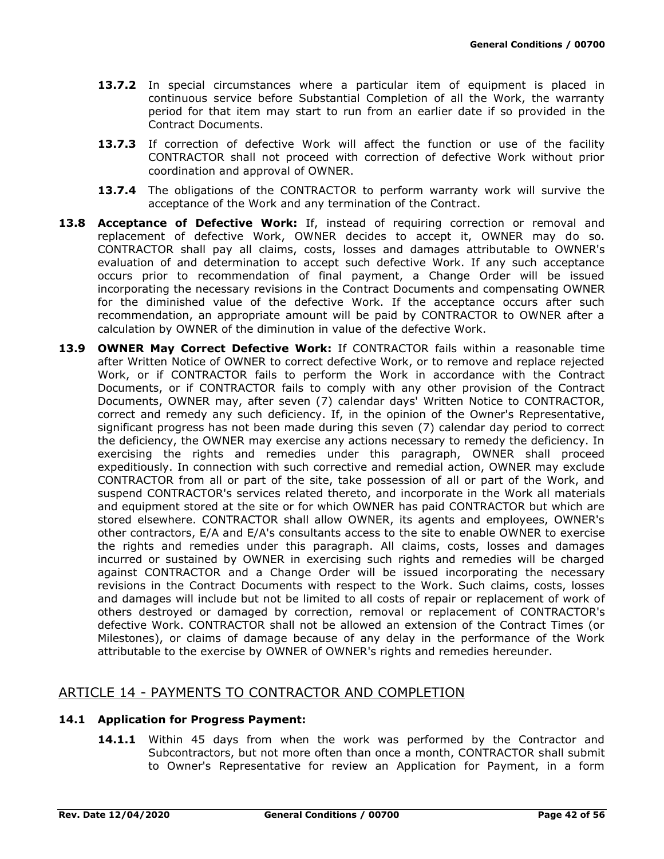- **13.7.2** In special circumstances where a particular item of equipment is placed in continuous service before Substantial Completion of all the Work, the warranty period for that item may start to run from an earlier date if so provided in the Contract Documents.
- 13.7.3 If correction of defective Work will affect the function or use of the facility CONTRACTOR shall not proceed with correction of defective Work without prior coordination and approval of OWNER.
- **13.7.4** The obligations of the CONTRACTOR to perform warranty work will survive the acceptance of the Work and any termination of the Contract.
- **13.8 Acceptance of Defective Work:** If, instead of requiring correction or removal and replacement of defective Work, OWNER decides to accept it, OWNER may do so. CONTRACTOR shall pay all claims, costs, losses and damages attributable to OWNER's evaluation of and determination to accept such defective Work. If any such acceptance occurs prior to recommendation of final payment, a Change Order will be issued incorporating the necessary revisions in the Contract Documents and compensating OWNER for the diminished value of the defective Work. If the acceptance occurs after such recommendation, an appropriate amount will be paid by CONTRACTOR to OWNER after a calculation by OWNER of the diminution in value of the defective Work.
- **13.9 OWNER May Correct Defective Work:** If CONTRACTOR fails within a reasonable time after Written Notice of OWNER to correct defective Work, or to remove and replace rejected Work, or if CONTRACTOR fails to perform the Work in accordance with the Contract Documents, or if CONTRACTOR fails to comply with any other provision of the Contract Documents, OWNER may, after seven (7) calendar days' Written Notice to CONTRACTOR, correct and remedy any such deficiency. If, in the opinion of the Owner's Representative, significant progress has not been made during this seven (7) calendar day period to correct the deficiency, the OWNER may exercise any actions necessary to remedy the deficiency. In exercising the rights and remedies under this paragraph, OWNER shall proceed expeditiously. In connection with such corrective and remedial action, OWNER may exclude CONTRACTOR from all or part of the site, take possession of all or part of the Work, and suspend CONTRACTOR's services related thereto, and incorporate in the Work all materials and equipment stored at the site or for which OWNER has paid CONTRACTOR but which are stored elsewhere. CONTRACTOR shall allow OWNER, its agents and employees, OWNER's other contractors, E/A and E/A's consultants access to the site to enable OWNER to exercise the rights and remedies under this paragraph. All claims, costs, losses and damages incurred or sustained by OWNER in exercising such rights and remedies will be charged against CONTRACTOR and a Change Order will be issued incorporating the necessary revisions in the Contract Documents with respect to the Work. Such claims, costs, losses and damages will include but not be limited to all costs of repair or replacement of work of others destroyed or damaged by correction, removal or replacement of CONTRACTOR's defective Work. CONTRACTOR shall not be allowed an extension of the Contract Times (or Milestones), or claims of damage because of any delay in the performance of the Work attributable to the exercise by OWNER of OWNER's rights and remedies hereunder.

## ARTICLE 14 - PAYMENTS TO CONTRACTOR AND COMPLETION

### **14.1 Application for Progress Payment:**

**14.1.1** Within 45 days from when the work was performed by the Contractor and Subcontractors, but not more often than once a month, CONTRACTOR shall submit to Owner's Representative for review an Application for Payment, in a form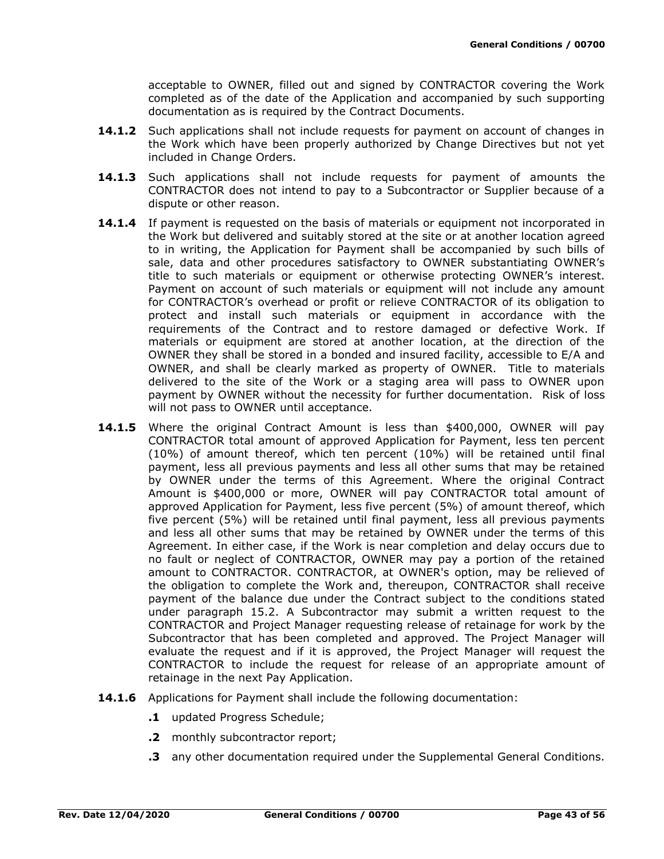acceptable to OWNER, filled out and signed by CONTRACTOR covering the Work completed as of the date of the Application and accompanied by such supporting documentation as is required by the Contract Documents.

- **14.1.2** Such applications shall not include requests for payment on account of changes in the Work which have been properly authorized by Change Directives but not yet included in Change Orders.
- **14.1.3** Such applications shall not include requests for payment of amounts the CONTRACTOR does not intend to pay to a Subcontractor or Supplier because of a dispute or other reason.
- **14.1.4** If payment is requested on the basis of materials or equipment not incorporated in the Work but delivered and suitably stored at the site or at another location agreed to in writing, the Application for Payment shall be accompanied by such bills of sale, data and other procedures satisfactory to OWNER substantiating OWNER's title to such materials or equipment or otherwise protecting OWNER's interest. Payment on account of such materials or equipment will not include any amount for CONTRACTOR's overhead or profit or relieve CONTRACTOR of its obligation to protect and install such materials or equipment in accordance with the requirements of the Contract and to restore damaged or defective Work. If materials or equipment are stored at another location, at the direction of the OWNER they shall be stored in a bonded and insured facility, accessible to E/A and OWNER, and shall be clearly marked as property of OWNER. Title to materials delivered to the site of the Work or a staging area will pass to OWNER upon payment by OWNER without the necessity for further documentation. Risk of loss will not pass to OWNER until acceptance.
- **14.1.5** Where the original Contract Amount is less than \$400,000, OWNER will pay CONTRACTOR total amount of approved Application for Payment, less ten percent (10%) of amount thereof, which ten percent (10%) will be retained until final payment, less all previous payments and less all other sums that may be retained by OWNER under the terms of this Agreement. Where the original Contract Amount is \$400,000 or more, OWNER will pay CONTRACTOR total amount of approved Application for Payment, less five percent (5%) of amount thereof, which five percent (5%) will be retained until final payment, less all previous payments and less all other sums that may be retained by OWNER under the terms of this Agreement. In either case, if the Work is near completion and delay occurs due to no fault or neglect of CONTRACTOR, OWNER may pay a portion of the retained amount to CONTRACTOR. CONTRACTOR, at OWNER's option, may be relieved of the obligation to complete the Work and, thereupon, CONTRACTOR shall receive payment of the balance due under the Contract subject to the conditions stated under paragraph 15.2. A Subcontractor may submit a written request to the CONTRACTOR and Project Manager requesting release of retainage for work by the Subcontractor that has been completed and approved. The Project Manager will evaluate the request and if it is approved, the Project Manager will request the CONTRACTOR to include the request for release of an appropriate amount of retainage in the next Pay Application.
- **14.1.6** Applications for Payment shall include the following documentation:
	- **.1** updated Progress Schedule;
	- **.2** monthly subcontractor report;
	- **.3** any other documentation required under the Supplemental General Conditions.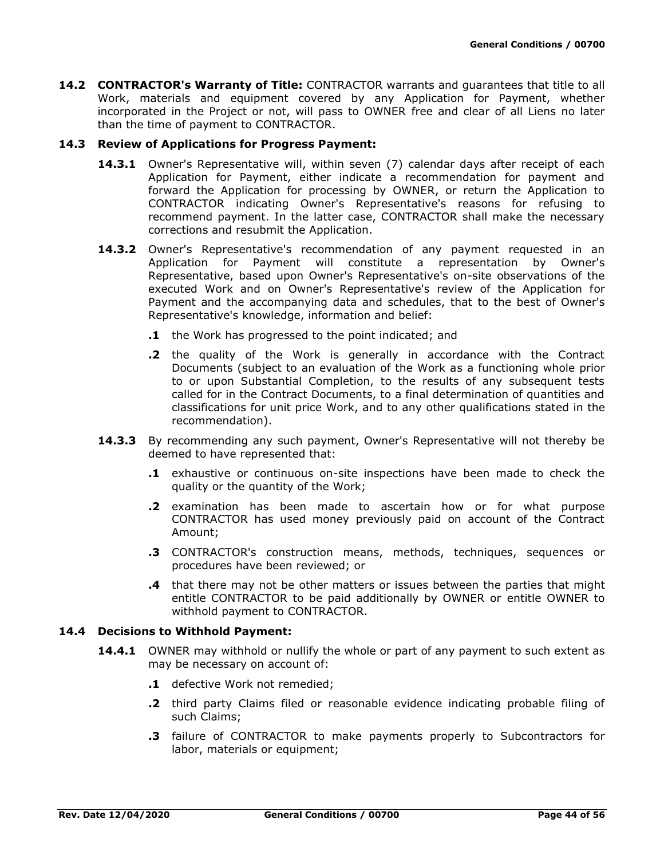**14.2 CONTRACTOR's Warranty of Title:** CONTRACTOR warrants and guarantees that title to all Work, materials and equipment covered by any Application for Payment, whether incorporated in the Project or not, will pass to OWNER free and clear of all Liens no later than the time of payment to CONTRACTOR.

### **14.3 Review of Applications for Progress Payment:**

- **14.3.1** Owner's Representative will, within seven (7) calendar days after receipt of each Application for Payment, either indicate a recommendation for payment and forward the Application for processing by OWNER, or return the Application to CONTRACTOR indicating Owner's Representative's reasons for refusing to recommend payment. In the latter case, CONTRACTOR shall make the necessary corrections and resubmit the Application.
- 14.3.2 Owner's Representative's recommendation of any payment requested in an Application for Payment will constitute a representation by Owner's Representative, based upon Owner's Representative's on-site observations of the executed Work and on Owner's Representative's review of the Application for Payment and the accompanying data and schedules, that to the best of Owner's Representative's knowledge, information and belief:
	- **.1** the Work has progressed to the point indicated; and
	- **.2** the quality of the Work is generally in accordance with the Contract Documents (subject to an evaluation of the Work as a functioning whole prior to or upon Substantial Completion, to the results of any subsequent tests called for in the Contract Documents, to a final determination of quantities and classifications for unit price Work, and to any other qualifications stated in the recommendation).
- **14.3.3** By recommending any such payment, Owner's Representative will not thereby be deemed to have represented that:
	- **.1** exhaustive or continuous on-site inspections have been made to check the quality or the quantity of the Work;
	- **.2** examination has been made to ascertain how or for what purpose CONTRACTOR has used money previously paid on account of the Contract Amount;
	- **.3** CONTRACTOR's construction means, methods, techniques, sequences or procedures have been reviewed; or
	- **.4** that there may not be other matters or issues between the parties that might entitle CONTRACTOR to be paid additionally by OWNER or entitle OWNER to withhold payment to CONTRACTOR.

### **14.4 Decisions to Withhold Payment:**

- **14.4.1** OWNER may withhold or nullify the whole or part of any payment to such extent as may be necessary on account of:
	- **.1** defective Work not remedied;
	- **.2** third party Claims filed or reasonable evidence indicating probable filing of such Claims;
	- **.3** failure of CONTRACTOR to make payments properly to Subcontractors for labor, materials or equipment;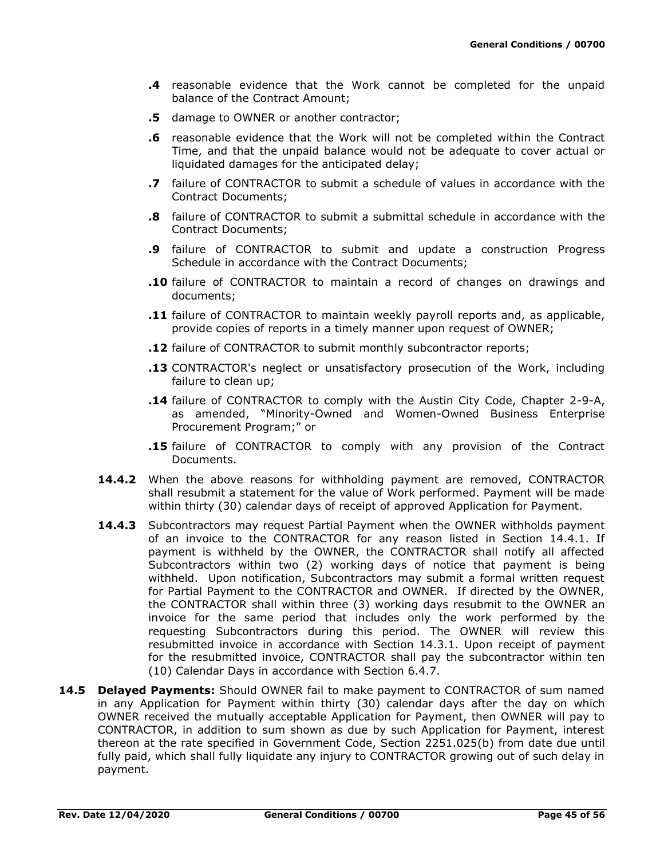- **.4** reasonable evidence that the Work cannot be completed for the unpaid balance of the Contract Amount;
- **.5** damage to OWNER or another contractor;
- **.6** reasonable evidence that the Work will not be completed within the Contract Time, and that the unpaid balance would not be adequate to cover actual or liquidated damages for the anticipated delay;
- **.7** failure of CONTRACTOR to submit a schedule of values in accordance with the Contract Documents;
- **.8** failure of CONTRACTOR to submit a submittal schedule in accordance with the Contract Documents;
- **.9** failure of CONTRACTOR to submit and update a construction Progress Schedule in accordance with the Contract Documents;
- **.10** failure of CONTRACTOR to maintain a record of changes on drawings and documents;
- **.11** failure of CONTRACTOR to maintain weekly payroll reports and, as applicable, provide copies of reports in a timely manner upon request of OWNER;
- **.12** failure of CONTRACTOR to submit monthly subcontractor reports;
- **.13** CONTRACTOR's neglect or unsatisfactory prosecution of the Work, including failure to clean up;
- **.14** failure of CONTRACTOR to comply with the Austin City Code, Chapter 2-9-A, as amended, "Minority-Owned and Women-Owned Business Enterprise Procurement Program;" or
- **.15** failure of CONTRACTOR to comply with any provision of the Contract Documents.
- **14.4.2** When the above reasons for withholding payment are removed, CONTRACTOR shall resubmit a statement for the value of Work performed. Payment will be made within thirty (30) calendar days of receipt of approved Application for Payment.
- **14.4.3** Subcontractors may request Partial Payment when the OWNER withholds payment of an invoice to the CONTRACTOR for any reason listed in Section 14.4.1. If payment is withheld by the OWNER, the CONTRACTOR shall notify all affected Subcontractors within two (2) working days of notice that payment is being withheld. Upon notification, Subcontractors may submit a formal written request for Partial Payment to the CONTRACTOR and OWNER. If directed by the OWNER, the CONTRACTOR shall within three (3) working days resubmit to the OWNER an invoice for the same period that includes only the work performed by the requesting Subcontractors during this period. The OWNER will review this resubmitted invoice in accordance with Section 14.3.1. Upon receipt of payment for the resubmitted invoice, CONTRACTOR shall pay the subcontractor within ten (10) Calendar Days in accordance with Section 6.4.7.
- **14.5 Delayed Payments:** Should OWNER fail to make payment to CONTRACTOR of sum named in any Application for Payment within thirty (30) calendar days after the day on which OWNER received the mutually acceptable Application for Payment, then OWNER will pay to CONTRACTOR, in addition to sum shown as due by such Application for Payment, interest thereon at the rate specified in Government Code, Section 2251.025(b) from date due until fully paid, which shall fully liquidate any injury to CONTRACTOR growing out of such delay in payment.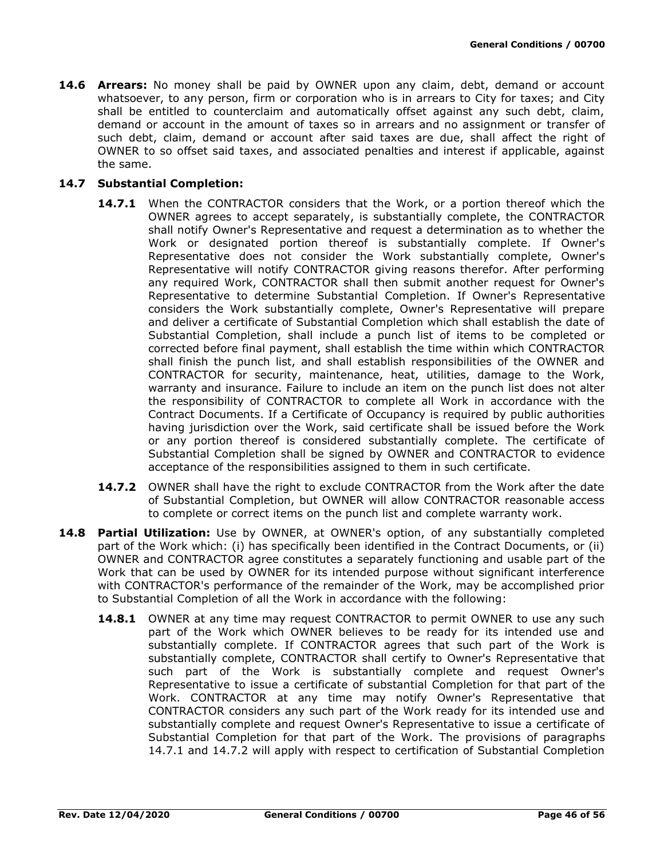**14.6 Arrears:** No money shall be paid by OWNER upon any claim, debt, demand or account whatsoever, to any person, firm or corporation who is in arrears to City for taxes; and City shall be entitled to counterclaim and automatically offset against any such debt, claim, demand or account in the amount of taxes so in arrears and no assignment or transfer of such debt, claim, demand or account after said taxes are due, shall affect the right of OWNER to so offset said taxes, and associated penalties and interest if applicable, against the same.

### **14.7 Substantial Completion:**

- **14.7.1** When the CONTRACTOR considers that the Work, or a portion thereof which the OWNER agrees to accept separately, is substantially complete, the CONTRACTOR shall notify Owner's Representative and request a determination as to whether the Work or designated portion thereof is substantially complete. If Owner's Representative does not consider the Work substantially complete, Owner's Representative will notify CONTRACTOR giving reasons therefor. After performing any required Work, CONTRACTOR shall then submit another request for Owner's Representative to determine Substantial Completion. If Owner's Representative considers the Work substantially complete, Owner's Representative will prepare and deliver a certificate of Substantial Completion which shall establish the date of Substantial Completion, shall include a punch list of items to be completed or corrected before final payment, shall establish the time within which CONTRACTOR shall finish the punch list, and shall establish responsibilities of the OWNER and CONTRACTOR for security, maintenance, heat, utilities, damage to the Work, warranty and insurance. Failure to include an item on the punch list does not alter the responsibility of CONTRACTOR to complete all Work in accordance with the Contract Documents. If a Certificate of Occupancy is required by public authorities having jurisdiction over the Work, said certificate shall be issued before the Work or any portion thereof is considered substantially complete. The certificate of Substantial Completion shall be signed by OWNER and CONTRACTOR to evidence acceptance of the responsibilities assigned to them in such certificate.
- **14.7.2** OWNER shall have the right to exclude CONTRACTOR from the Work after the date of Substantial Completion, but OWNER will allow CONTRACTOR reasonable access to complete or correct items on the punch list and complete warranty work.
- **14.8 Partial Utilization:** Use by OWNER, at OWNER's option, of any substantially completed part of the Work which: (i) has specifically been identified in the Contract Documents, or (ii) OWNER and CONTRACTOR agree constitutes a separately functioning and usable part of the Work that can be used by OWNER for its intended purpose without significant interference with CONTRACTOR's performance of the remainder of the Work, may be accomplished prior to Substantial Completion of all the Work in accordance with the following:
	- **14.8.1** OWNER at any time may request CONTRACTOR to permit OWNER to use any such part of the Work which OWNER believes to be ready for its intended use and substantially complete. If CONTRACTOR agrees that such part of the Work is substantially complete, CONTRACTOR shall certify to Owner's Representative that such part of the Work is substantially complete and request Owner's Representative to issue a certificate of substantial Completion for that part of the Work. CONTRACTOR at any time may notify Owner's Representative that CONTRACTOR considers any such part of the Work ready for its intended use and substantially complete and request Owner's Representative to issue a certificate of Substantial Completion for that part of the Work. The provisions of paragraphs 14.7.1 and 14.7.2 will apply with respect to certification of Substantial Completion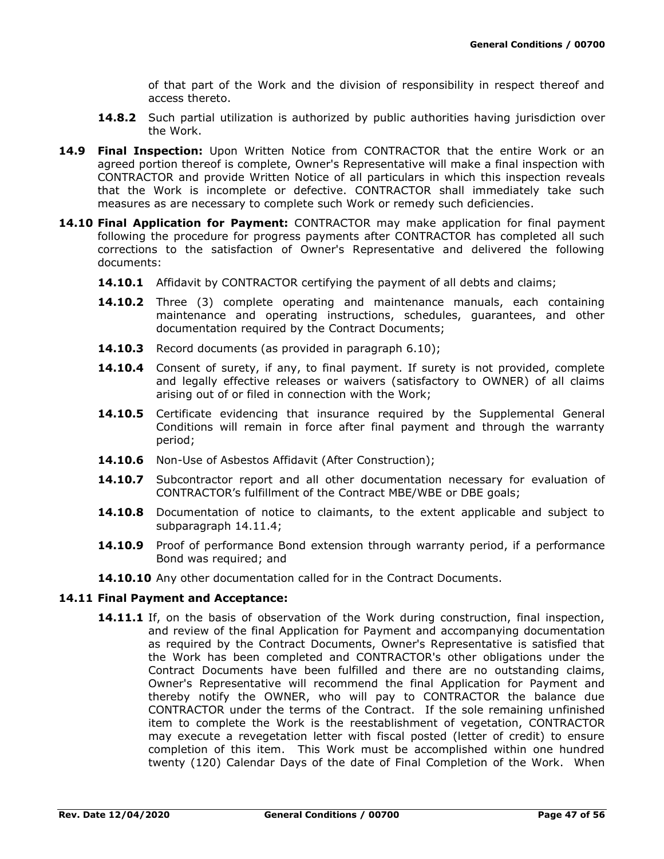of that part of the Work and the division of responsibility in respect thereof and access thereto.

- **14.8.2** Such partial utilization is authorized by public authorities having jurisdiction over the Work.
- **14.9 Final Inspection:** Upon Written Notice from CONTRACTOR that the entire Work or an agreed portion thereof is complete, Owner's Representative will make a final inspection with CONTRACTOR and provide Written Notice of all particulars in which this inspection reveals that the Work is incomplete or defective. CONTRACTOR shall immediately take such measures as are necessary to complete such Work or remedy such deficiencies.
- **14.10 Final Application for Payment:** CONTRACTOR may make application for final payment following the procedure for progress payments after CONTRACTOR has completed all such corrections to the satisfaction of Owner's Representative and delivered the following documents:
	- **14.10.1** Affidavit by CONTRACTOR certifying the payment of all debts and claims;
	- **14.10.2** Three (3) complete operating and maintenance manuals, each containing maintenance and operating instructions, schedules, guarantees, and other documentation required by the Contract Documents;
	- **14.10.3** Record documents (as provided in paragraph 6.10);
	- **14.10.4** Consent of surety, if any, to final payment. If surety is not provided, complete and legally effective releases or waivers (satisfactory to OWNER) of all claims arising out of or filed in connection with the Work;
	- **14.10.5** Certificate evidencing that insurance required by the Supplemental General Conditions will remain in force after final payment and through the warranty period;
	- **14.10.6** Non-Use of Asbestos Affidavit (After Construction);
	- **14.10.7** Subcontractor report and all other documentation necessary for evaluation of CONTRACTOR's fulfillment of the Contract MBE/WBE or DBE goals;
	- **14.10.8** Documentation of notice to claimants, to the extent applicable and subject to subparagraph 14.11.4;
	- **14.10.9** Proof of performance Bond extension through warranty period, if a performance Bond was required; and
	- **14.10.10** Any other documentation called for in the Contract Documents.

#### **14.11 Final Payment and Acceptance:**

**14.11.1** If, on the basis of observation of the Work during construction, final inspection, and review of the final Application for Payment and accompanying documentation as required by the Contract Documents, Owner's Representative is satisfied that the Work has been completed and CONTRACTOR's other obligations under the Contract Documents have been fulfilled and there are no outstanding claims, Owner's Representative will recommend the final Application for Payment and thereby notify the OWNER, who will pay to CONTRACTOR the balance due CONTRACTOR under the terms of the Contract. If the sole remaining unfinished item to complete the Work is the reestablishment of vegetation, CONTRACTOR may execute a revegetation letter with fiscal posted (letter of credit) to ensure completion of this item. This Work must be accomplished within one hundred twenty (120) Calendar Days of the date of Final Completion of the Work. When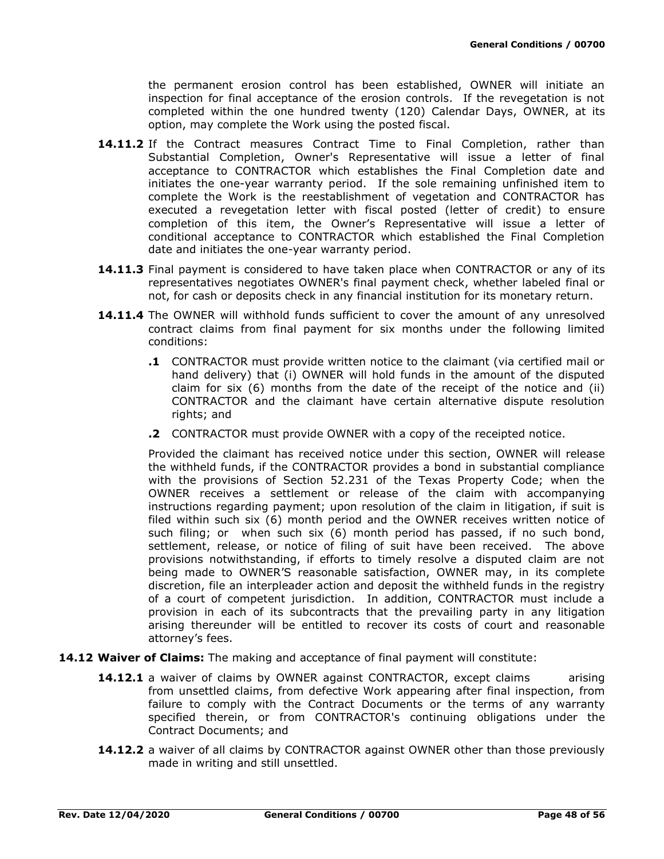the permanent erosion control has been established, OWNER will initiate an inspection for final acceptance of the erosion controls. If the revegetation is not completed within the one hundred twenty (120) Calendar Days, OWNER, at its option, may complete the Work using the posted fiscal.

- **14.11.2** If the Contract measures Contract Time to Final Completion, rather than Substantial Completion, Owner's Representative will issue a letter of final acceptance to CONTRACTOR which establishes the Final Completion date and initiates the one-year warranty period. If the sole remaining unfinished item to complete the Work is the reestablishment of vegetation and CONTRACTOR has executed a revegetation letter with fiscal posted (letter of credit) to ensure completion of this item, the Owner's Representative will issue a letter of conditional acceptance to CONTRACTOR which established the Final Completion date and initiates the one-year warranty period.
- **14.11.3** Final payment is considered to have taken place when CONTRACTOR or any of its representatives negotiates OWNER's final payment check, whether labeled final or not, for cash or deposits check in any financial institution for its monetary return.
- **14.11.4** The OWNER will withhold funds sufficient to cover the amount of any unresolved contract claims from final payment for six months under the following limited conditions:
	- **.1** CONTRACTOR must provide written notice to the claimant (via certified mail or hand delivery) that (i) OWNER will hold funds in the amount of the disputed claim for six (6) months from the date of the receipt of the notice and (ii) CONTRACTOR and the claimant have certain alternative dispute resolution rights; and
	- **.2** CONTRACTOR must provide OWNER with a copy of the receipted notice.

Provided the claimant has received notice under this section, OWNER will release the withheld funds, if the CONTRACTOR provides a bond in substantial compliance with the provisions of Section 52.231 of the Texas Property Code; when the OWNER receives a settlement or release of the claim with accompanying instructions regarding payment; upon resolution of the claim in litigation, if suit is filed within such six (6) month period and the OWNER receives written notice of such filing; or when such six (6) month period has passed, if no such bond, settlement, release, or notice of filing of suit have been received. The above provisions notwithstanding, if efforts to timely resolve a disputed claim are not being made to OWNER'S reasonable satisfaction, OWNER may, in its complete discretion, file an interpleader action and deposit the withheld funds in the registry of a court of competent jurisdiction. In addition, CONTRACTOR must include a provision in each of its subcontracts that the prevailing party in any litigation arising thereunder will be entitled to recover its costs of court and reasonable attorney's fees.

- **14.12 Waiver of Claims:** The making and acceptance of final payment will constitute:
	- **14.12.1** a waiver of claims by OWNER against CONTRACTOR, except claims arising from unsettled claims, from defective Work appearing after final inspection, from failure to comply with the Contract Documents or the terms of any warranty specified therein, or from CONTRACTOR's continuing obligations under the Contract Documents; and
	- **14.12.2** a waiver of all claims by CONTRACTOR against OWNER other than those previously made in writing and still unsettled.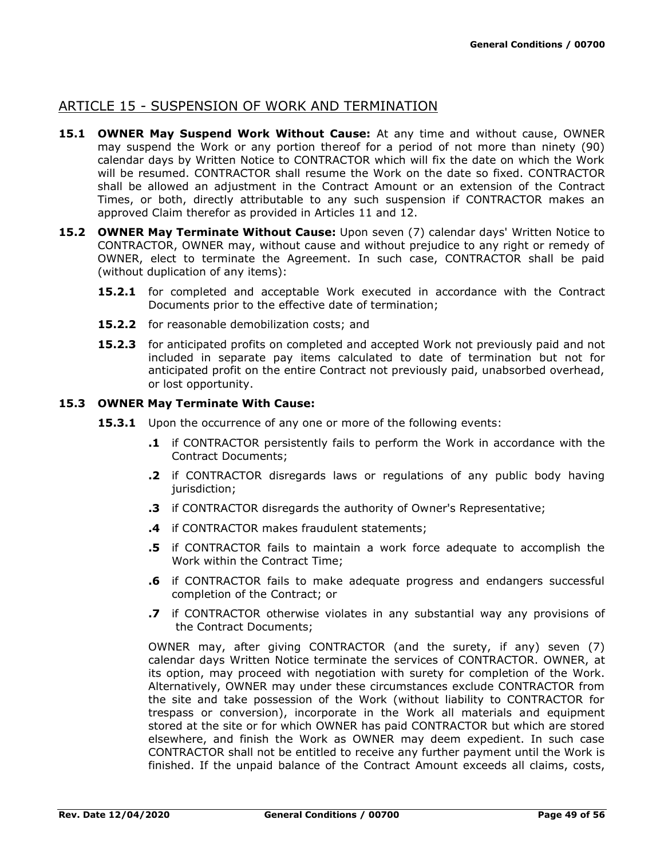## ARTICLE 15 - SUSPENSION OF WORK AND TERMINATION

- **15.1 OWNER May Suspend Work Without Cause:** At any time and without cause, OWNER may suspend the Work or any portion thereof for a period of not more than ninety (90) calendar days by Written Notice to CONTRACTOR which will fix the date on which the Work will be resumed. CONTRACTOR shall resume the Work on the date so fixed. CONTRACTOR shall be allowed an adjustment in the Contract Amount or an extension of the Contract Times, or both, directly attributable to any such suspension if CONTRACTOR makes an approved Claim therefor as provided in Articles 11 and 12.
- **15.2 OWNER May Terminate Without Cause:** Upon seven (7) calendar days' Written Notice to CONTRACTOR, OWNER may, without cause and without prejudice to any right or remedy of OWNER, elect to terminate the Agreement. In such case, CONTRACTOR shall be paid (without duplication of any items):
	- **15.2.1** for completed and acceptable Work executed in accordance with the Contract Documents prior to the effective date of termination;
	- **15.2.2** for reasonable demobilization costs; and
	- **15.2.3** for anticipated profits on completed and accepted Work not previously paid and not included in separate pay items calculated to date of termination but not for anticipated profit on the entire Contract not previously paid, unabsorbed overhead, or lost opportunity.

### **15.3 OWNER May Terminate With Cause:**

- **15.3.1** Upon the occurrence of any one or more of the following events:
	- **.1** if CONTRACTOR persistently fails to perform the Work in accordance with the Contract Documents;
	- **.2** if CONTRACTOR disregards laws or regulations of any public body having jurisdiction;
	- **.3** if CONTRACTOR disregards the authority of Owner's Representative;
	- **.4** if CONTRACTOR makes fraudulent statements;
	- **.5** if CONTRACTOR fails to maintain a work force adequate to accomplish the Work within the Contract Time;
	- **.6** if CONTRACTOR fails to make adequate progress and endangers successful completion of the Contract; or
	- **.7** if CONTRACTOR otherwise violates in any substantial way any provisions of the Contract Documents;

OWNER may, after giving CONTRACTOR (and the surety, if any) seven (7) calendar days Written Notice terminate the services of CONTRACTOR. OWNER, at its option, may proceed with negotiation with surety for completion of the Work. Alternatively, OWNER may under these circumstances exclude CONTRACTOR from the site and take possession of the Work (without liability to CONTRACTOR for trespass or conversion), incorporate in the Work all materials and equipment stored at the site or for which OWNER has paid CONTRACTOR but which are stored elsewhere, and finish the Work as OWNER may deem expedient. In such case CONTRACTOR shall not be entitled to receive any further payment until the Work is finished. If the unpaid balance of the Contract Amount exceeds all claims, costs,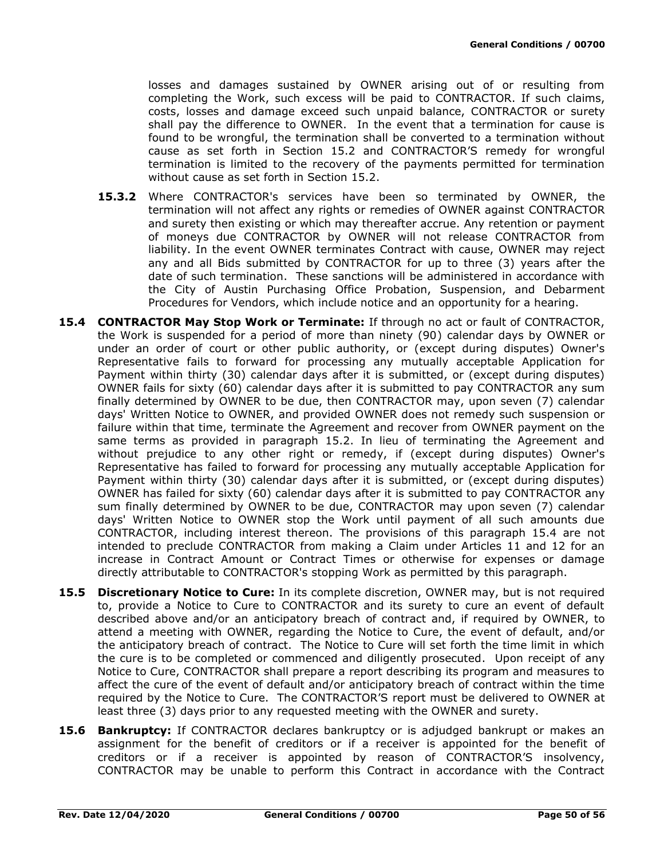losses and damages sustained by OWNER arising out of or resulting from completing the Work, such excess will be paid to CONTRACTOR. If such claims, costs, losses and damage exceed such unpaid balance, CONTRACTOR or surety shall pay the difference to OWNER. In the event that a termination for cause is found to be wrongful, the termination shall be converted to a termination without cause as set forth in Section 15.2 and CONTRACTOR'S remedy for wrongful termination is limited to the recovery of the payments permitted for termination without cause as set forth in Section 15.2.

- **15.3.2** Where CONTRACTOR's services have been so terminated by OWNER, the termination will not affect any rights or remedies of OWNER against CONTRACTOR and surety then existing or which may thereafter accrue. Any retention or payment of moneys due CONTRACTOR by OWNER will not release CONTRACTOR from liability. In the event OWNER terminates Contract with cause, OWNER may reject any and all Bids submitted by CONTRACTOR for up to three (3) years after the date of such termination. These sanctions will be administered in accordance with the City of Austin Purchasing Office Probation, Suspension, and Debarment Procedures for Vendors, which include notice and an opportunity for a hearing.
- **15.4 CONTRACTOR May Stop Work or Terminate:** If through no act or fault of CONTRACTOR, the Work is suspended for a period of more than ninety (90) calendar days by OWNER or under an order of court or other public authority, or (except during disputes) Owner's Representative fails to forward for processing any mutually acceptable Application for Payment within thirty (30) calendar days after it is submitted, or (except during disputes) OWNER fails for sixty (60) calendar days after it is submitted to pay CONTRACTOR any sum finally determined by OWNER to be due, then CONTRACTOR may, upon seven (7) calendar days' Written Notice to OWNER, and provided OWNER does not remedy such suspension or failure within that time, terminate the Agreement and recover from OWNER payment on the same terms as provided in paragraph 15.2. In lieu of terminating the Agreement and without prejudice to any other right or remedy, if (except during disputes) Owner's Representative has failed to forward for processing any mutually acceptable Application for Payment within thirty (30) calendar days after it is submitted, or (except during disputes) OWNER has failed for sixty (60) calendar days after it is submitted to pay CONTRACTOR any sum finally determined by OWNER to be due, CONTRACTOR may upon seven (7) calendar days' Written Notice to OWNER stop the Work until payment of all such amounts due CONTRACTOR, including interest thereon. The provisions of this paragraph 15.4 are not intended to preclude CONTRACTOR from making a Claim under Articles 11 and 12 for an increase in Contract Amount or Contract Times or otherwise for expenses or damage directly attributable to CONTRACTOR's stopping Work as permitted by this paragraph.
- **15.5 Discretionary Notice to Cure:** In its complete discretion, OWNER may, but is not required to, provide a Notice to Cure to CONTRACTOR and its surety to cure an event of default described above and/or an anticipatory breach of contract and, if required by OWNER, to attend a meeting with OWNER, regarding the Notice to Cure, the event of default, and/or the anticipatory breach of contract. The Notice to Cure will set forth the time limit in which the cure is to be completed or commenced and diligently prosecuted. Upon receipt of any Notice to Cure, CONTRACTOR shall prepare a report describing its program and measures to affect the cure of the event of default and/or anticipatory breach of contract within the time required by the Notice to Cure. The CONTRACTOR'S report must be delivered to OWNER at least three (3) days prior to any requested meeting with the OWNER and surety.
- **15.6 Bankruptcy:** If CONTRACTOR declares bankruptcy or is adjudged bankrupt or makes an assignment for the benefit of creditors or if a receiver is appointed for the benefit of creditors or if a receiver is appointed by reason of CONTRACTOR'S insolvency, CONTRACTOR may be unable to perform this Contract in accordance with the Contract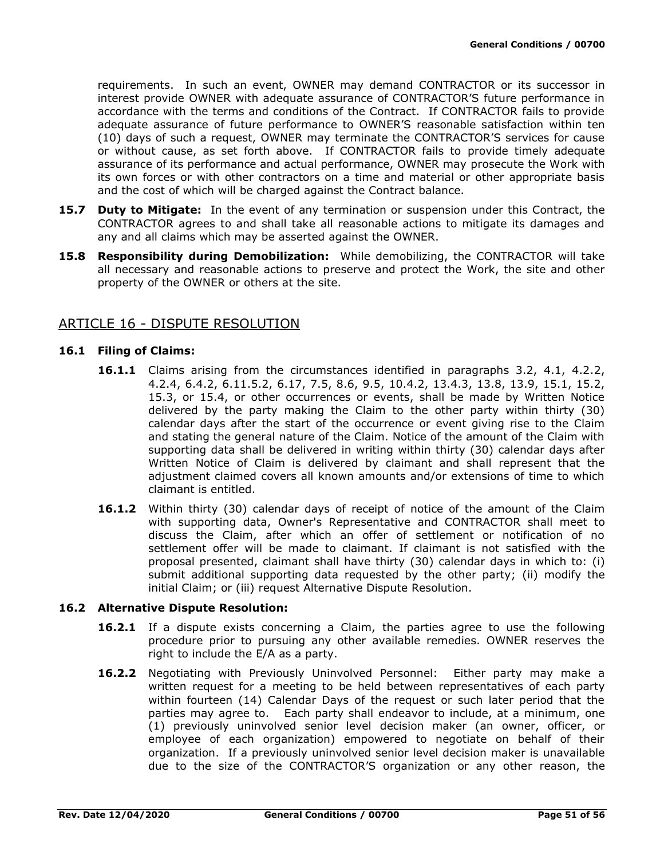requirements. In such an event, OWNER may demand CONTRACTOR or its successor in interest provide OWNER with adequate assurance of CONTRACTOR'S future performance in accordance with the terms and conditions of the Contract. If CONTRACTOR fails to provide adequate assurance of future performance to OWNER'S reasonable satisfaction within ten (10) days of such a request, OWNER may terminate the CONTRACTOR'S services for cause or without cause, as set forth above. If CONTRACTOR fails to provide timely adequate assurance of its performance and actual performance, OWNER may prosecute the Work with its own forces or with other contractors on a time and material or other appropriate basis and the cost of which will be charged against the Contract balance.

- **15.7 Duty to Mitigate:** In the event of any termination or suspension under this Contract, the CONTRACTOR agrees to and shall take all reasonable actions to mitigate its damages and any and all claims which may be asserted against the OWNER.
- **15.8 Responsibility during Demobilization:** While demobilizing, the CONTRACTOR will take all necessary and reasonable actions to preserve and protect the Work, the site and other property of the OWNER or others at the site.

## ARTICLE 16 - DISPUTE RESOLUTION

### **16.1 Filing of Claims:**

- **16.1.1** Claims arising from the circumstances identified in paragraphs 3.2, 4.1, 4.2.2, 4.2.4, 6.4.2, 6.11.5.2, 6.17, 7.5, 8.6, 9.5, 10.4.2, 13.4.3, 13.8, 13.9, 15.1, 15.2, 15.3, or 15.4, or other occurrences or events, shall be made by Written Notice delivered by the party making the Claim to the other party within thirty (30) calendar days after the start of the occurrence or event giving rise to the Claim and stating the general nature of the Claim. Notice of the amount of the Claim with supporting data shall be delivered in writing within thirty (30) calendar days after Written Notice of Claim is delivered by claimant and shall represent that the adjustment claimed covers all known amounts and/or extensions of time to which claimant is entitled.
- **16.1.2** Within thirty (30) calendar days of receipt of notice of the amount of the Claim with supporting data, Owner's Representative and CONTRACTOR shall meet to discuss the Claim, after which an offer of settlement or notification of no settlement offer will be made to claimant. If claimant is not satisfied with the proposal presented, claimant shall have thirty (30) calendar days in which to: (i) submit additional supporting data requested by the other party; (ii) modify the initial Claim; or (iii) request Alternative Dispute Resolution.

#### **16.2 Alternative Dispute Resolution:**

- **16.2.1** If a dispute exists concerning a Claim, the parties agree to use the following procedure prior to pursuing any other available remedies. OWNER reserves the right to include the E/A as a party.
- **16.2.2** Negotiating with Previously Uninvolved Personnel: Either party may make a written request for a meeting to be held between representatives of each party within fourteen (14) Calendar Days of the request or such later period that the parties may agree to. Each party shall endeavor to include, at a minimum, one (1) previously uninvolved senior level decision maker (an owner, officer, or employee of each organization) empowered to negotiate on behalf of their organization. If a previously uninvolved senior level decision maker is unavailable due to the size of the CONTRACTOR'S organization or any other reason, the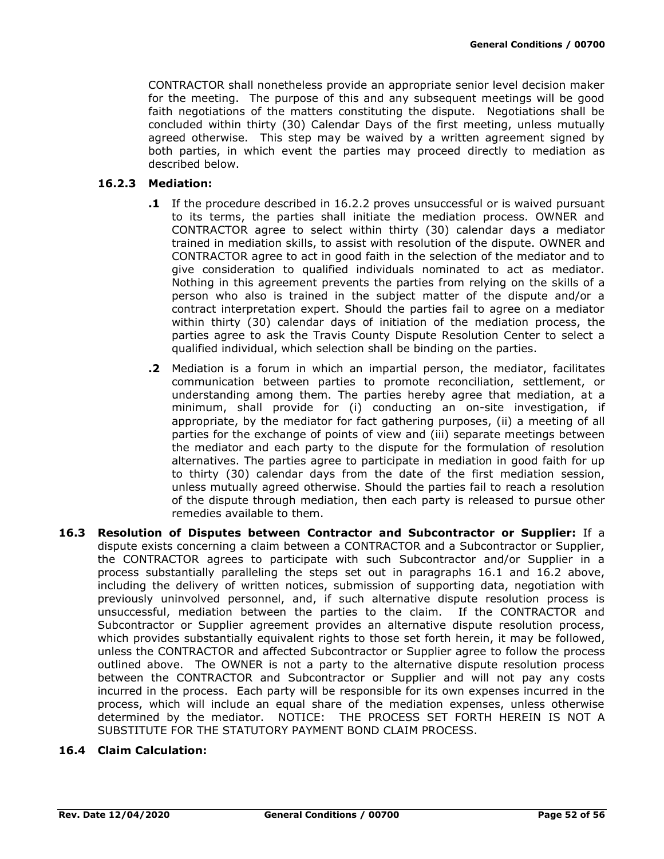CONTRACTOR shall nonetheless provide an appropriate senior level decision maker for the meeting. The purpose of this and any subsequent meetings will be good faith negotiations of the matters constituting the dispute. Negotiations shall be concluded within thirty (30) Calendar Days of the first meeting, unless mutually agreed otherwise. This step may be waived by a written agreement signed by both parties, in which event the parties may proceed directly to mediation as described below.

### **16.2.3 Mediation:**

- **.1** If the procedure described in 16.2.2 proves unsuccessful or is waived pursuant to its terms, the parties shall initiate the mediation process. OWNER and CONTRACTOR agree to select within thirty (30) calendar days a mediator trained in mediation skills, to assist with resolution of the dispute. OWNER and CONTRACTOR agree to act in good faith in the selection of the mediator and to give consideration to qualified individuals nominated to act as mediator. Nothing in this agreement prevents the parties from relying on the skills of a person who also is trained in the subject matter of the dispute and/or a contract interpretation expert. Should the parties fail to agree on a mediator within thirty (30) calendar days of initiation of the mediation process, the parties agree to ask the Travis County Dispute Resolution Center to select a qualified individual, which selection shall be binding on the parties.
- **.2** Mediation is a forum in which an impartial person, the mediator, facilitates communication between parties to promote reconciliation, settlement, or understanding among them. The parties hereby agree that mediation, at a minimum, shall provide for (i) conducting an on-site investigation, if appropriate, by the mediator for fact gathering purposes, (ii) a meeting of all parties for the exchange of points of view and (iii) separate meetings between the mediator and each party to the dispute for the formulation of resolution alternatives. The parties agree to participate in mediation in good faith for up to thirty (30) calendar days from the date of the first mediation session, unless mutually agreed otherwise. Should the parties fail to reach a resolution of the dispute through mediation, then each party is released to pursue other remedies available to them.
- **16.3 Resolution of Disputes between Contractor and Subcontractor or Supplier:** If a dispute exists concerning a claim between a CONTRACTOR and a Subcontractor or Supplier, the CONTRACTOR agrees to participate with such Subcontractor and/or Supplier in a process substantially paralleling the steps set out in paragraphs 16.1 and 16.2 above, including the delivery of written notices, submission of supporting data, negotiation with previously uninvolved personnel, and, if such alternative dispute resolution process is unsuccessful, mediation between the parties to the claim. If the CONTRACTOR and Subcontractor or Supplier agreement provides an alternative dispute resolution process, which provides substantially equivalent rights to those set forth herein, it may be followed, unless the CONTRACTOR and affected Subcontractor or Supplier agree to follow the process outlined above. The OWNER is not a party to the alternative dispute resolution process between the CONTRACTOR and Subcontractor or Supplier and will not pay any costs incurred in the process. Each party will be responsible for its own expenses incurred in the process, which will include an equal share of the mediation expenses, unless otherwise determined by the mediator. NOTICE: THE PROCESS SET FORTH HEREIN IS NOT A SUBSTITUTE FOR THE STATUTORY PAYMENT BOND CLAIM PROCESS.

### **16.4 Claim Calculation:**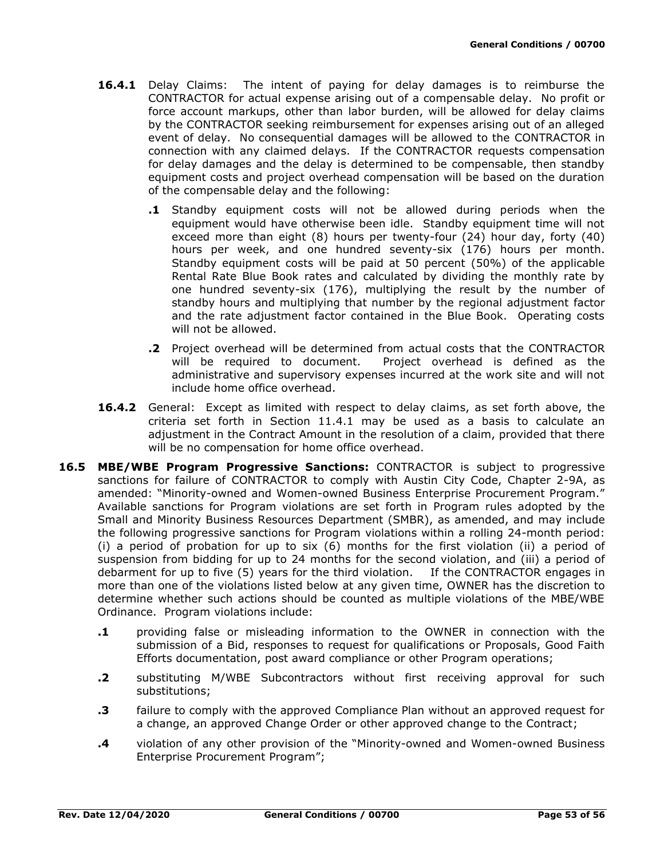- **16.4.1** Delay Claims: The intent of paying for delay damages is to reimburse the CONTRACTOR for actual expense arising out of a compensable delay. No profit or force account markups, other than labor burden, will be allowed for delay claims by the CONTRACTOR seeking reimbursement for expenses arising out of an alleged event of delay. No consequential damages will be allowed to the CONTRACTOR in connection with any claimed delays. If the CONTRACTOR requests compensation for delay damages and the delay is determined to be compensable, then standby equipment costs and project overhead compensation will be based on the duration of the compensable delay and the following:
	- **.1** Standby equipment costs will not be allowed during periods when the equipment would have otherwise been idle. Standby equipment time will not exceed more than eight (8) hours per twenty-four (24) hour day, forty (40) hours per week, and one hundred seventy-six (176) hours per month. Standby equipment costs will be paid at 50 percent (50%) of the applicable Rental Rate Blue Book rates and calculated by dividing the monthly rate by one hundred seventy-six (176), multiplying the result by the number of standby hours and multiplying that number by the regional adjustment factor and the rate adjustment factor contained in the Blue Book. Operating costs will not be allowed.
	- **.2** Project overhead will be determined from actual costs that the CONTRACTOR will be required to document. Project overhead is defined as the administrative and supervisory expenses incurred at the work site and will not include home office overhead.
- **16.4.2** General: Except as limited with respect to delay claims, as set forth above, the criteria set forth in Section 11.4.1 may be used as a basis to calculate an adjustment in the Contract Amount in the resolution of a claim, provided that there will be no compensation for home office overhead.
- **16.5 MBE/WBE Program Progressive Sanctions:** CONTRACTOR is subject to progressive sanctions for failure of CONTRACTOR to comply with Austin City Code, Chapter 2-9A, as amended: "Minority-owned and Women-owned Business Enterprise Procurement Program." Available sanctions for Program violations are set forth in Program rules adopted by the Small and Minority Business Resources Department (SMBR), as amended, and may include the following progressive sanctions for Program violations within a rolling 24-month period: (i) a period of probation for up to six (6) months for the first violation (ii) a period of suspension from bidding for up to 24 months for the second violation, and (iii) a period of debarment for up to five (5) years for the third violation. If the CONTRACTOR engages in more than one of the violations listed below at any given time, OWNER has the discretion to determine whether such actions should be counted as multiple violations of the MBE/WBE Ordinance. Program violations include:
	- **.1** providing false or misleading information to the OWNER in connection with the submission of a Bid, responses to request for qualifications or Proposals, Good Faith Efforts documentation, post award compliance or other Program operations;
	- **.2** substituting M/WBE Subcontractors without first receiving approval for such substitutions;
	- **.3** failure to comply with the approved Compliance Plan without an approved request for a change, an approved Change Order or other approved change to the Contract;
	- **.4** violation of any other provision of the "Minority-owned and Women-owned Business Enterprise Procurement Program";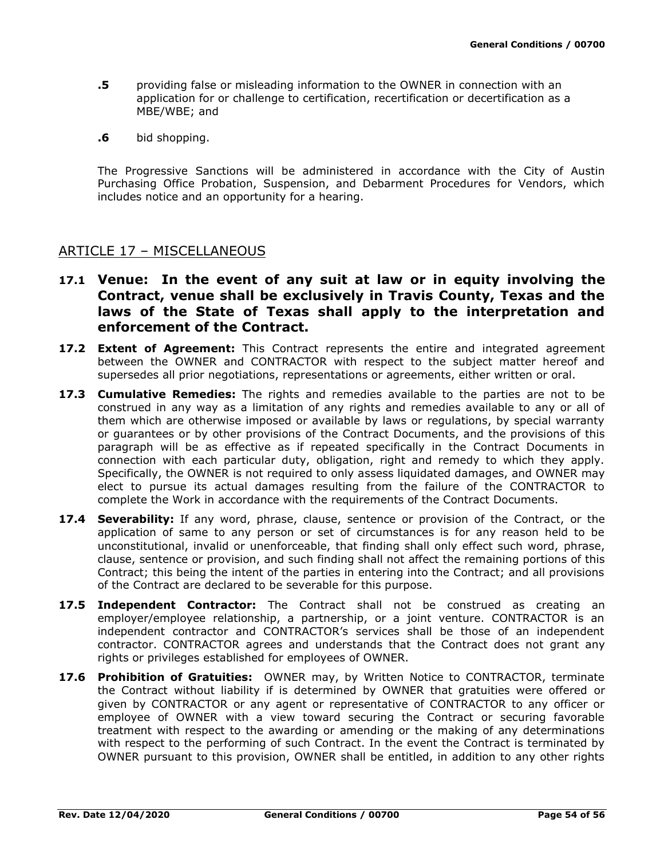- **.5** providing false or misleading information to the OWNER in connection with an application for or challenge to certification, recertification or decertification as a MBE/WBE; and
- **.6** bid shopping.

The Progressive Sanctions will be administered in accordance with the City of Austin Purchasing Office Probation, Suspension, and Debarment Procedures for Vendors, which includes notice and an opportunity for a hearing.

# ARTICLE 17 – MISCELLANEOUS

- **17.1 Venue: In the event of any suit at law or in equity involving the Contract, venue shall be exclusively in Travis County, Texas and the laws of the State of Texas shall apply to the interpretation and enforcement of the Contract.**
- **17.2 Extent of Agreement:** This Contract represents the entire and integrated agreement between the OWNER and CONTRACTOR with respect to the subject matter hereof and supersedes all prior negotiations, representations or agreements, either written or oral.
- **17.3 Cumulative Remedies:** The rights and remedies available to the parties are not to be construed in any way as a limitation of any rights and remedies available to any or all of them which are otherwise imposed or available by laws or regulations, by special warranty or guarantees or by other provisions of the Contract Documents, and the provisions of this paragraph will be as effective as if repeated specifically in the Contract Documents in connection with each particular duty, obligation, right and remedy to which they apply. Specifically, the OWNER is not required to only assess liquidated damages, and OWNER may elect to pursue its actual damages resulting from the failure of the CONTRACTOR to complete the Work in accordance with the requirements of the Contract Documents.
- **17.4 Severability:** If any word, phrase, clause, sentence or provision of the Contract, or the application of same to any person or set of circumstances is for any reason held to be unconstitutional, invalid or unenforceable, that finding shall only effect such word, phrase, clause, sentence or provision, and such finding shall not affect the remaining portions of this Contract; this being the intent of the parties in entering into the Contract; and all provisions of the Contract are declared to be severable for this purpose.
- **17.5 Independent Contractor:** The Contract shall not be construed as creating an employer/employee relationship, a partnership, or a joint venture. CONTRACTOR is an independent contractor and CONTRACTOR's services shall be those of an independent contractor. CONTRACTOR agrees and understands that the Contract does not grant any rights or privileges established for employees of OWNER.
- **17.6 Prohibition of Gratuities:** OWNER may, by Written Notice to CONTRACTOR, terminate the Contract without liability if is determined by OWNER that gratuities were offered or given by CONTRACTOR or any agent or representative of CONTRACTOR to any officer or employee of OWNER with a view toward securing the Contract or securing favorable treatment with respect to the awarding or amending or the making of any determinations with respect to the performing of such Contract. In the event the Contract is terminated by OWNER pursuant to this provision, OWNER shall be entitled, in addition to any other rights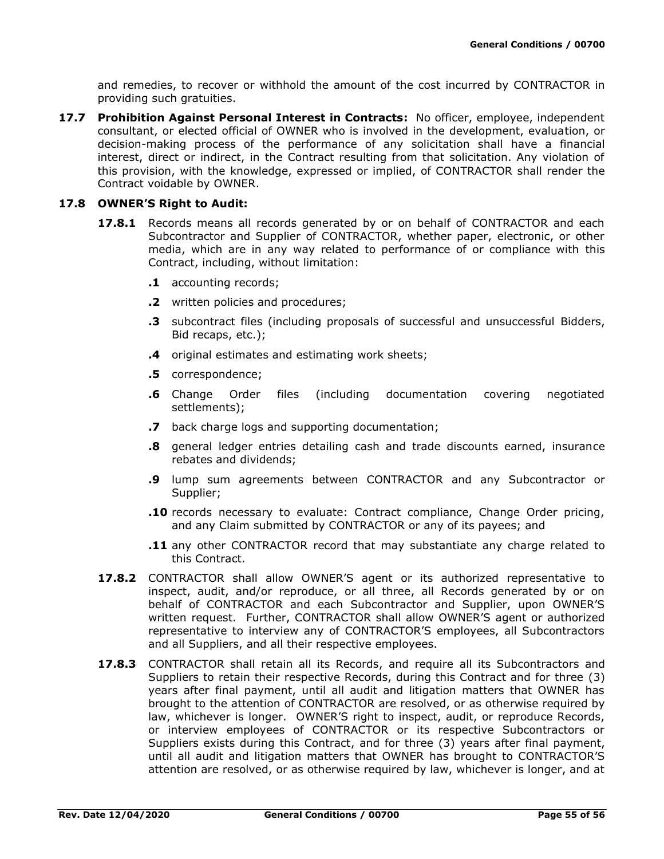and remedies, to recover or withhold the amount of the cost incurred by CONTRACTOR in providing such gratuities.

**17.7 Prohibition Against Personal Interest in Contracts:** No officer, employee, independent consultant, or elected official of OWNER who is involved in the development, evaluation, or decision-making process of the performance of any solicitation shall have a financial interest, direct or indirect, in the Contract resulting from that solicitation. Any violation of this provision, with the knowledge, expressed or implied, of CONTRACTOR shall render the Contract voidable by OWNER.

### **17.8 OWNER'S Right to Audit:**

- **17.8.1** Records means all records generated by or on behalf of CONTRACTOR and each Subcontractor and Supplier of CONTRACTOR, whether paper, electronic, or other media, which are in any way related to performance of or compliance with this Contract, including, without limitation:
	- **.1** accounting records;
	- **.2** written policies and procedures;
	- **.3** subcontract files (including proposals of successful and unsuccessful Bidders, Bid recaps, etc.);
	- **.4** original estimates and estimating work sheets;
	- **.5** correspondence;
	- **.6** Change Order files (including documentation covering negotiated settlements);
	- **.7** back charge logs and supporting documentation;
	- **.8** general ledger entries detailing cash and trade discounts earned, insurance rebates and dividends;
	- **.9** lump sum agreements between CONTRACTOR and any Subcontractor or Supplier;
	- **.10** records necessary to evaluate: Contract compliance, Change Order pricing, and any Claim submitted by CONTRACTOR or any of its payees; and
	- **.11** any other CONTRACTOR record that may substantiate any charge related to this Contract.
- **17.8.2** CONTRACTOR shall allow OWNER'S agent or its authorized representative to inspect, audit, and/or reproduce, or all three, all Records generated by or on behalf of CONTRACTOR and each Subcontractor and Supplier, upon OWNER'S written request. Further, CONTRACTOR shall allow OWNER'S agent or authorized representative to interview any of CONTRACTOR'S employees, all Subcontractors and all Suppliers, and all their respective employees.
- 17.8.3 CONTRACTOR shall retain all its Records, and require all its Subcontractors and Suppliers to retain their respective Records, during this Contract and for three (3) years after final payment, until all audit and litigation matters that OWNER has brought to the attention of CONTRACTOR are resolved, or as otherwise required by law, whichever is longer. OWNER'S right to inspect, audit, or reproduce Records, or interview employees of CONTRACTOR or its respective Subcontractors or Suppliers exists during this Contract, and for three (3) years after final payment, until all audit and litigation matters that OWNER has brought to CONTRACTOR'S attention are resolved, or as otherwise required by law, whichever is longer, and at